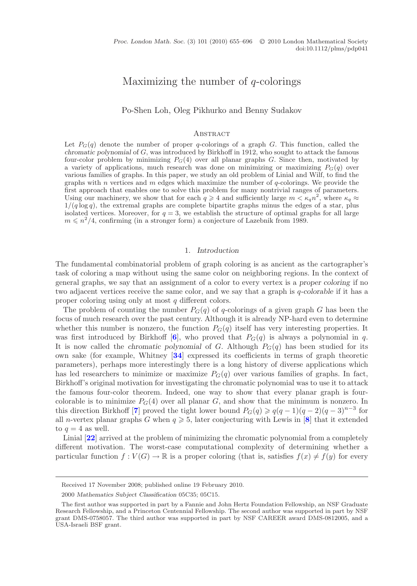# Maximizing the number of *<sup>q</sup>*-colorings

Po-Shen Loh, Oleg Pikhurko and Benny Sudakov

#### **ABSTRACT**

Let  $P_G(q)$  denote the number of proper q-colorings of a graph G. This function, called the *chromatic polynomial* of G, was introduced by Birkhoff in 1912, who sought to attack the famous four-color problem by minimizing  $P_G(4)$  over all planar graphs G. Since then, motivated by a variety of applications, much research was done on minimizing or maximizing  $P_G(q)$  over various families of graphs. In this paper, we study an old problem of Linial and Wilf, to find the graphs with n vertices and  $m$  edges which maximize the number of  $q$ -colorings. We provide the first approach that enables one to solve this problem for many nontrivial ranges of parameters. Using our machinery, we show that for each  $q \geq 4$  and sufficiently large  $m < \kappa_q n^2$ , where  $\kappa_q \approx 1/(q \log q)$ , the extremal graphs are complete bipartite graphs minus the edges of a star, plus  $1/(q \log q)$ , the extremal graphs are complete bipartite graphs minus the edges of a star, plus isolated vertices. Moreover, for  $q = 3$ , we establish the structure of optimal graphs for all large isolated vertices. Moreover, for  $q = 3$ , we establish the structure of optimal graphs for all large  $m \leq n^2/4$ , confirming (in a stronger form) a conjecture of Lazebnik from 1989.

## 1. *Introduction*

The fundamental combinatorial problem of graph coloring is as ancient as the cartographer's task of coloring a map without using the same color on neighboring regions. In the context of general graphs, we say that an assignment of a color to every vertex is a *proper coloring* if no two adjacent vertices receive the same color, and we say that a graph is q*-colorable* if it has a proper coloring using only at most q different colors.

The problem of counting the number  $P_G(q)$  of q-colorings of a given graph G has been the focus of much research over the past century. Although it is already NP-hard even to determine whether this number is nonzero, the function  $P_G(q)$  itself has very interesting properties. It was first introduced by Birkhoff  $[6]$  $[6]$  $[6]$ , who proved that  $P_G(q)$  is always a polynomial in q. It is now called the *chromatic polynomial* of G. Although  $P_G(q)$  has been studied for its own sake (for example, Whitney [**[34](#page-41-0)**] expressed its coefficients in terms of graph theoretic parameters), perhaps more interestingly there is a long history of diverse applications which has led researchers to minimize or maximize  $P<sub>G</sub>(q)$  over various families of graphs. In fact, Birkhoff's original motivation for investigating the chromatic polynomial was to use it to attack the famous four-color theorem. Indeed, one way to show that every planar graph is fourcolorable is to minimize  $P<sub>G</sub>(4)$  over all planar G, and show that the minimum is nonzero. In this direction Birkhoff [**[7](#page-40-1)**] proved the tight lower bound  $P_G(q) \geqslant q(q-1)(q-2)(q-3)^{n-3}$  for all *n*-vertex planar graphs G when  $q \geq 5$ , later conjecturing with Lewis in [[8](#page-40-2)] that it extended to  $q = 4$  as well.

Linial [**[22](#page-41-1)**] arrived at the problem of minimizing the chromatic polynomial from a completely different motivation. The worst-case computational complexity of determining whether a particular function  $f: V(G) \to \mathbb{R}$  is a proper coloring (that is, satisfies  $f(x) \neq f(y)$  for every

Received 17 November 2008; published online 19 February 2010.

<sup>2000</sup> *Mathematics Subject Classification* 05C35; 05C15.

The first author was supported in part by a Fannie and John Hertz Foundation Fellowship, an NSF Graduate Research Fellowship, and a Princeton Centennial Fellowship. The second author was supported in part by NSF grant DMS-0758057. The third author was supported in part by NSF CAREER award DMS-0812005, and a USA-Israeli BSF grant.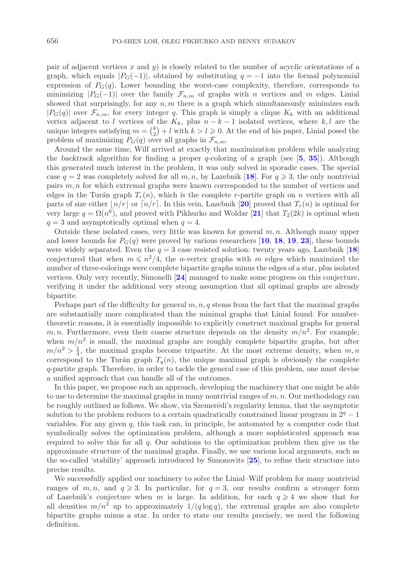pair of adjacent vertices x and y) is closely related to the number of *acyclic orientations* of a graph, which equals  $|P_G(-1)|$ , obtained by substituting  $q = -1$  into the formal polynomial expression of  $P_G(q)$ . Lower bounding the worst-case complexity, therefore, corresponds to minimizing  $|P_G(-1)|$  over the family  $\mathcal{F}_{n,m}$  of graphs with n vertices and m edges. Linial showed that surprisingly, for any  $n, m$  there is a graph which *simultaneously* minimizes each  $|P_G(q)|$  over  $\mathcal{F}_{n,m}$ , for *every* integer q. This graph is simply a clique  $K_k$  with an additional vertex adjacent to l vertices of the  $K_k$ , plus  $n - k - 1$  isolated vertices, where k,l are the unique integers satisfying  $m = {k \choose 2} + l$  with  $k > l \geq 0$ . At the end of his paper, Linial posed the problem of maximizing  $P_G(q)$  over all graphs in  $\mathcal{F}_{n,m}$ .

Around the same time, Wilf arrived at exactly that maximization problem while analyzing the *backtrack* algorithm for finding a proper q-coloring of a graph (see [**[5](#page-40-3)**, **[35](#page-41-2)**]). Although this generated much interest in the problem, it was only solved in sporadic cases. The special case  $q = 2$  was completely solved for all  $m, n$ , by Lazebnik [[18](#page-41-3)]. For  $q \geq 3$ , the only nontrivial pairs m, n for which extremal graphs were known corresponded to the number of vertices and edges in the Turán graph  $T_r(n)$ , which is the complete r-partite graph on n vertices with all parts of size either  $n/r$  or  $n/r$ . In this vein, Lazebnik [[20](#page-41-4)] proved that  $T_r(n)$  is optimal for very large  $q = \Omega(n^6)$ , and proved with Pikhurko and Woldar [[21](#page-41-5)] that  $T_2(2k)$  is optimal when  $q = 3$  and asymptotically optimal when  $q = 4$ .

Outside these isolated cases, very little was known for general  $m, n$ . Although many upper and lower bounds for  $P_G(q)$  were proved by various researchers [[10](#page-40-4), [18](#page-41-3), [19](#page-41-6), [23](#page-41-7)], these bounds were widely separated. Even the  $q = 3$  case resisted solution: twenty years ago, Lazebnik [[18](#page-41-3)] conjectured that when  $m \leq n^2/4$ , the *n*-vertex graphs with m edges which maximized the number of three-colorings were complete bipartite graphs minus the edges of a star, plus isolated vertices. Only very recently, Simonelli [**[24](#page-41-8)**] managed to make some progress on this conjecture, verifying it under the additional very strong assumption that all optimal graphs are already bipartite.

Perhaps part of the difficulty for general  $m, n, q$  stems from the fact that the maximal graphs are substantially more complicated than the minimal graphs that Linial found. For numbertheoretic reasons, it is essentially impossible to explicitly construct maximal graphs for general m, n. Furthermore, even their coarse structure depends on the density  $m/n^2$ . For example, when  $m/n^2$  is small, the maximal graphs are roughly complete bipartite graphs, but after  $m/n^2 > \frac{1}{4}$ , the maximal graphs become tripartite. At the most extreme density, when  $m, n$ <br>correspond to the Turán graph  $T(n)$  the unique maximal graph is obviously the complete correspond to the Turán graph  $T_q(n)$ , the unique maximal graph is obviously the complete q-partite graph. Therefore, in order to tackle the general case of this problem, one must devise a unified approach that can handle all of the outcomes.

In this paper, we propose such an approach, developing the machinery that one might be able to use to determine the maximal graphs in many nontrivial ranges of  $m, n$ . Our methodology can be roughly outlined as follows. We show, via Szemerédi's regularity lemma, that the asymptotic solution to the problem reduces to a certain quadratically constrained linear program in  $2<sup>q</sup> - 1$ variables. For any given  $q$ , this task can, in principle, be automated by a computer code that symbolically solves the optimization problem, although a more sophisticated approach was required to solve this for all  $q$ . Our solutions to the optimization problem then give us the approximate structure of the maximal graphs. Finally, we use various local arguments, such as the so-called 'stability' approach introduced by Simonovits [**[25](#page-41-9)**], to refine their structure into precise results.

We successfully applied our machinery to solve the Linial–Wilf problem for many nontrivial ranges of  $m, n$ , and  $q \ge 3$ . In particular, for  $q = 3$ , our results confirm a stronger form of Lazebnik's conjecture when m is large. In addition, for each  $q \geq 4$  we show that for all densities  $m/n^2$  up to approximately  $1/(q \log q)$ , the extremal graphs are also complete bipartite graphs minus a star. In order to state our results precisely, we need the following definition.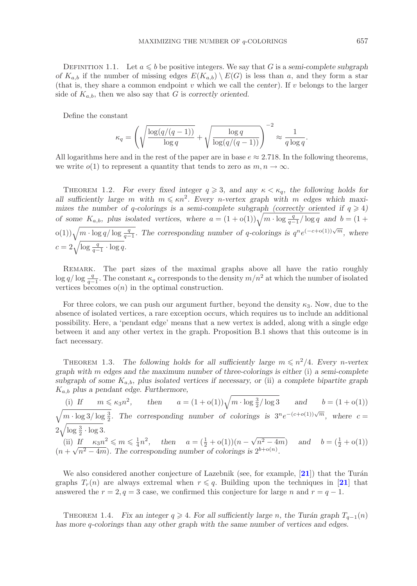DEFINITION 1.1. Let  $a \leq b$  be positive integers. We say that G is a *semi-complete subgraph of*  $K_{a,b}$  if the number of missing edges  $E(K_{a,b}) \setminus E(G)$  is less than a, and they form a star (that is, they share a common endpoint v which we call the *center*). If v belongs to the larger side of  $K_{a,b}$ , then we also say that G is *correctly oriented*.

Define the constant

$$
\kappa_q = \left(\sqrt{\frac{\log(q/(q-1))}{\log q}} + \sqrt{\frac{\log q}{\log(q/(q-1))}}\right)^{-2} \approx \frac{1}{q \log q}.
$$

All logarithms here and in the rest of the paper are in base  $e \approx 2.718$ . In the following theorems, we write  $o(1)$  to represent a quantity that tends to zero as  $m, n \to \infty$ .

THEOREM 1.2. *For every fixed integer*  $q \geq 3$ *, and any*  $\kappa < \kappa_q$ *, the following holds for* all sufficiently large m with  $m \leq \kappa n^2$ . Every n-vertex graph with m edges which maximizes the number of q-colorings is a semi-complete subgraph (correctly oriented if  $q \ge 4$ ) *of some*  $K_{a,b}$ , plus isolated vertices, where  $a = (1 + o(1))\sqrt{m \cdot \log \frac{q}{q-1}/\log q}$  and  $b = (1 + o(1))\sqrt{m \cdot \log \frac{q}{q-1}/\log q}$ o(1)) $\sqrt{m \cdot \log q/\log \frac{q}{q-1}}$ . The corresponding number of q-colorings is  $q^n e^{(-c+o(1))\sqrt{m}}$ , where  $c = 2\sqrt{\log \frac{q}{q-1} \cdot \log q}.$ 

REMARK. The part sizes of the maximal graphs above all have the ratio roughly  $\log q / \log \frac{q}{q-1}$ . The constant  $\kappa_q$  corresponds to the density  $m/n^2$  at which the number of isolated vertices becomes  $o(n)$  in the optimal construction vertices becomes  $o(n)$  in the optimal construction.

For three colors, we can push our argument further, beyond the density  $\kappa_3$ . Now, due to the absence of isolated vertices, a rare exception occurs, which requires us to include an additional possibility. Here, a 'pendant edge' means that a new vertex is added, along with a single edge between it and any other vertex in the graph. Proposition B.1 shows that this outcome is in fact necessary.

THEOREM 1.3. The following holds for all sufficiently large  $m \leq n^2/4$ . Every *n*-vertex *graph with* m *edges and the maximum number of three-colorings is either* (i) *a semi-complete subgraph of some* Ka,b*, plus isolated vertices if necessary, or* (ii) *a complete bipartite graph* Ka,b *plus a pendant edge. Furthermore,*

(i) If  $m \le \kappa_3 n^2$ , then  $a = (1 + o(1))\sqrt{m \cdot \log \frac{3}{2}}/\log 3$  and  $b = (1 + o(1))\sqrt{m \cdot \log 3}/\log \frac{3}{2}$ . The corresponding number of colorings is  $3^n e^{-(c+o(1))\sqrt{m}}$ , where  $c =$  $2\sqrt{\log \frac{3}{2} \cdot \log 3}.$ (ii) If  $\kappa_3 n^2 \le m \le \frac{1}{4}n^2$ , then  $a = (\frac{1}{2} + o(1))(n - \sqrt{n^2 - 4m})$  and  $b = (\frac{1}{2} + o(1))$ <br>( $n + \sqrt{n^2 - 4m}$ ). The corresponding number of colorings is  $2^{b + o(n)}$ .

We also considered another conjecture of Lazebnik (see, for example, [[21](#page-41-5)]) that the Turán graphs  $T_r(n)$  are always extremal when  $r \leqslant q$ . Building upon the techniques in [[21](#page-41-5)] that answered the  $r = 2, q = 3$  case, we confirmed this conjecture for large n and  $r = q - 1$ .

THEOREM 1.4. *Fix an integer*  $q \geq 4$ . For all sufficiently large n, the Turán graph  $T_{q-1}(n)$ *has more* q*-colorings than any other graph with the same number of vertices and edges.*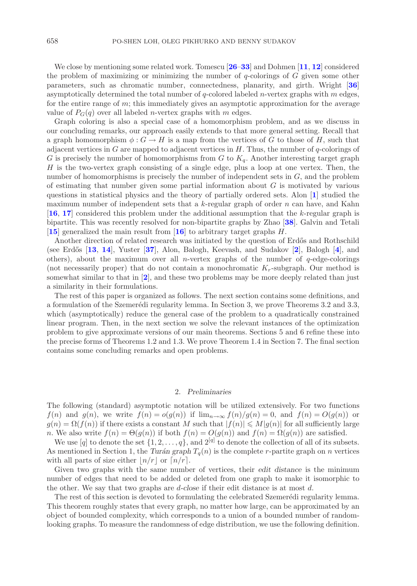We close by mentioning some related work. Tomescu [**[26](#page-41-10)**–**[33](#page-41-11)**] and Dohmen [**[11](#page-40-5)**, **[12](#page-40-6)**] considered the problem of maximizing or minimizing the number of  $q$ -colorings of  $G$  given some other parameters, such as chromatic number, connectedness, planarity, and girth. Wright [**[36](#page-41-12)**] asymptotically determined the total number of  $q$ -colored labeled *n*-vertex graphs with  $m$  edges, for the entire range of m; this immediately gives an asymptotic approximation for the *average* value of  $P_G(q)$  over all labeled *n*-vertex graphs with *m* edges.

Graph coloring is also a special case of a homomorphism problem, and as we discuss in our concluding remarks, our approach easily extends to that more general setting. Recall that a graph homomorphism  $\phi: G \to H$  is a map from the vertices of G to those of H, such that adjacent vertices in  $G$  are mapped to adjacent vertices in  $H$ . Thus, the number of q-colorings of G is precisely the number of homomorphisms from  $G$  to  $K_q$ . Another interesting target graph  $H$  is the two-vertex graph consisting of a single edge, plus a loop at one vertex. Then, the number of homomorphisms is precisely the number of independent sets in  $G$ , and the problem of estimating that number given some partial information about  $G$  is motivated by various questions in statistical physics and the theory of partially ordered sets. Alon [**[1](#page-40-7)**] studied the maximum number of independent sets that a k-regular graph of order  $n$  can have, and Kahn [**[16](#page-41-13)**, **[17](#page-41-14)**] considered this problem under the additional assumption that the k-regular graph is bipartite. This was recently resolved for non-bipartite graphs by Zhao [**[38](#page-41-15)**]. Galvin and Tetali [**[15](#page-41-16)**] generalized the main result from [**[16](#page-41-13)**] to arbitrary target graphs H.

Another direction of related research was initiated by the question of Erdős and Rothschild (see Erd˝os [**[13](#page-41-17)**, **[14](#page-41-18)**], Yuster [**[37](#page-41-19)**], Alon, Balogh, Keevash, and Sudakov [**[2](#page-40-8)**], Balogh [**[4](#page-40-9)**], and others), about the maximum over all *n*-vertex graphs of the number of  $q$ -edge-colorings (not necessarily proper) that do not contain a monochromatic  $K_r$ -subgraph. Our method is somewhat similar to that in [**[2](#page-40-8)**], and these two problems may be more deeply related than just a similarity in their formulations.

The rest of this paper is organized as follows. The next section contains some definitions, and a formulation of the Szemerédi regularity lemma. In Section 3, we prove Theorems 3.2 and 3.3, which (asymptotically) reduce the general case of the problem to a quadratically constrained linear program. Then, in the next section we solve the relevant instances of the optimization problem to give approximate versions of our main theorems. Sections 5 and 6 refine these into the precise forms of Theorems 1.2 and 1.3. We prove Theorem 1.4 in Section 7. The final section contains some concluding remarks and open problems.

## 2. *Preliminaries*

The following (standard) asymptotic notation will be utilized extensively. For two functions  $f(n)$  and  $g(n)$ , we write  $f(n) = o(g(n))$  if  $\lim_{n\to\infty} f(n)/g(n) = 0$ , and  $f(n) = O(g(n))$  or  $g(n) = \Omega(f(n))$  if there exists a constant M such that  $|f(n)| \leq M |g(n)|$  for all sufficiently large n. We also write  $f(n) = \Theta(g(n))$  if both  $f(n) = O(g(n))$  and  $f(n) = \Omega(g(n))$  are satisfied.

We use [q] to denote the set  $\{1, 2, \ldots, q\}$ , and  $2^{[q]}$  to denote the collection of all of its subsets. As mentioned in Section 1, the *Turán graph*  $T_q(n)$  is the complete r-partite graph on n vertices with all parts of size either  $n/r$  or  $n/r$ .

Given two graphs with the same number of vertices, their *edit distance* is the minimum number of edges that need to be added or deleted from one graph to make it isomorphic to the other. We say that two graphs are d*-close* if their edit distance is at most d.

The rest of this section is devoted to formulating the celebrated Szemerédi regularity lemma. This theorem roughly states that every graph, no matter how large, can be approximated by an object of bounded complexity, which corresponds to a union of a bounded number of randomlooking graphs. To measure the randomness of edge distribution, we use the following definition.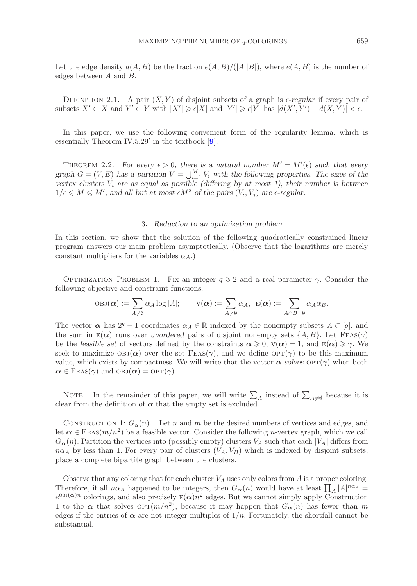Let the edge density  $d(A, B)$  be the fraction  $e(A, B)/(|A||B|)$ , where  $e(A, B)$  is the number of edges between A and B.

DEFINITION 2.1. A pair  $(X, Y)$  of disjoint subsets of a graph is  $\epsilon$ -regular if every pair of subsets  $X' \subset X$  and  $Y' \subset Y$  with  $|X'| \geq \epsilon |X|$  and  $|Y'| \geq \epsilon |Y|$  has  $|d(X', Y') - d(X, Y)| < \epsilon$ .

In this paper, we use the following convenient form of the regularity lemma, which is essentially Theorem IV.5.29 in the textbook [**[9](#page-40-10)**].

THEOREM 2.2. For every  $\epsilon > 0$ , there is a natural number  $M' = M'(\epsilon)$  such that every graph  $G = (V, E)$  has a partition  $V = \bigcup_{i=1}^{M} V_i$  with the following properties. The sizes of the vertex clusters V, are as equal as possible (differing by at most 1) their number is between *vertex clusters*  $V_i$  *are as equal as possible (differing by at most 1), their number is between*  $1/\epsilon \leq M \leq M'$ , and all but at most  $\epsilon M^2$  of the pairs  $(V_i, V_j)$  are  $\epsilon$ -regular.

#### 3. *Reduction to an optimization problem*

In this section, we show that the solution of the following quadratically constrained linear program answers our main problem asymptotically. (Observe that the logarithms are merely constant multipliers for the variables  $\alpha_A$ .)

OPTIMIZATION PROBLEM 1. Fix an integer  $q \ge 2$  and a real parameter  $\gamma$ . Consider the following objective and constraint functions:

$$
OBJ(\boldsymbol{\alpha}) := \sum_{A \neq \emptyset} \alpha_A \log |A|; \qquad V(\boldsymbol{\alpha}) := \sum_{A \neq \emptyset} \alpha_A, \ \ E(\boldsymbol{\alpha}) := \sum_{A \cap B = \emptyset} \alpha_A \alpha_B.
$$

The vector  $\alpha$  has  $2^q - 1$  coordinates  $\alpha_A \in \mathbb{R}$  indexed by the nonempty subsets  $A \subset [q]$ , and the sum in  $E(\alpha)$  runs over *unordered* pairs of disjoint nonempty sets  $\{A, B\}$ . Let  $FES(\gamma)$ be the *feasible set* of vectors defined by the constraints  $\alpha \geq 0$ ,  $v(\alpha) = 1$ , and  $E(\alpha) \geq \gamma$ . We seek to maximize  $OBJ(\alpha)$  over the set FEAS( $\gamma$ ), and we define  $OPT(\gamma)$  to be this maximum value, which exists by compactness. We will write that the vector  $\alpha$  *solves*  $\text{OPT}(\gamma)$  when both  $\alpha \in \text{Feas}(\gamma)$  and  $\text{OBJ}(\alpha) = \text{OPT}(\gamma)$ .

NOTE. In the remainder of this paper, we will write  $\sum_{A}$  instead of  $\sum_{A\neq\emptyset}$  because it is clear from the definition of  $\alpha$  that the empty set is excluded.

CONSTRUCTION 1:  $G_{\alpha}(n)$ . Let n and m be the desired numbers of vertices and edges, and let  $\alpha \in \text{FLAS}(m/n^2)$  be a feasible vector. Consider the following *n*-vertex graph, which we call  $G_{\alpha}(n)$ . Partition the vertices into (possibly empty) clusters  $V_A$  such that each  $|V_A|$  differs from  $n\alpha_A$  by less than 1. For every pair of clusters  $(V_A, V_B)$  which is indexed by disjoint subsets, place a complete bipartite graph between the clusters.

Observe that any coloring that for each cluster  $V_A$  uses only colors from A is a proper coloring. Therefore, if all  $n\alpha_A$  happened to be integers, then  $G_{\alpha}(n)$  would have at least  $\prod_A |A|^{n\alpha_A} =$  $e^{0BJ(\alpha)n}$  colorings, and also precisely  $E(\alpha)n^2$  edges. But we cannot simply apply Construction 1 to the  $\alpha$  that solves  $\text{OPT}(m/n^2)$ , because it may happen that  $G_{\alpha}(n)$  has fewer than m edges if the entries of  $\alpha$  are not integer multiples of  $1/n$ . Fortunately, the shortfall cannot be substantial.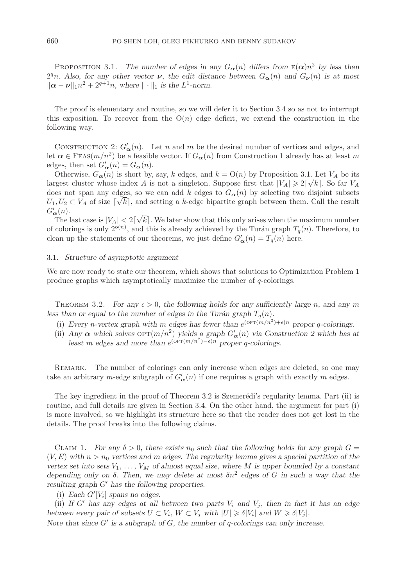PROPOSITION 3.1. *The number of edges in any*  $G_{\alpha}(n)$  *differs from*  $E(\alpha)n^2$  *by less than*  $2<sup>q</sup>n$ *. Also, for any other vector ν, the edit distance between*  $G_{\alpha}(n)$  *and*  $G_{\nu}(n)$  *is at most*  $\|\alpha - \nu\|_1 n^2 + 2^{q+1}n$ , where  $\|\cdot\|_1$  is the L<sup>1</sup>-norm.

The proof is elementary and routine, so we will defer it to Section 3.4 so as not to interrupt this exposition. To recover from the  $O(n)$  edge deficit, we extend the construction in the following way.

CONSTRUCTION 2:  $G'_{\alpha}(n)$ . Let n and m be the desired number of vertices and edges, and let  $\alpha \in \text{Feas}(m/n^2)$  be a feasible vector. If  $G_{\alpha}(n)$  from Construction 1 already has at least m edges, then set  $G'_{\alpha}(n) = G_{\alpha}(n)$ .

Otherwise,  $G_{\alpha}(n)$  is short by, say, k edges, and  $k = O(n)$  by Proposition 3.1. Let  $V_A$  be its largest cluster whose index A is not a singleton. Suppose first that  $|V_A| \geqslant 2|\sqrt{k}|$ . So far  $V_A$ does not span any edges, so we can add k edges to  $G_{\alpha}(n)$  by selecting two disjoint subsets  $U_1, U_2 \subset V_A$  of size  $\lceil \sqrt{k} \rceil$ , and setting a k-edge bipartite graph between them. Call the result  $C'$  (c)  $G'_{\boldsymbol{\alpha}}(n)$ . √

The last case is  $|V_A| < 2$  $k$ . We later show that this only arises when the maximum number of colorings is only  $2^{o(n)}$ , and this is already achieved by the Turán graph  $T_q(n)$ . Therefore, to clean up the statements of our theorems, we just define  $G'_{\mathbf{\alpha}}(n) = T_q(n)$  here.

#### 3.1. *Structure of asymptotic argument*

We are now ready to state our theorem, which shows that solutions to Optimization Problem 1 produce graphs which asymptotically maximize the number of q-colorings.

THEOREM 3.2. *For any*  $\epsilon > 0$ , the following holds for any sufficiently large n, and any m less than or equal to the number of edges in the Turán graph  $T_q(n)$ .

- (i) *Every n*-vertex graph with m edges has fewer than  $e^{(\text{OPT}(m/n^2)+\epsilon)n}$  proper q-colorings.
- (ii) *Any*  $\alpha$  which solves  $\text{OPT}(m/n^2)$  *yields a graph*  $G'_{\alpha}(n)$  *via Construction 2 which has at least* m edges and more than  $e^{(\text{OPT}(m/n^2)-\epsilon)n}$  proper q-colorings.

REMARK. The number of colorings can only increase when edges are deleted, so one may take an arbitrary m-edge subgraph of  $G'_{\alpha}(n)$  if one requires a graph with exactly m edges.

The key ingredient in the proof of Theorem 3.2 is Szemerédi's regularity lemma. Part (ii) is routine, and full details are given in Section 3.4. On the other hand, the argument for part (i) is more involved, so we highlight its structure here so that the reader does not get lost in the details. The proof breaks into the following claims.

CLAIM 1. For any  $\delta > 0$ , there exists  $n_0$  such that the following holds for any graph  $G =$  $(V, E)$  with  $n > n_0$  vertices and m edges. The regularity lemma gives a special partition of the *vertex set into sets*  $V_1, \ldots, V_M$  *of almost equal size, where* M *is upper bounded by a constant depending only on*  $\delta$ . Then, we may delete at most  $\delta n^2$  edges of G in such a way that the *resulting graph* G' has the following properties.

(i) *Each*  $G'[V_i]$  *spans no edges.* 

(ii) If  $G'$  has any edges at all between two parts  $V_i$  and  $V_j$ , then in fact it has an edge *between every pair of subsets*  $U \subset V_i$ ,  $W \subset V_j$  *with*  $|U| \geq \delta |V_i|$  *and*  $W \geq \delta |V_j|$ *.* 

*Note that since*  $G'$  *is a subgraph of*  $G$ *, the number of q-colorings can only increase.*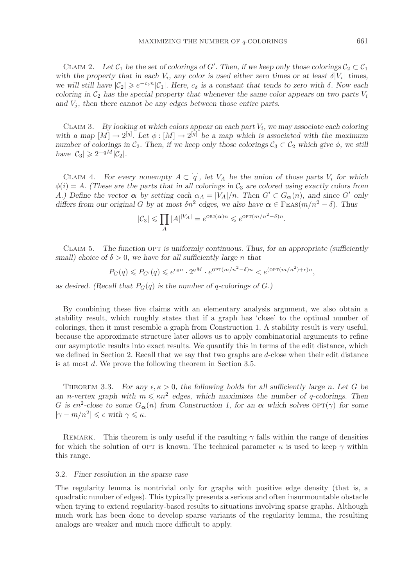CLAIM 2. Let  $C_1$  be the set of colorings of G'. Then, if we keep only those colorings  $C_2 \subset C_1$ <br>*th* the property that in each  $V_1$  any color is used either zero times or at least  $\delta[V_1]$  times *with the property that in each*  $V_i$ *, any color is used either zero times or at least*  $\delta|V_i|$  *times, we will still have*  $|C_2| \geq e^{-c_5 n} |C_1|$ *. Here,*  $c_5$  *is a constant that tends to zero with*  $\delta$ *. Now each coloring in*  $C_2$  has the groein property that whenever the same color appears on two parts V. *coloring in*  $C_2$  *has the special property that whenever the same color appears on two parts*  $V_i$ and  $V_j$ , then there cannot be any edges between those entire parts.

Claim 3. *By looking at which colors appear on each part* Vi*, we may associate each coloring* with a map  $[M] \to 2^{[q]}$ . Let  $\phi : [M] \to 2^{[q]}$  be a map which is associated with the maximum *number of colorings in*  $C_2$ . Then, if we keep only those colorings  $C_3 \subset C_2$  which give  $\phi$ , we still *have*  $|\mathcal{C}_3| \geq 2^{-qM} |\mathcal{C}_2|$ *.* 

CLAIM 4. For every nonempty  $A \subset [q]$ , let  $V_A$  be the union of those parts  $V_i$  for which  $\phi(i) = A$ . (These are the parts that in all colorings in  $\mathcal{C}_3$  are colored using exactly colors from A.) Define the vector  $\alpha$  by setting each  $\alpha_A = |V_A|/n$ . Then  $G' \subset G_{\alpha}(n)$ , and since G' only *differs from our original* G *by at most*  $\delta n^2$  *edges, we also have*  $\alpha \in$  FEAs( $m/n^2 - \delta$ )*. Thus* 

$$
|\mathcal{C}_3| \leq \prod_A |A|^{|V_A|} = e^{\text{OBJ}(\alpha)n} \leq e^{\text{OPT}(m/n^2 - \delta)n}.
$$

CLAIM 5. The function OPT is uniformly continuous. Thus, for an appropriate (sufficiently *small)* choice of  $\delta > 0$ , we have for all sufficiently large n that

$$
P_G(q) \leqslant P_{G'}(q) \leqslant e^{c_{\delta}n} \cdot 2^{qM} \cdot e^{\text{OPT}(m/n^2 - \delta)n} < e^{(\text{OPT}(m/n^2) + \epsilon)n},
$$

as desired. (Recall that  $P_G(q)$  is the number of q-colorings of  $G$ .)

By combining these five claims with an elementary analysis argument, we also obtain a stability result, which roughly states that if a graph has 'close' to the optimal number of colorings, then it must resemble a graph from Construction 1. A stability result is very useful, because the approximate structure later allows us to apply combinatorial arguments to refine our asymptotic results into exact results. We quantify this in terms of the edit distance, which we defined in Section 2. Recall that we say that two graphs are  $d$ -close when their edit distance is at most d. We prove the following theorem in Section 3.5.

THEOREM 3.3. *For any*  $\epsilon, \kappa > 0$ , the following holds for all sufficiently large n. Let G be *an n*-vertex graph with  $m \leq \kappa n^2$  edges, which maximizes the number of q-colorings. Then G is  $\epsilon n^2$ -close to some  $G_{\alpha}(n)$  from Construction 1, for an  $\alpha$  which solves  $\text{OPT}(\gamma)$  for some  $|\gamma - m/n^2| \leqslant \epsilon$  with  $\gamma \leqslant \kappa$ .

REMARK. This theorem is only useful if the resulting  $\gamma$  falls within the range of densities for which the solution of OPT is known. The technical parameter  $\kappa$  is used to keep  $\gamma$  within this range.

#### 3.2. *Finer resolution in the sparse case*

The regularity lemma is nontrivial only for graphs with positive edge density (that is, a quadratic number of edges). This typically presents a serious and often insurmountable obstacle when trying to extend regularity-based results to situations involving sparse graphs. Although much work has been done to develop sparse variants of the regularity lemma, the resulting analogs are weaker and much more difficult to apply.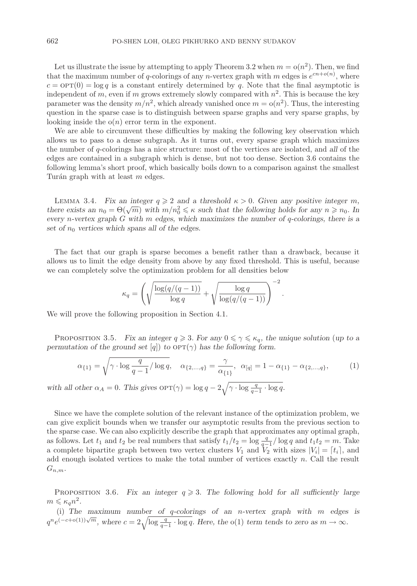Let us illustrate the issue by attempting to apply Theorem 3.2 when  $m = o(n^2)$ . Then, we find that the maximum number of q-colorings of any n-vertex graph with m edges is  $e^{cn+o(n)}$ , where  $c = \text{OPT}(0) = \log q$  is a constant entirely determined by q. Note that the final asymptotic is independent of m, even if m grows extremely slowly compared with  $n^2$ . This is because the key parameter was the density  $m/n^2$ , which already vanished once  $m = o(n^2)$ . Thus, the interesting question in the sparse case is to distinguish between sparse graphs and very sparse graphs, by looking inside the  $o(n)$  error term in the exponent.

We are able to circumvent these difficulties by making the following key observation which allows us to pass to a dense subgraph. As it turns out, every sparse graph which maximizes the number of q-colorings has a nice structure: most of the vertices are isolated, and *all* of the edges are contained in a subgraph which is dense, but not too dense. Section 3.6 contains the following lemma's short proof, which basically boils down to a comparison against the smallest Turán graph with at least  $m$  edges.

LEMMA 3.4. *Fix an integer*  $q \ge 2$  *and a threshold*  $\kappa > 0$ *. Given any positive integer* m, *there exists an*  $n_0 = \Theta(\sqrt{m})$  with  $m/n_0^2 \le \kappa$  *such that the following holds for any*  $n \ge n_0$ . In<br>every n-vertex graph G with m edges which maximizes the number of a-colorings, there is a *every* n*-vertex graph* G *with* m *edges, which maximizes the number of* q*-colorings, there is a* set of  $n_0$  vertices which spans all of the edges.

The fact that our graph is sparse becomes a benefit rather than a drawback, because it allows us to limit the edge density from above by any fixed threshold. This is useful, because we can completely solve the optimization problem for all densities below

$$
\kappa_q = \left(\sqrt{\frac{\log(q/(q-1))}{\log q}} + \sqrt{\frac{\log q}{\log(q/(q-1))}}\right)^{-2}
$$

We will prove the following proposition in Section 4.1.

PROPOSITION 3.5. *Fix an integer*  $q \ge 3$ . *For any*  $0 \le \gamma \le \kappa_q$ , the unique solution (*up to a permutation of the ground set* [q]) *to*  $\text{OPT}(\gamma)$  *has the following form.* 

<span id="page-7-0"></span>
$$
\alpha_{\{1\}} = \sqrt{\gamma \cdot \log \frac{q}{q-1} / \log q}, \quad \alpha_{\{2,\dots,q\}} = \frac{\gamma}{\alpha_{\{1\}}}, \quad \alpha_{[q]} = 1 - \alpha_{\{1\}} - \alpha_{\{2,\dots,q\}}, \tag{1}
$$

.

with all other  $\alpha_A = 0$ . This gives  $\text{OPT}(\gamma) = \log q - 2\sqrt{\gamma \cdot \log \frac{q}{q-1} \cdot \log q}$ .

Since we have the complete solution of the relevant instance of the optimization problem, we can give explicit bounds when we transfer our asymptotic results from the previous section to the sparse case. We can also explicitly describe the graph that approximates any optimal graph, as follows. Let  $t_1$  and  $t_2$  be real numbers that satisfy  $t_1/t_2 = \log \frac{q}{q-1}/\log q$  and  $t_1t_2 = m$ . Take a complete bipartite graph between two vertex clusters  $V_1$  and  $V_2$  with sizes  $|V_i| = [t_i]$ , and and anough isolated vertices to make the total number of vertices exactly a Call the result add enough isolated vertices to make the total number of vertices exactly n. Call the result  $G_{n,m}$ .

PROPOSITION 3.6. Fix an integer  $q \ge 3$ . The following hold for all sufficiently large  $m \leqslant \kappa_q n^2$ .

(i) *The maximum number of* q*-colorings of an* n*-vertex graph with* m *edges is*  $q^n e^{(-c+o(1))\sqrt{m}}$ , where  $c = 2\sqrt{\log \frac{q}{q-1} \cdot \log q}$ . Here, the o(1) term tends to zero as  $m \to \infty$ .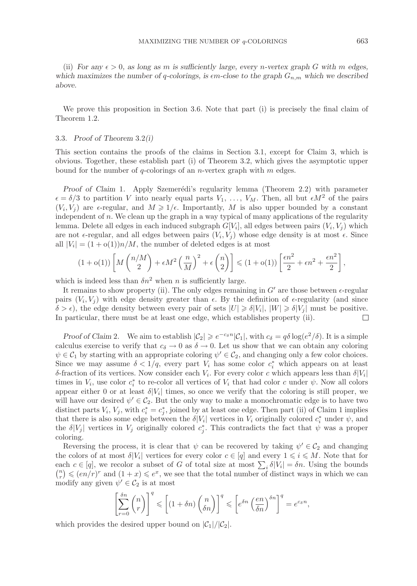(ii) *For any*  $\epsilon > 0$ , as long as m is sufficiently large, every n-vertex graph G with m edges, which maximizes the number of q-colorings, is  $\epsilon$ m-close to the graph  $G_{n,m}$  which we described *above.*

We prove this proposition in Section 3.6. Note that part (i) is precisely the final claim of Theorem 1.2.

## 3.3. *Proof of Theorem* 3.2*(i)*

This section contains the proofs of the claims in Section 3.1, except for Claim 3, which is obvious. Together, these establish part (i) of Theorem 3.2, which gives the asymptotic upper bound for the number of  $q$ -colorings of an *n*-vertex graph with  $m$  edges.

*Proof of Claim 1.* Apply Szemerédi's regularity lemma (Theorem 2.2) with parameter  $\epsilon = \delta/3$  to partition V into nearly equal parts  $V_1, \ldots, V_M$ . Then, all but  $\epsilon M^2$  of the pairs  $(V_i, V_j)$  are  $\epsilon$ -regular, and  $M \geq 1/\epsilon$ . Importantly, M is also upper bounded by a constant independent of  $n$ . We clean up the graph in a way typical of many applications of the regularity lemma. Delete all edges in each induced subgraph  $G[V_i]$ , all edges between pairs  $(V_i, V_j)$  which are not  $\epsilon$ -regular, and all edges between pairs  $(V_i, V_j)$  whose edge density is at most  $\epsilon$ . Since all  $|V_i| = (1 + o(1))n/M$ , the number of deleted edges is at most

$$
(1+o(1))\left[M\left(\frac{n/M}{2}\right)+\epsilon M^2\left(\frac{n}{M}\right)^2+\epsilon\left(\frac{n}{2}\right)\right] \leq (1+o(1))\left[\frac{\epsilon n^2}{2}+\epsilon n^2+\frac{\epsilon n^2}{2}\right],
$$

which is indeed less than  $\delta n^2$  when n is sufficiently large.

It remains to show property (ii). The only edges remaining in  $G'$  are those between  $\epsilon$ -regular pairs  $(V_i, V_j)$  with edge density greater than  $\epsilon$ . By the definition of  $\epsilon$ -regularity (and since  $\delta > \epsilon$ , the edge density between every pair of sets  $|U| \geq \delta |V_i|$ ,  $|W| \geq \delta |V_j|$  must be positive. In particular, there must be at least one edge, which establishes property (ii).  $\Box$ 

*Proof of Claim* 2*.* We aim to establish  $|\mathcal{C}_2| \geq e^{-c_5n} |\mathcal{C}_1|$ , with  $c_\delta = q\delta \log(e^2/\delta)$ . It is a simple calculus exercise to verify that  $c_{\delta} \to 0$  as  $\delta \to 0$ . Let us show that we can obtain any coloring  $\psi \in C_1$  by starting with an appropriate coloring  $\psi' \in C_2$ , and changing only a few color choices. Since we may assume  $\delta < 1/q$ , every part  $V_i$  has some color  $c_i^*$  which appears on at least δ-fraction of its vertices. Now consider each  $V_i$ . For every color c which appears less than  $\delta |V_i|$ times in  $V_i$ , use color  $c_i^*$  to re-color all vertices of  $V_i$  that had color c under  $\psi$ . Now all colors appear either 0 or at least  $\delta|V_i|$  times, so once we verify that the coloring is still proper, we will have our desired  $\psi' \in C_2$ . But the only way to make a monochromatic edge is to have two distinct parts  $V_i$ ,  $V_j$ , with  $c_i^* = c_j^*$ , joined by at least one edge. Then part (ii) of Claim 1 implies that there is also some edge between the  $\delta |V_i|$  vertices in  $V_i$  originally colored  $c_i^*$  under  $\psi$ , and the  $\delta|V_j|$  vertices in  $V_j$  originally colored  $c_j^*$ . This contradicts the fact that  $\psi$  was a proper coloring.

Reversing the process, it is clear that  $\psi$  can be recovered by taking  $\psi' \in C_2$  and changing the colors of at most  $\delta|V_i|$  vertices for every color  $c \in [q]$  and every  $1 \leq i \leq M$ . Note that for each  $c \in [q]$ , we recolor a subset of G of total size at most  $\sum_i \delta |V_i| = \delta n$ . Using the bounds  $\binom{n}{r} \leqslant (en/r)^r$  and  $(1+x) \leqslant e^x$ , we see that the total number of distinct ways in which we can modify any given  $\psi' \in C_2$  is at most

$$
\left[\sum_{r=0}^{\delta n} \binom{n}{r}\right]^q \leqslant \left[(1+\delta n) \binom{n}{\delta n}\right]^q \leqslant \left[e^{\delta n} \left(\frac{en}{\delta n}\right)^{\delta n}\right]^q = e^{c_{\delta}n},
$$

which provides the desired upper bound on  $|\mathcal{C}_1|/|\mathcal{C}_2|$ .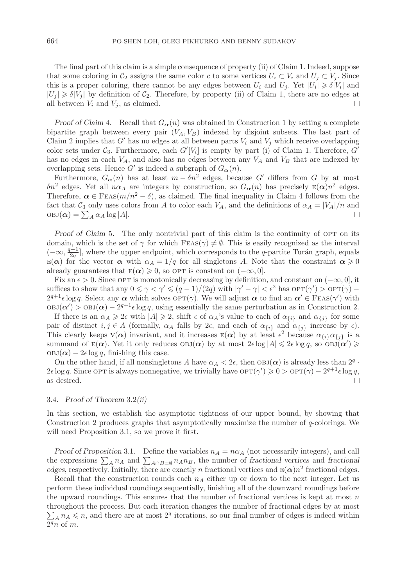The final part of this claim is a simple consequence of property (ii) of Claim 1. Indeed, suppose that some coloring in  $C_2$  assigns the same color c to some vertices  $U_i \subset V_i$  and  $U_j \subset V_j$ . Since this is a proper coloring, there cannot be any edges between  $U_i$  and  $U_j$ . Yet  $|U_i| \geq \delta |V_i|$  and  $|U_j| \geq \delta |V_j|$  by definition of  $C_2$ . Therefore, by property (ii) of Claim 1, there are no edges at  $\Box$ all between  $V_i$  and  $V_j$ , as claimed.

*Proof of Claim 4.* Recall that  $G_{\alpha}(n)$  was obtained in Construction 1 by setting a complete bipartite graph between every pair  $(V_A, V_B)$  indexed by disjoint subsets. The last part of Claim 2 implies that  $G'$  has no edges at all between parts  $V_i$  and  $V_j$  which receive overlapping color sets under  $C_3$ . Furthermore, each  $G'[V_i]$  is empty by part (i) of Claim 1. Therefore,  $G'$ <br>has no edges in each  $V_i$ , and also has no edges between any  $V_i$  and  $V_j$ , that are indeped by has no edges in each  $V_A$ , and also has no edges between any  $V_A$  and  $V_B$  that are indexed by overlapping sets. Hence G' is indeed a subgraph of  $G_{\alpha}(n)$ .

Furthermore,  $G_{\alpha}(n)$  has at least  $m - \delta n^2$  edges, because G' differs from G by at most  $\delta n^2$  edges. Yet all  $n\alpha_A$  are integers by construction, so  $G_{\alpha}(n)$  has precisely  $E(\alpha)n^2$  edges. Therefore,  $\alpha \in \text{Feas}(m/n^2 - \delta)$ , as claimed. The final inequality in Claim 4 follows from the fact that  $C_3$  only uses colors from A to color each  $V_A$ , and the definitions of  $\alpha_A = |V_A|/n$  and  $\alpha_B = \sum_A \alpha_A \log |A|$ .  $\mathrm{OBJ}(\boldsymbol{\alpha}) = \sum_{A} \alpha_A \log |A|.$ 

*Proof of Claim 5.* The only nontrivial part of this claim is the continuity of OPT on its domain, which is the set of  $\gamma$  for which  $FES(\gamma) \neq \emptyset$ . This is easily recognized as the interval  $(-\infty, \frac{q-1}{2q}]$ , where the upper endpoint, which corresponds to the q-partite Turán graph, equals  $E(\alpha)$  for the vector  $\alpha$  with  $\alpha \neq 1/q$  for all singletons A. Note that the constraint  $\alpha \geq 0$  $E(\alpha)$  for the vector  $\alpha$  with  $\alpha_A = 1/q$  for all singletons A. Note that the constraint  $\alpha \geq 0$ already guarantees that  $E(\alpha) \geq 0$ , so OPT is constant on  $(-\infty, 0]$ .

Fix an  $\epsilon > 0$ . Since OPT is monotonically decreasing by definition, and constant on  $(-\infty, 0]$ , it suffices to show that any  $0 \le \gamma < \gamma' \le (q-1)/(2q)$  with  $|\gamma' - \gamma| < \epsilon^2$  has  $\text{OPT}(\gamma') > \text{OPT}(\gamma)$  $2^{q+1} \epsilon \log q$ . Select any  $\alpha$  which solves  $\text{OPT}(\gamma)$ . We will adjust  $\alpha$  to find an  $\alpha' \in \text{FES}(\gamma')$  with  $\text{OBJ}(\alpha') > \text{OBJ}(\alpha) - 2^{q+1} \epsilon \log q$ , using essentially the same perturbation as in Construction 2.

If there is an  $\alpha_A \geqslant 2\epsilon$  with  $|A| \geqslant 2$ , shift  $\epsilon$  of  $\alpha_A$ 's value to each of  $\alpha_{\{i\}}$  and  $\alpha_{\{j\}}$  for some pair of distinct  $i, j \in A$  (formally,  $\alpha_A$  falls by  $2\epsilon$ , and each of  $\alpha_{\{i\}}$  and  $\alpha_{\{j\}}$  increase by  $\epsilon$ ). This clearly keeps  $V(\alpha)$  invariant, and it increases  $E(\alpha)$  by at least  $\epsilon^2$  because  $\alpha_{\{i\}}\alpha_{\{j\}}$  is a summand of  $E(\boldsymbol{\alpha})$ . Yet it only reduces  $OBJ(\boldsymbol{\alpha})$  by at most  $2\epsilon \log |A| \leqslant 2\epsilon \log q$ , so  $OBJ(\boldsymbol{\alpha}') \geqslant$  $\text{OBJ}(\alpha) - 2\epsilon \log q$ , finishing this case.

On the other hand, if all nonsingletons A have  $\alpha_A < 2\epsilon$ , then  $OBJ(\alpha)$  is already less than  $2^q \cdot$  $2\epsilon \log q$ . Since OPT is always nonnegative, we trivially have  $\text{OPT}(\gamma') \geqslant 0 > \text{OPT}(\gamma) - 2^{q+1} \epsilon \log q$ , as desired.  $\Box$ 

## 3.4. *Proof of Theorem* 3.2*(ii)*

In this section, we establish the asymptotic tightness of our upper bound, by showing that Construction 2 produces graphs that asymptotically maximize the number of q-colorings. We will need Proposition 3.1, so we prove it first.

*Proof of Proposition* 3.1. Define the variables  $n_A = n\alpha_A$  (not necessarily integers), and call the expressions  $\sum_{A} n_A$  and  $\sum_{A \cap B} \in \emptyset$   $n_A n_B$ , the number of *fractional vertices* and *fractional edges* respectively Initially there are exactly *n* fractional vertices and  $F(\alpha)n^2$  fractional edges *edges*, respectively. Initially, there are exactly n fractional vertices and  $E(\alpha)n^2$  fractional edges.

Recall that the construction rounds each  $n_A$  either up or down to the next integer. Let us perform these individual roundings sequentially, finishing all of the downward roundings before the upward roundings. This ensures that the number of fractional vertices is kept at most  $n$ throughout the process. But each iteration changes the number of fractional edges by at most  $\sum_{A} n_A \leqslant n$ , and there are at most  $2^q$  iterations, so our final number of edges is indeed within  $2^qn$  of  $m.$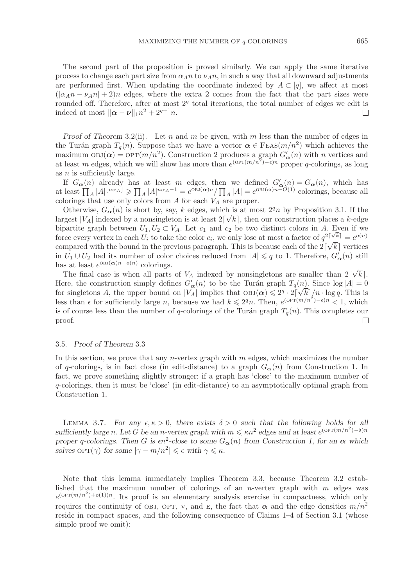The second part of the proposition is proved similarly. We can apply the same iterative process to change each part size from  $\alpha_A n$  to  $\nu_A n$ , in such a way that all downward adjustments are performed first. When updating the coordinate indexed by  $A \subset [q]$ , we affect at most  $(|\alpha_A n - \nu_A n| + 2)n$  edges, where the extra 2 comes from the fact that the part sizes were rounded off. Therefore, after at most  $2<sup>q</sup>$  total iterations, the total number of edges we edit is indeed at most  $\|\boldsymbol{\alpha} - \boldsymbol{\nu}\|_1 n^2 + 2^{q+1} n$ .  $\Box$ 

*Proof of Theorem* 3.2(ii). Let n and m be given, with m less than the number of edges in the Turán graph  $T_a(n)$ . Suppose that we have a vector  $\alpha \in \text{FEas}(m/n^2)$  which achieves the maximum  $OBJ(\alpha) = OPT(m/n^2)$ . Construction 2 produces a graph  $G'_{\alpha}(n)$  with n vertices and at least m edges, which we will show has more than  $e^{(\text{OPT}(m/n^2)-\epsilon)n}$  proper q-colorings, as long as  $n$  is sufficiently large.

If  $G_{\alpha}(n)$  already has at least m edges, then we defined  $G'_{\alpha}(n) = G_{\alpha}(n)$ , which has at least  $\prod_A |A|^{n \alpha_A} \ge \prod_A |A|^{n \alpha_A - 1} = e^{\text{OBJ}(\alpha)n} / \prod_A |A| = e^{\text{OBJ}(\alpha)n - O(1)}$  colorings, because all colorings that use only colors from  $A$  for each  $V_A$  are proper.

Otherwise,  $G_{\alpha}(n)$  is short by, say, k edges, which is at most  $2^{q}n$  by Proposition 3.1. If the largest  $|V_A|$  indexed by a nonsingleton is at least  $2\lceil \sqrt{k} \rceil$ , then our construction places a k-edge bipartite graph between  $U_1, U_2 \subset V_A$ . Let  $c_1$  and  $c_2$  be two distinct colors in A. Even if we bipartite graph between  $C_1, C_2 \subset V_A$ . Let  $C_1$  and  $C_2$  be two distinct colors in A. Even if we<br>force every vertex in each  $U_i$  to take the color  $c_i$ , we only lose at most a factor of  $q^{2\lceil \sqrt{k} \rceil} = e^{o(n)}$ compared with the bound in the previous paragraph. This is because each of the  $2[\sqrt{k}]$  vertices in  $U_1 \cup U_2$  had its number of color choices reduced from  $|A| \leq q$  to 1. Therefore,  $G'_{\alpha}(n)$  still<br>has at least  $e^{0BJ(\alpha)n - o(n)}$  colorings has at least  $e^{OBJ(\boldsymbol{\alpha})n-o(n)}$  colorings. √

The final case is when all parts of  $V_A$  indexed by nonsingletons are smaller than 2  $k$ . Here, the construction simply defines  $G'_{\alpha}(n)$  to be the Turán graph  $T_q(n)$ . Since  $\log |A| = 0$ for singletons A, the upper bound on  $|V_A|$  implies that  $\text{OBJ}(\alpha) \leq 2^q \cdot 2 \lceil \sqrt{k} \rceil / n \cdot \log q$ . This is less than  $\epsilon$  for sufficiently large n, because we had  $k \leq 2<sup>q</sup>n$ . Then,  $e^{(\text{OPT}(m/n^2)-\epsilon)n} < 1$ , which is of course less than the number of q-colorings of the Turán graph  $T_q(n)$ . This completes our proof.  $\Box$ 

## 3.5. *Proof of Theorem* 3.3

In this section, we prove that any *n*-vertex graph with  $m$  edges, which maximizes the number of q-colorings, is in fact close (in edit-distance) to a graph  $G_{\alpha}(n)$  from Construction 1. In fact, we prove something slightly stronger: if a graph has 'close' to the maximum number of q-colorings, then it must be 'close' (in edit-distance) to an asymptotically optimal graph from Construction 1.

LEMMA 3.7. *For any*  $\epsilon, \kappa > 0$ , there exists  $\delta > 0$  such that the following holds for all *sufficiently large* n. Let G be an n-vertex graph with  $m \leq \kappa n^2$  edges and at least  $e^{(\text{OPT}(m/n^2) - \delta)n}$ *proper* q-colorings. Then G is  $\epsilon n^2$ -close to some  $G_{\alpha}(n)$  from Construction 1, for an  $\alpha$  which *solves*  $\text{OPT}(\gamma)$  *for some*  $|\gamma - m/n^2| \leq \epsilon$  *with*  $\gamma \leq \kappa$ *.* 

Note that this lemma immediately implies Theorem 3.3, because Theorem 3.2 established that the maximum number of colorings of an *n*-vertex graph with  $m$  edges was  $e^{(\text{OPT}(m/n^2)+o(1))n}$ . Its proof is an elementary analysis exercise in compactness, which only requires the continuity of OBJ, OPT, V, and E, the fact that  $\alpha$  and the edge densities  $m/n^2$ reside in compact spaces, and the following consequence of Claims 1–4 of Section 3.1 (whose simple proof we omit):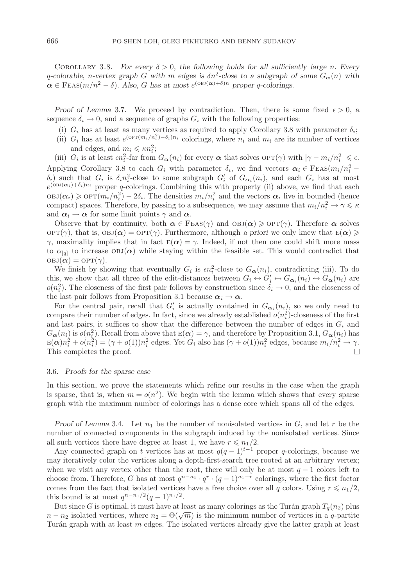COROLLARY 3.8. *For every*  $\delta > 0$ , the following holds for all sufficiently large n. Every q-colorable, n-vertex graph G with m edges is  $\delta n^2$ -close to a subgraph of some  $G_{\alpha}(n)$  with  $\alpha \in \text{Feas}(m/n^2 - \delta)$ . Also, G has at most  $e^{(\text{OBJ}(\alpha) + \delta)n}$  proper q-colorings.

*Proof of Lemma* 3.7. We proceed by contradiction. Then, there is some fixed  $\epsilon > 0$ , a sequence  $\delta_i \to 0$ , and a sequence of graphs  $G_i$  with the following properties:

- (i)  $G_i$  has at least as many vertices as required to apply Corollary 3.8 with parameter  $\delta_i$ ;
- (ii)  $G_i$  has at least  $e^{(\text{OPT}(m_i/n_i^2) \delta_i)n_i}$  colorings, where  $n_i$  and  $m_i$  are its number of vertices
- and edges, and  $m_i \leqslant \kappa n_i^2$ ;

(iii)  $G_i$  is at least  $\epsilon n_i^2$ -far from  $G_{\boldsymbol{\alpha}}(n_i)$  for every  $\boldsymbol{\alpha}$  that solves  $\mathrm{OPT}(\gamma)$  with  $|\gamma - m_i/n_i^2| \leqslant \epsilon$ . Applying Corollary 3.8 to each  $G_i$  with parameter  $\delta_i$ , we find vectors  $\alpha_i \in \text{Feas}(m_i/n_i^2 \delta_i$ ) such that  $G_i$  is  $\delta_i n_i^2$ -close to some subgraph  $G'_i$  of  $G_{\alpha_i}(n_i)$ , and each  $G_i$  has at most  $e^{(\text{OBJ}(\alpha_i)+\delta_i)n_i}$  proper q-colorings. Combining this with property (ii) above, we find that each  $\text{OBJ}(\alpha_i) \geq \text{OPT}(m_i/n_i^2) - 2\delta_i$ . The densities  $m_i/n_i^2$  and the vectors  $\alpha_i$  live in bounded (hence compact) spaces. Therefore, by passing to a subsequence, we may assume that  $m_i/n_i^2 \to \gamma \leq \kappa$ and  $\alpha_i \to \alpha$  for some limit points  $\gamma$  and  $\alpha$ .

Observe that by continuity, both  $\alpha \in \text{Feas}(\gamma)$  and  $\text{OBJ}(\alpha) \geq \text{OPT}(\gamma)$ . Therefore  $\alpha$  solves  $\text{OPT}(\gamma)$ , that is,  $\text{OBJ}(\alpha) = \text{OPT}(\gamma)$ . Furthermore, although *a priori* we only knew that  $E(\alpha) \geq$  $γ$ , maximality implies that in fact  $E(α) = γ$ . Indeed, if not then one could shift more mass to  $\alpha_{[q]}$  to increase  $OBJ(\alpha)$  while staying within the feasible set. This would contradict that  $OBJ(\alpha) = OPT(\gamma)$ .

We finish by showing that eventually  $G_i$  is  $\epsilon n_i^2$ -close to  $G_{\alpha}(n_i)$ , contradicting (iii). To do this, we show that all three of the edit-distances between  $G_i \leftrightarrow G'_i \leftrightarrow G_{\alpha_i}(n_i) \leftrightarrow G_{\alpha}(n_i)$  are  $o(n_i^2)$ . The closeness of the first pair follows by construction since  $\delta_i \to 0$ , and the closeness of the last pair follows from Proposition 3.1 because  $\alpha_i \rightarrow \alpha$ .

For the central pair, recall that  $G_i'$  is actually contained in  $G_{\alpha_i}(n_i)$ , so we only need to compare their number of edges. In fact, since we already established  $o(n_i^2)$ -closeness of the first and last pairs, it suffices to show that the difference between the number of edges in  $G_i$  and  $G_{\alpha}(n_i)$  is  $o(n_i^2)$ . Recall from above that  $E(\alpha) = \gamma$ , and therefore by Proposition 3.1,  $G_{\alpha}(n_i)$  has  $E(\alpha)n_i^2 + o(n_i^2) = (\gamma + o(1))n_i^2$  edges. Yet  $G_i$  also has  $(\gamma + o(1))n_i^2$  edges, because  $m_i/n_i^2 \to \gamma$ . This completes the proof.

## 3.6. *Proofs for the sparse case*

In this section, we prove the statements which refine our results in the case when the graph is sparse, that is, when  $m = o(n^2)$ . We begin with the lemma which shows that every sparse graph with the maximum number of colorings has a dense core which spans all of the edges.

*Proof of Lemma* 3.4. Let  $n_1$  be the number of nonisolated vertices in  $G$ , and let  $r$  be the number of connected components in the subgraph induced by the nonisolated vertices. Since all such vertices there have degree at least 1, we have  $r \leq n_1/2$ .

Any connected graph on t vertices has at most  $q(q-1)^{t-1}$  proper q-colorings, because we may iteratively color the vertices along a depth-first-search tree rooted at an arbitrary vertex; when we visit any vertex other than the root, there will only be at most  $q - 1$  colors left to choose from. Therefore, G has at most  $q^{n-n_1} \cdot q^r \cdot (q-1)^{n_1-r}$  colorings, where the first factor comes from the fact that isolated vertices have a free choice over all q colors. Using  $r \le n_1/2$ , this bound is at most  $q^{n-n_1/2}(q-1)^{n_1/2}$ .

But since G is optimal, it must have at least as many colorings as the Turán graph  $T_q(n_2)$  plus  $n - n_2$  isolated vertices, where  $n_2 = \Theta(\sqrt{m})$  is the minimum number of vertices in a q-partite Turán graph with at least  $m$  edges. The isolated vertices already give the latter graph at least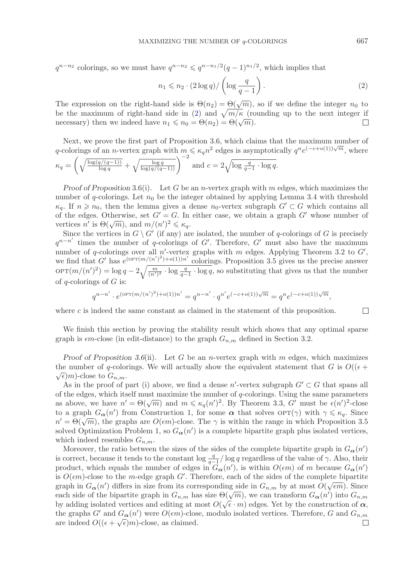$q^{n-n_2}$  colorings, so we must have  $q^{n-n_2} \leqslant q^{n-n_1/2}(q-1)^{n_1/2}$ , which implies that

<span id="page-12-0"></span>
$$
n_1 \leqslant n_2 \cdot (2 \log q) / \left( \log \frac{q}{q-1} \right). \tag{2}
$$

The expression on the right-hand side is  $\Theta(n_2) = \Theta(\sqrt{m})$ , so if we define the integer  $n_0$  to be the maximum of right-hand side in [\(2\)](#page-12-0) and  $\sqrt{m}/\kappa$  (rounding up to the next integer if necessary) then we indeed have  $n_1 \leq n_0 = \Theta(n_2) = \Theta(\sqrt{m}).$  $\Box$ 

Next, we prove the first part of Proposition 3.6, which claims that the maximum number of q-colorings of an n-vertex graph with  $m \leq \kappa_q n^2$  edges is asymptotically  $q^n e^{(-c+o(1))\sqrt{m}}$ , where

$$
\kappa_q = \left(\sqrt{\frac{\log(q/(q-1))}{\log q}} + \sqrt{\frac{\log q}{\log(q/(q-1))}}\right)^{-2} \text{ and } c = 2\sqrt{\log \frac{q}{q-1} \cdot \log q}.
$$

*Proof of Proposition* 3.6(i). Let G be an *n*-vertex graph with m edges, which maximizes the number of q-colorings. Let  $n_0$  be the integer obtained by applying Lemma 3.4 with threshold  $\kappa_q$ . If  $n \geq n_0$ , then the lemma gives a dense  $n_0$ -vertex subgraph  $G' \subset G$  which contains all<br>of the edges. Otherwise set  $G' = G$ . In either associate electric a graph  $G'$  whose number of of the edges. Otherwise, set  $G' = G$ . In either case, we obtain a graph  $G'$  whose number of vertices *n'* is  $\Theta(\sqrt{m})$ , and  $m/(n')^2 \le \kappa_q$ .

Since the vertices in  $G \setminus G'$  (if any) are isolated, the number of q-colorings of G is precisely  $q^{n-n'}$  times the number of q-colorings of G'. Therefore, G' must also have the maximum number of q-colorings over all  $n'$ -vertex graphs with m edges. Applying Theorem 3.2 to  $G'$ , we find that G' has  $e^{(\text{OPT}(m/(n')^2)+o(1))n'}$  colorings. Proposition 3.5 gives us the precise answer  $\text{OPT}(m/(n')^2) = \log q - 2\sqrt{\frac{m}{(n')^2} \cdot \log \frac{q}{q-1} \cdot \log q}$ , so substituting that gives us that the number of  $q$ -colorings of  $G$  is:

$$
q^{n-n'} \cdot e^{(\text{OPT}(m/(n')^2) + o(1))n'} = q^{n-n'} \cdot q^{n'} e^{(-c+o(1))\sqrt{m}} = q^n e^{(-c+o(1))\sqrt{m}},
$$

where  $c$  is indeed the same constant as claimed in the statement of this proposition.

 $\Box$ 

We finish this section by proving the stability result which shows that any optimal sparse graph is  $\epsilon m$ -close (in edit-distance) to the graph  $G_{n,m}$  defined in Section 3.2.

*Proof of Proposition 3.6*(ii). Let G be an *n*-vertex graph with m edges, which maximizes the number of q-colorings. We will actually show the equivalent statement that G is  $O((\epsilon +$  $\sqrt{\epsilon}$ )m)-close to  $G_{n,m}$ .

As in the proof of part (i) above, we find a dense n'-vertex subgraph  $G' \subset G$  that spans all of the edges, which itself must maximize the number of  $q$ -colorings. Using the same parameters as above, we have  $n' = \Theta(\sqrt{m})$  and  $m \leq \kappa_q(n')^2$ . By Theorem 3.3, G' must be  $\epsilon(n')^2$ -close to a graph  $G_{\alpha}(n')$  from Construction 1, for some  $\alpha$  that solves  $\text{OPT}(\gamma)$  with  $\gamma \leq \kappa_q$ . Since  $n' = \Theta(\sqrt{m})$ , the graphs are  $O(\epsilon m)$ -close. The  $\gamma$  is within the range in which Proposition 3.5 solved Optimization Problem 1, so  $G_{\alpha}(n')$  is a complete bipartite graph plus isolated vertices, which indeed resembles  $G_{n,m}$ .

Moreover, the ratio between the sizes of the sides of the complete bipartite graph in  $G_{\alpha}(n')$ is correct, because it tends to the constant  $\log \frac{q}{q-1}/\log q$  regardless of the value of  $\gamma$ . Also, their<br>product, which equals the number of edges in  $G_n(\gamma')$  is within  $O(\epsilon m)$  of m because  $G_n(\gamma')$ product, which equals the number of edges in  $G_{\alpha}(n')$ , is within  $O(\epsilon m)$  of m because  $G_{\alpha}(n')$ is  $O(\epsilon m)$ -close to the m-edge graph G'. Therefore, each of the sides of the complete bipartite graph in  $G_{\alpha}(n')$  differs in size from its corresponding side in  $G_{n,m}$  by at most  $O(\sqrt{\epsilon m})$ . Since each side of the bipartite graph in  $G_{n,m}$  has size  $\Theta(\sqrt{m})$ , we can transform  $G_{\alpha}(n')$  into  $G_{n,m}$ by adding isolated vertices and editing at most  $O(\sqrt{\epsilon} \cdot m)$  edges. Yet by the construction of  $\alpha$ , by adding isolated vertices and editing at most  $O(\sqrt{\epsilon} \cdot m)$  edges. Yet by the construction of  $\alpha$ , the graphs G' and  $G_{\alpha}(n')$  were  $O(\epsilon m)$ -close, modulo isolated vertices. Therefore, G and  $G_{n,m}$ are indeed  $O((\epsilon + \sqrt{\epsilon})m)$ -close, as claimed.  $\Box$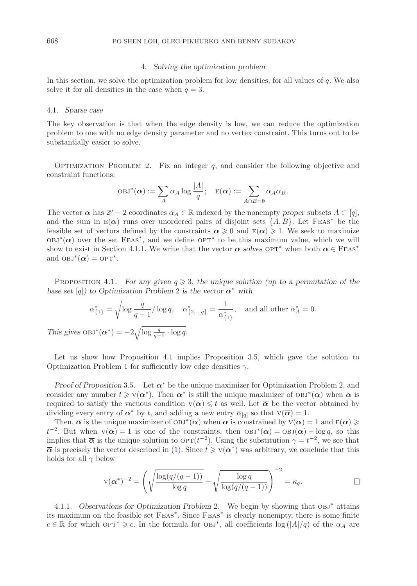## 4. *Solving the optimization problem*

In this section, we solve the optimization problem for low densities, for all values of  $q$ . We also solve it for all densities in the case when  $q = 3$ .

#### 4.1. *Sparse case*

The key observation is that when the edge density is low, we can reduce the optimization problem to one with no edge density parameter and no vertex constraint. This turns out to be substantially easier to solve.

OPTIMIZATION PROBLEM 2. Fix an integer  $q$ , and consider the following objective and constraint functions:

$$
\mathrm{OBJ}^*(\boldsymbol{\alpha}) := \sum_A \alpha_A \log \frac{|A|}{q}; \quad \mathrm{E}(\boldsymbol{\alpha}) := \sum_{A \cap B = \emptyset} \alpha_A \alpha_B.
$$

The vector  $\alpha$  has  $2^q - 2$  coordinates  $\alpha_A \in \mathbb{R}$  indexed by the nonempty *proper* subsets  $A \subset [q]$ , and the sum in  $E(\alpha)$  runs over unordered pairs of disjoint sets  $\{A, B\}$ . Let FEAS<sup>\*</sup> be the feasible set of vectors defined by the constraints  $\alpha \geqslant 0$  and  $E(\alpha) \geqslant 1$ . We seek to maximize  $OBJ<sup>*</sup>(\alpha)$  over the set FEAS<sup>\*</sup>, and we define  $OPT<sup>*</sup>$  to be this maximum value, which we will show to exist in Section 4.1.1. We write that the vector  $\alpha$  *solves*  $OPT^*$  when both  $\alpha \in \text{Feas}^*$ and  $OBJ^*(\alpha) = OPT^*$ .

PROPOSITION 4.1. *For any given*  $q \geq 3$ , the unique solution (up to a permutation of the *base set* [q]*)* to Optimization Problem 2 is the vector  $\alpha^*$  with

$$
\alpha_{\{1\}}^* = \sqrt{\log \frac{q}{q-1} / \log q}, \quad \alpha_{\{2,\ldots q\}}^* = \frac{1}{\alpha_{\{1\}}^*}, \quad \text{and all other } \alpha_A^* = 0.
$$
  
This gives  $OBJ^*(\alpha^*) = -2\sqrt{\log \frac{q}{q-1} \cdot \log q}.$ 

Let us show how Proposition 4.1 implies Proposition 3.5, which gave the solution to Optimization Problem 1 for sufficiently low edge densities  $\gamma$ .

*Proof of Proposition* 3.5*.* Let *α*<sup>∗</sup> be the unique maximizer for Optimization Problem 2, and consider any number  $t \geq v(\alpha^*)$ . Then  $\alpha^*$  is still the unique maximizer of  $OBJ^*(\alpha)$  when  $\alpha$  is required to satisfy the vacuous condition  $v(\alpha) \leqslant t$  as well. Let  $\overline{\alpha}$  be the vector obtained by dividing every entry of  $\alpha^*$  by t, and adding a new entry  $\overline{\alpha}_{[q]}$  so that  $\overline{v}(\overline{\alpha}) = 1$ .

Then,  $\overline{\alpha}$  is the unique maximizer of  $OBJ^*(\alpha)$  when  $\alpha$  is constrained by  $V(\alpha) = 1$  and  $E(\alpha) \geq$  $t^{-2}$ . But when  $V(\alpha) = 1$  is one of the constraints, then  $OBJ^*(\alpha) = OBJ(\alpha) - log q$ , so this implies that  $\bar{\alpha}$  is the unique solution to  $\text{OPT}(t^{-2})$ . Using the substitution  $\gamma = t^{-2}$ , we see that  $\bar{\alpha}$  is precisely the vector described in [\(1\)](#page-7-0). Since  $t \geqslant V(\alpha^*)$  was arbitrary, we conclude that this holds for all  $\gamma$  below

$$
V(\alpha^*)^{-2} = \left(\sqrt{\frac{\log(q/(q-1))}{\log q}} + \sqrt{\frac{\log q}{\log(q/(q-1))}}\right)^{-2} = \kappa_q.
$$

4.1.1. *Observations for Optimization Problem* 2*.* We begin by showing that obj<sup>∗</sup> attains its maximum on the feasible set Feas<sup>∗</sup>. Since Feas<sup>∗</sup> is clearly nonempty, there is some finite  $c \in \mathbb{R}$  for which  $OPT^* \geq c$ . In the formula for  $OBJ^*$ , all coefficients  $log (|A|/q)$  of the  $\alpha_A$  are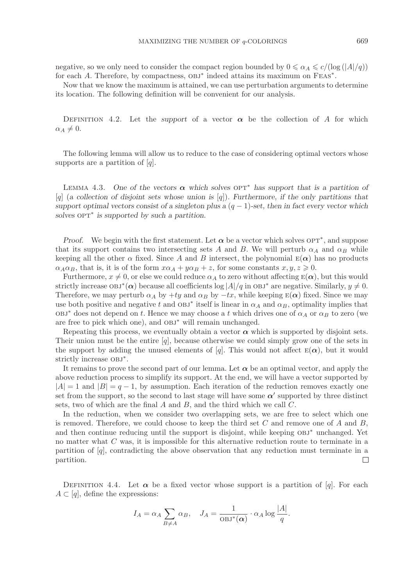negative, so we only need to consider the compact region bounded by  $0 \le \alpha_A \le c/(\log(|A|/q))$ for each A. Therefore, by compactness,  $OBJ^*$  indeed attains its maximum on  $FEAS^*$ .

Now that we know the maximum is attained, we can use perturbation arguments to determine its location. The following definition will be convenient for our analysis.

DEFINITION 4.2. Let the *support* of a vector  $\alpha$  be the collection of A for which  $\alpha_A \neq 0$ .

The following lemma will allow us to reduce to the case of considering optimal vectors whose supports are a partition of  $[q]$ .

LEMMA 4.3. One of the vectors  $\alpha$  which solves  $\alpha$  **p**<sup> $\tau$ \*</sup> has support that is a partition of [q] (*a collection of disjoint sets whose union is* [q])*. Furthermore, if the only partitions that support optimal vectors consist of a singleton plus a*  $(q - 1)$ -set, then in fact every vector which  $solves$  opT<sup>∗</sup> *is supported by such a partition.* 

*Proof.* We begin with the first statement. Let  $\alpha$  be a vector which solves  $OPT^*$ , and suppose that its support contains two intersecting sets A and B. We will perturb  $\alpha_A$  and  $\alpha_B$  while keeping all the other  $\alpha$  fixed. Since A and B intersect, the polynomial  $E(\alpha)$  has no products  $\alpha_A \alpha_B$ , that is, it is of the form  $x\alpha_A + y\alpha_B + z$ , for some constants  $x, y, z \ge 0$ .

Furthermore,  $x \neq 0$ , or else we could reduce  $\alpha_A$  to zero without affecting  $E(\alpha)$ , but this would strictly increase  $OBJ^*(\alpha)$  because all coefficients  $log|A|/q$  in  $OBJ^*$  are negative. Similarly,  $y \neq 0$ . Therefore, we may perturb  $\alpha_A$  by  $+ty$  and  $\alpha_B$  by  $-tx$ , while keeping  $E(\alpha)$  fixed. Since we may use both positive and negative t and  $OBJ^*$  itself is linear in  $\alpha_A$  and  $\alpha_B$ , optimality implies that  $OBJ^*$  does not depend on t. Hence we may choose a t which drives one of  $\alpha_A$  or  $\alpha_B$  to zero (we are free to pick which one), and obj<sup>∗</sup> will remain unchanged.

Repeating this process, we eventually obtain a vector  $\alpha$  which is supported by disjoint sets. Their union must be the entire  $[q]$ , because otherwise we could simply grow one of the sets in the support by adding the unused elements of [q]. This would not affect  $E(\alpha)$ , but it would strictly increase  $OBJ^*$ .

It remains to prove the second part of our lemma. Let  $\alpha$  be an optimal vector, and apply the above reduction process to simplify its support. At the end, we will have a vector supported by  $|A| = 1$  and  $|B| = q - 1$ , by assumption. Each iteration of the reduction removes exactly one set from the support, so the second to last stage will have some  $\alpha'$  supported by three distinct sets, two of which are the final  $A$  and  $B$ , and the third which we call  $C$ .

In the reduction, when we consider two overlapping sets, we are free to select which one is removed. Therefore, we could choose to keep the third set C and remove one of A and  $B$ , and then continue reducing until the support is disjoint, while keeping obj<sup>∗</sup> unchanged. Yet no matter what C was, it is impossible for this alternative reduction route to terminate in a partition of  $|q|$ , contradicting the above observation that any reduction must terminate in a partition.  $\perp$ 

DEFINITION 4.4. Let  $\alpha$  be a fixed vector whose support is a partition of [q]. For each  $A \subset [q]$ , define the expressions:

$$
I_A = \alpha_A \sum_{B \neq A} \alpha_B, \quad J_A = \frac{1}{\text{OBJ}^*(\alpha)} \cdot \alpha_A \log \frac{|A|}{q}.
$$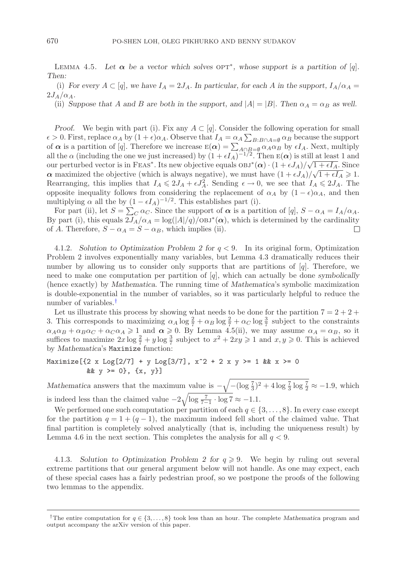LEMMA 4.5. Let  $\alpha$  be a vector which solves OPT<sup>\*</sup>, whose support is a partition of [q]. *Then:*

(i) For every  $A \subset [q]$ , we have  $I_A = 2J_A$ . In particular, for each A in the support,  $I_A/\alpha_A =$  $2J_A/\alpha_A$ .

(ii) *Suppose that* A and B are both in the support, and  $|A| = |B|$ . Then  $\alpha_A = \alpha_B$  as well.

*Proof.* We begin with part (i). Fix any  $A \subset [q]$ . Consider the following operation for small  $\epsilon > 0$ . First, replace  $\alpha_A$  by  $(1 + \epsilon)\alpha_A$ . Observe that  $I_A = \alpha_A \sum_{B:B \cap A=\emptyset} \alpha_B$  because the support of  $\alpha$  is a partition of [a]. Therefore we increase  $E(\alpha) = \sum_{B:B \cap A=\emptyset} \alpha_B$  by  $\epsilon I_A$ . Next, multiply of  $\alpha$  is a partition of [q]. Therefore we increase  $E(\alpha) = \sum_{A \cap B = \emptyset} \alpha_A \alpha_B$  by  $\epsilon I_A$ . Next, multiply all the  $\alpha$  (including the one we just increased) by  $(1 + \epsilon I_A)^{-1/2}$ . Then  $E(\alpha)$  is still at least 1 and our perturbed vector is in FEAs<sup>∗</sup>. Its new objective equals  $OBJ^*(\alpha) \cdot (1 + \epsilon J_A)/\sqrt{1 + \epsilon I_A}$ . Since *α* maximized the objective (which is always negative), we must have  $(1 + \epsilon J_A)/\sqrt{1 + \epsilon I_A} \ge 1$ . Rearranging, this implies that  $I_A \leq 2J_A + \epsilon J_A^2$ . Sending  $\epsilon \to 0$ , we see that  $I_A \leq 2J_A$ . The opposite inequality follows from considering the replacement of  $\alpha_A$  by  $(1 - \epsilon)\alpha_A$ , and then multiplying  $\alpha$  all the by  $(1 - \epsilon I_A)^{-1/2}$ . This establishes part (i).

For part (ii), let  $S = \sum_C \alpha_C$ . Since the support of  $\alpha$  is a partition of [q],  $S - \alpha_A = I_A/\alpha_A$ . By part (i), this equals  $2J_A/\alpha_A = \log(|A|/q)/O\frac{BJ^*(\alpha)}{N}$ , which is determined by the cardinality of A. Therefore,  $S - \alpha_A = S - \alpha_B$ , which implies (ii).  $\Box$ 

4.1.2. *Solution to Optimization Problem 2 for* q < 9*.* In its original form, Optimization Problem 2 involves exponentially many variables, but Lemma 4.3 dramatically reduces their number by allowing us to consider only supports that are partitions of  $[q]$ . Therefore, we need to make one computation per partition of [q], which can actually be done *symbolically* (hence exactly) by *Mathematica*. The running time of *Mathematica*'s symbolic maximization is double-exponential in the number of variables, so it was particularly helpful to reduce the number of variables.[†](#page-15-0)

Let us illustrate this process by showing what needs to be done for the partition  $7 = 2 + 2 + 1$ 3. This corresponds to maximizing  $\alpha_A \log \frac{2}{7} + \alpha_B \log \frac{2}{7} + \alpha_C \log \frac{3}{7}$  subject to the constraints  $\alpha_{A} \alpha_B + \alpha_B \alpha_C + \alpha_C \alpha_A \ge 1$  and  $\alpha \ge 0$ . By Lemma 4.5(ii) we may assume  $\alpha_A = \alpha_B$  so it  $\alpha_A \alpha_B + \alpha_B \alpha_C + \alpha_C \alpha_A \geq 1$  and  $\alpha \geq 0$ . By Lemma 4.5(ii), we may assume  $\alpha_A = \alpha_B$ , so it suffices to maximize  $2x \log \frac{2}{7} + y \log \frac{3}{7}$  subject to  $x^2 + 2xy \ge 1$  and  $x, y \ge 0$ . This is achieved<br>by Mathematica's Maximize function: by *Mathematica*'s Maximize function:<br>Maximize[{2 x Log[2/7] + y Log[3/7], x<sup>2</sup> + 2 x y >= 1 && x >= 0

&&  $y \ge 0$ ,  $\{x, y\}$ ]  $\ddot{x}$ ,  $\ddot{y}$ ,  $\ddot{y}$ ,  $\ddot{y}$ ,  $\ddot{y}$ 

*Mathematica* answers that the maximum value is  $-\sqrt{-(\log \frac{7}{3})^2 + 4 \log \frac{7}{3} \log \frac{7}{2}} \approx -1.9$ , which is indeed less than the claimed value  $-2\sqrt{\log \frac{7}{7-1} \cdot \log 7} \approx -1.1$ .<br>We performed one such computation per pertition of each  $\alpha \in \mathbb{R}$ .

We performed one such computation per partition of each  $q \in \{3,\ldots,8\}$ . In every case except for the partition  $q = 1 + (q - 1)$ , the maximum indeed fell short of the claimed value. That final partition is completely solved analytically (that is, including the uniqueness result) by Lemma 4.6 in the next section. This completes the analysis for all  $q < 9$ .

4.1.3. *Solution to Optimization Problem 2 for*  $q \ge 9$ . We begin by ruling out several extreme partitions that our general argument below will not handle. As one may expect, each of these special cases has a fairly pedestrian proof, so we postpone the proofs of the following two lemmas to the appendix.

<span id="page-15-0"></span><sup>&</sup>lt;sup>†</sup>The entire computation for  $q \in \{3, \ldots, 8\}$  took less than an hour. The complete *Mathematica* program and output accompany the arXiv version of this paper.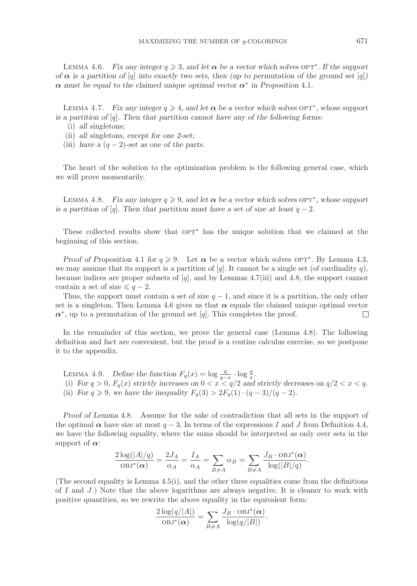LEMMA 4.6. *Fix any integer*  $q \geq 3$ , and let  $\alpha$  be a vector which solves  $OPT^*$ . If the support *of*  $\alpha$  *is a partition of* [q] *into exactly two sets, then (up to permutation of the ground set [q]) α must be equal to the claimed unique optimal vector α*<sup>∗</sup> *in Proposition* 4.1*.*

LEMMA 4.7. *Fix any integer*  $q \geq 4$ *, and let*  $\alpha$  *be a vector which solves*  $OPT^*$ *, whose support is a partition of* [q]*. Then that partition cannot have any of the following forms:*

- (i) *all singletons;*
- (ii) *all singletons, except for one 2-set;*
- (iii) *have a*  $(q-2)$ -set as one of the parts.

The heart of the solution to the optimization problem is the following general case, which we will prove momentarily.

LEMMA 4.8. *Fix any integer*  $q \ge 9$ , and let  $\alpha$  be a vector which solves  $OPT^*$ , whose support *is a partition of* [q]. Then that partition must have a set of size at least  $q - 2$ .

These collected results show that  $OPT^*$  has the unique solution that we claimed at the beginning of this section.

*Proof of Proposition* 4.1 *for*  $q \ge 9$ . Let  $\alpha$  be a vector which solves  $OPT^*$ . By Lemma 4.3, we may assume that its support is a partition of [q]. It cannot be a single set (of cardinality q), because indices are proper subsets of  $[q]$ , and by Lemmas 4.7(iii) and 4.8, the support cannot contain a set of size  $\leq q-2$ .

Thus, the support must contain a set of size  $q - 1$ , and since it is a partition, the only other set is a singleton. Then Lemma 4.6 gives us that  $\alpha$  equals the claimed unique optimal vector  $\alpha^*$ , up to a permutation of the ground set [q]. This completes the proof.  $\Box$ 

In the remainder of this section, we prove the general case (Lemma 4.8). The following definition and fact are convenient, but the proof is a routine calculus exercise, so we postpone it to the appendix.

LEMMA 4.9. *Define the function*  $F_q(x) = \log \frac{q}{q-x} \cdot \log \frac{q}{x}$ . (i) For  $q > 0$ ,  $F_q(x)$  strictly increases on  $0 < x < q/2$  and strictly decreases on  $q/2 < x < q$ . (ii) *For*  $q \ge 9$ *, we have the inequality*  $F_q(3) > 2F_q(1) \cdot (q-3)/(q-2)$ *.* 

*Proof of Lemma* 4.8*.* Assume for the sake of contradiction that all sets in the support of the optimal  $\alpha$  have size at most  $q-3$ . In terms of the expressions I and J from Definition 4.4, we have the following equality, where the sums should be interpreted as only over sets in the support of  $\alpha$ :

$$
\frac{2\log(|A|/q)}{\mathrm{OBJ}^*(\alpha)} = \frac{2J_A}{\alpha_A} = \frac{I_A}{\alpha_A} = \sum_{B \neq A} \alpha_B = \sum_{B \neq A} \frac{J_B \cdot \mathrm{OBJ}^*(\alpha)}{\log(|B|/q)}.
$$

(The second equality is Lemma  $4.5(i)$ , and the other three equalities come from the definitions of I and  $J$ .) Note that the above logarithms are always negative. It is cleaner to work with positive quantities, so we rewrite the above equality in the equivalent form:

$$
\frac{2\log(q/|A|)}{\mathrm{OBJ}^*(\alpha)} = \sum_{B \neq A} \frac{J_B \cdot \mathrm{OBJ}^*(\alpha)}{\log(q/|B|)}.
$$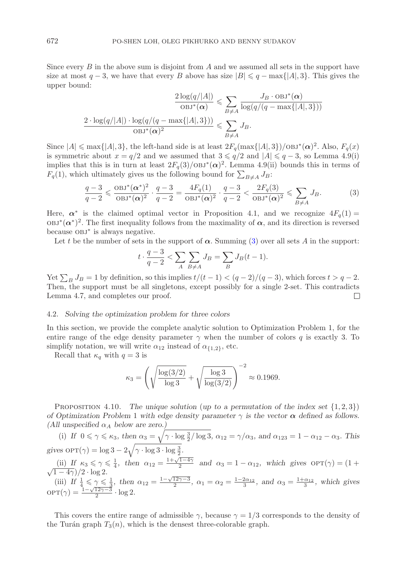Since every  $B$  in the above sum is disjoint from  $A$  and we assumed all sets in the support have size at most  $q - 3$ , we have that every B above has size  $|B| \leq q - \max\{|A|, 3\}$ . This gives the upper bound:

$$
\frac{2\log(q/|A|)}{\log(q)} \leq \sum_{B \neq A} \frac{J_B \cdot \log^*(\alpha)}{\log(q/(q - \max\{|A|, 3\}))}
$$

$$
\frac{2 \cdot \log(q/|A|) \cdot \log(q/(q - \max\{|A|, 3\}))}{\log^*(\alpha)^2} \leq \sum_{B \neq A} J_B.
$$

Since  $|A| \le \max\{|A|, 3\}$ , the left-hand side is at least  $2F_q(\max\{|A|, 3\})/\text{OBJ}^*(\alpha)^2$ . Also,  $F_q(x)$ is symmetric about  $x = q/2$  and we assumed that  $3 \le q/2$  and  $|A| \le q-3$ , so Lemma 4.9(i) implies that this is in turn at least  $2F_q(3)/0$ BJ<sup>\*</sup> $(\alpha)^2$ . Lemma 4.9(ii) bounds this in terms of  $F_q(1)$ , which ultimately gives us the following bound for  $\sum_{B \neq A} J_B$ :

<span id="page-17-0"></span>
$$
\frac{q-3}{q-2} \leq \frac{\text{OBJ}^*(\alpha^*)^2}{\text{OBJ}^*(\alpha)^2} \cdot \frac{q-3}{q-2} = \frac{4F_q(1)}{\text{OBJ}^*(\alpha)^2} \cdot \frac{q-3}{q-2} < \frac{2F_q(3)}{\text{OBJ}^*(\alpha)^2} \leq \sum_{B \neq A} J_B. \tag{3}
$$

Here,  $\alpha^*$  is the claimed optimal vector in Proposition 4.1, and we recognize  $4F_q(1)$  $OBJ^*(\alpha^*)^2$ . The first inequality follows from the maximality of  $\alpha$ , and its direction is reversed because obj<sup>∗</sup> is always negative.

Let t be the number of sets in the support of  $\alpha$ . Summing [\(3\)](#page-17-0) over all sets A in the support:

$$
t \cdot \frac{q-3}{q-2} < \sum_{A} \sum_{B \neq A} J_B = \sum_{B} J_B(t-1).
$$

Yet  $\sum_B J_B = 1$  by definition, so this implies  $t/(t-1) < (q-2)/(q-3)$ , which forces  $t > q-2$ . Then, the support must be all singletons, except possibly for a single 2-set. This contradicts Lemma 4.7, and completes our proof.  $\Box$ 

## 4.2. *Solving the optimization problem for three colors*

In this section, we provide the complete analytic solution to Optimization Problem 1, for the entire range of the edge density parameter  $\gamma$  when the number of colors q is exactly 3. To simplify notation, we will write  $\alpha_{12}$  instead of  $\alpha_{\{1,2\}}$ , etc.

Recall that  $\kappa_q$  with  $q=3$  is

$$
\kappa_3 = \left(\sqrt{\frac{\log(3/2)}{\log 3}} + \sqrt{\frac{\log 3}{\log(3/2)}}\right)^{-2} \approx 0.1969.
$$

PROPOSITION 4.10. *The unique solution* (*up to a permutation of the index set*  $\{1,2,3\}$ ) *of Optimization Problem 1 with edge density parameter*  $\gamma$  *is the vector*  $\alpha$  *defined as follows. (All unspecified*  $\alpha_A$  *below are zero.)* 

(i) *If*  $0 \le \gamma \le \kappa_3$ , then  $\alpha_3 = \sqrt{\gamma \cdot \log \frac{3}{2}} / \log 3$ ,  $\alpha_{12} = \gamma / \alpha_3$ , and  $\alpha_{123} = 1 - \alpha_{12} - \alpha_3$ . This gives  $\text{OPT}(\gamma) = \log 3 - 2\sqrt{\gamma} \cdot \log 3 \cdot \log \frac{3}{2}$ .

(ii) If  $\kappa_3 \le \gamma \le \frac{1}{4}$ , then  $\alpha_{12} = \frac{1+\sqrt{1-4\gamma}}{2}$  and  $\alpha_3 = 1 - \alpha_{12}$ , which gives  $\text{OPT}(\gamma) = (1 + \frac{1}{\sqrt{1-4\gamma}})\gamma$ .  $\frac{(n) \pi}{\sqrt{1-4\gamma}}$ /2 · log 2.

(iii) *If*  $\frac{1}{4} \le \gamma \le \frac{1}{3}$ , then  $\alpha_{12} = \frac{1-\sqrt{12\gamma-3}}{2}$ ,  $\alpha_1 = \alpha_2 = \frac{1-2\alpha_{12}}{3}$ , and  $\alpha_3 = \frac{1+\alpha_{12}}{3}$ , which gives  $\text{OPT}(\gamma) = \frac{1-\sqrt{12\gamma-3}}{2} \cdot \log 2$ .

This covers the entire range of admissible  $\gamma$ , because  $\gamma = 1/3$  corresponds to the density of the Turán graph  $T_3(n)$ , which is the densest three-colorable graph.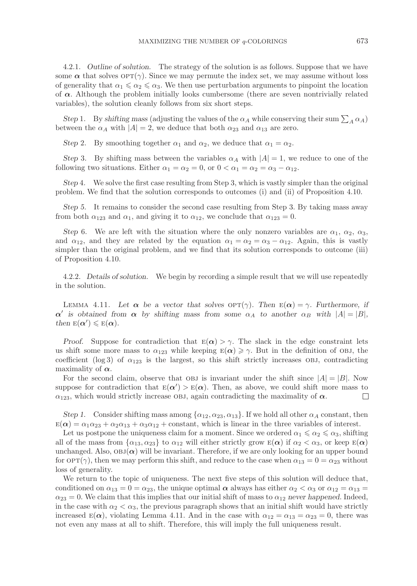4.2.1. *Outline of solution.* The strategy of the solution is as follows. Suppose that we have some  $\alpha$  that solves  $\text{OPT}(\gamma)$ . Since we may permute the index set, we may assume without loss of generality that  $\alpha_1 \leq \alpha_2 \leq \alpha_3$ . We then use perturbation arguments to pinpoint the location of *α*. Although the problem initially looks cumbersome (there are seven nontrivially related variables), the solution cleanly follows from six short steps.

*Step* 1. By *shifting mass* (adjusting the values of the  $\alpha_A$  while conserving their sum  $\sum_A \alpha_A$ ) between the  $\alpha_A$  with  $|A| = 2$ , we deduce that both  $\alpha_{23}$  and  $\alpha_{13}$  are zero.

*Step* 2*.* By smoothing together  $\alpha_1$  and  $\alpha_2$ , we deduce that  $\alpha_1 = \alpha_2$ .

*Step* 3*.* By shifting mass between the variables  $\alpha_A$  with  $|A| = 1$ , we reduce to one of the following two situations. Either  $\alpha_1 = \alpha_2 = 0$ , or  $0 < \alpha_1 = \alpha_2 = \alpha_3 - \alpha_{12}$ .

*Step* 4*.* We solve the first case resulting from Step 3, which is vastly simpler than the original problem. We find that the solution corresponds to outcomes (i) and (ii) of Proposition 4.10.

*Step 5.* It remains to consider the second case resulting from Step 3. By taking mass away from both  $\alpha_{123}$  and  $\alpha_1$ , and giving it to  $\alpha_{12}$ , we conclude that  $\alpha_{123} = 0$ .

*Step* 6*.* We are left with the situation where the only nonzero variables are  $\alpha_1$ ,  $\alpha_2$ ,  $\alpha_3$ , and  $\alpha_{12}$ , and they are related by the equation  $\alpha_1 = \alpha_2 = \alpha_3 - \alpha_{12}$ . Again, this is vastly simpler than the original problem, and we find that its solution corresponds to outcome (iii) of Proposition 4.10.

4.2.2. *Details of solution.* We begin by recording a simple result that we will use repeatedly in the solution.

LEMMA 4.11. Let  $\alpha$  be a vector that solves  $\text{OPT}(\gamma)$ . Then  $E(\alpha) = \gamma$ . Furthermore, if  $\alpha'$  is obtained from  $\alpha$  by shifting mass from some  $\alpha_A$  to another  $\alpha_B$  with  $|A| = |B|$ , *then*  $E(\alpha') \le E(\alpha)$ *.* 

*Proof.* Suppose for contradiction that  $E(\alpha) > \gamma$ . The slack in the edge constraint lets us shift some more mass to  $\alpha_{123}$  while keeping  $E(\alpha) \ge \gamma$ . But in the definition of OBJ, the coefficient (log 3) of  $\alpha_{123}$  is the largest, so this shift strictly increases OBJ, contradicting maximality of  $\alpha$ .

For the second claim, observe that OBJ is invariant under the shift since  $|A| = |B|$ . Now suppose for contradiction that  $E(\alpha') > E(\alpha)$ . Then, as above, we could shift more mass to  $\alpha_{123}$ , which would strictly increase OBJ, again contradicting the maximality of  $\alpha$ .  $\Box$ 

*Step 1.* Consider shifting mass among  $\{\alpha_{12}, \alpha_{23}, \alpha_{13}\}\.$  If we hold all other  $\alpha_A$  constant, then  $E(\alpha) = \alpha_1 \alpha_{23} + \alpha_2 \alpha_{13} + \alpha_3 \alpha_{12} + \text{constant}$ , which is linear in the three variables of interest.

Let us postpone the uniqueness claim for a moment. Since we ordered  $\alpha_1 \leq \alpha_2 \leq \alpha_3$ , shifting all of the mass from  $\{\alpha_{13}, \alpha_{23}\}\$  to  $\alpha_{12}$  will either strictly grow  $E(\boldsymbol{\alpha})$  if  $\alpha_2 < \alpha_3$ , or keep  $E(\boldsymbol{\alpha})$ unchanged. Also,  $OBJ(\alpha)$  will be invariant. Therefore, if we are only looking for an upper bound for  $\text{OPT}(\gamma)$ , then we may perform this shift, and reduce to the case when  $\alpha_{13} = 0 = \alpha_{23}$  without loss of generality.

We return to the topic of uniqueness. The next five steps of this solution will deduce that, conditioned on  $\alpha_{13} = 0 = \alpha_{23}$ , the unique optimal  $\alpha$  always has either  $\alpha_2 < \alpha_3$  or  $\alpha_{12} = \alpha_{13} =$  $\alpha_{23} = 0$ . We claim that this implies that our initial shift of mass to  $\alpha_{12}$  *never happened*. Indeed, in the case with  $\alpha_2 < \alpha_3$ , the previous paragraph shows that an initial shift would have strictly increased  $E(\alpha)$ , violating Lemma 4.11. And in the case with  $\alpha_{12} = \alpha_{13} = \alpha_{23} = 0$ , there was not even any mass at all to shift. Therefore, this will imply the full uniqueness result.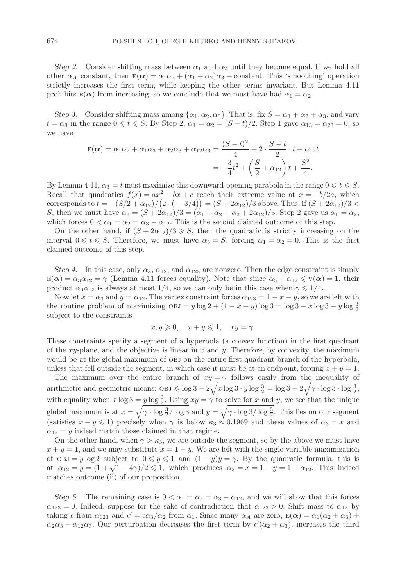*Step 2.* Consider shifting mass between  $\alpha_1$  and  $\alpha_2$  until they become equal. If we hold all other  $\alpha_A$  constant, then  $E(\alpha) = \alpha_1 \alpha_2 + (\alpha_1 + \alpha_2) \alpha_3$  + constant. This 'smoothing' operation strictly increases the first term, while keeping the other terms invariant. But Lemma 4.11 prohibits  $E(\alpha)$  from increasing, so we conclude that we must have had  $\alpha_1 = \alpha_2$ .

*Step 3.* Consider shifting mass among  $\{\alpha_1, \alpha_2, \alpha_3\}$ . That is, fix  $S = \alpha_1 + \alpha_2 + \alpha_3$ , and vary  $t = \alpha_3$  in the range  $0 \le t \le S$ . By Step 2,  $\alpha_1 = \alpha_2 = (S - t)/2$ . Step 1 gave  $\alpha_{13} = \alpha_{23} = 0$ , so we have

$$
E(\alpha) = \alpha_1 \alpha_2 + \alpha_1 \alpha_3 + \alpha_2 \alpha_3 + \alpha_{12} \alpha_3 = \frac{(S-t)^2}{4} + 2 \cdot \frac{S-t}{2} \cdot t + \alpha_{12} t
$$
  
=  $-\frac{3}{4}t^2 + \left(\frac{S}{2} + \alpha_{12}\right)t + \frac{S^2}{4}.$ 

By Lemma 4.11,  $\alpha_3 = t$  must maximize this downward-opening parabola in the range  $0 \leqslant t \leqslant S$ . Recall that quadratics  $f(x) = ax^2 + bx + c$  reach their extreme value at  $x = -b/2a$ , which corresponds to  $t = -(S/2 + \alpha_{12})/(2 \cdot (-3/4)) = (S + 2\alpha_{12})/3$  above. Thus, if  $(S + 2\alpha_{12})/3 <$ <br>So then we must have  $\alpha_{12} = (S + 2\alpha_{12})/3 = (\alpha_{12} + \alpha_{12}) \cdot (2 \cdot S + \alpha_{12})$ . Step 3 gave us  $\alpha_{12} = \alpha_{12}$ . S, then we must have  $\alpha_3 = (S + 2\alpha_{12})/3 = (\alpha_1 + \alpha_2 + \alpha_3 + 2\alpha_{12})/3$ . Step 2 gave us  $\alpha_1 = \alpha_2$ , which forces  $0 < \alpha_1 = \alpha_2 = \alpha_3 - \alpha_{12}$ . This is the second claimed outcome of this step.

On the other hand, if  $(S + 2\alpha_{12})/3 \geqslant S$ , then the quadratic is strictly increasing on the interval  $0 \leq t \leq S$ . Therefore, we must have  $\alpha_3 = S$ , forcing  $\alpha_1 = \alpha_2 = 0$ . This is the first claimed outcome of this step.

*Step 4.* In this case, only  $\alpha_3$ ,  $\alpha_{12}$ , and  $\alpha_{123}$  are nonzero. Then the edge constraint is simply  $\mathbb{E}(\alpha) = \alpha_3 \alpha_{12} = \gamma$  (Lemma 4.11 forces equality). Note that since  $\alpha_3 + \alpha_{12} \leq \mathbf{V}(\alpha) = 1$ , their product  $\alpha_3 \alpha_{12}$  is always at most 1/4, so we can only be in this case when  $\gamma \leq 1/4$ .

Now let  $x = \alpha_3$  and  $y = \alpha_{12}$ . The vertex constraint forces  $\alpha_{123} = 1 - x - y$ , so we are left with the routine problem of maximizing  $\cos s = y \log 2 + (1 - x - y) \log 3 = \log 3 - x \log 3 - y \log \frac{3}{2}$ subject to the constraints

$$
x, y \geqslant 0, \quad x + y \leqslant 1, \quad xy = \gamma.
$$

These constraints specify a segment of a hyperbola (a convex function) in the first quadrant of the  $xy$ -plane, and the objective is linear in x and y. Therefore, by convexity, the maximum would be at the global maximum of OBJ on the entire first quadrant branch of the hyperbola, unless that fell outside the segment, in which case it must be at an endpoint, forcing  $x + y = 1$ .

The maximum over the entire branch of  $xy = \gamma$  follows easily from the inequality of arithmetic and geometric means:  $OBJ \leq \log 3 - 2\sqrt{x \log 3 \cdot y \log \frac{3}{2}} = \log 3 - 2\sqrt{\gamma} \cdot \log 3 \cdot \log \frac{3}{2}$ , with equality when  $x \log 3 = y \log \frac{3}{2}$ . Using  $xy = \gamma$  to solve for x and y, we see that the unique global maximum is at  $x = \sqrt{\gamma \cdot \log \frac{3}{2}} / \log 3$  and  $y = \sqrt{\gamma \cdot \log 3} / \log \frac{3}{2}$ . This lies on our segment (satisfies  $x + y \le 1$ ) precisely when  $\gamma$  is below  $\kappa_3 \approx 0.1969$  and these values of  $\alpha_3 = x$  and  $\alpha_{12} = y$  indeed match those claimed in that regime.

On the other hand, when  $\gamma > \kappa_3$ , we are outside the segment, so by the above we must have  $x + y = 1$ , and we may substitute  $x = 1 - y$ . We are left with the single-variable maximization of  $OBJ = y \log 2$  subject to  $0 \leq y \leq 1$  and  $(1 - y)y = \gamma$ . By the quadratic formula, this is at  $\alpha_{12} = y = (1 + \sqrt{1 - 4\gamma})/2 \leq 1$ , which produces  $\alpha_3 = x = 1 - y = 1 - \alpha_{12}$ . This indeed matches outcome (ii) of our proposition.

*Step 5.* The remaining case is  $0 < \alpha_1 = \alpha_2 = \alpha_3 - \alpha_{12}$ , and we will show that this forces  $\alpha_{123} = 0$ . Indeed, suppose for the sake of contradiction that  $\alpha_{123} > 0$ . Shift mass to  $\alpha_{12}$  by taking  $\epsilon$  from  $\alpha_{123}$  and  $\epsilon' = \epsilon \alpha_3/\alpha_2$  from  $\alpha_1$ . Since many  $\alpha_A$  are zero,  $E(\alpha) = \alpha_1(\alpha_2 + \alpha_3) +$  $\alpha_2\alpha_3 + \alpha_{12}\alpha_3$ . Our perturbation decreases the first term by  $\epsilon'(\alpha_2 + \alpha_3)$ , increases the third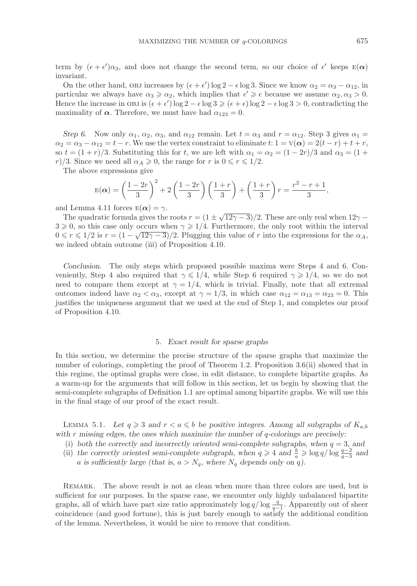term by  $(\epsilon + \epsilon')\alpha_3$ , and does not change the second term, so our choice of  $\epsilon'$  keeps  $E(\alpha)$ invariant.

On the other hand, OBJ increases by  $(\epsilon + \epsilon') \log 2 - \epsilon \log 3$ . Since we know  $\alpha_2 = \alpha_3 - \alpha_{12}$ , in<br>reticular we always have  $\alpha_2 > \alpha_3$ , which implies that  $\epsilon' > \epsilon$  because we assume  $\alpha_3 \geq \alpha_3 > 0$ . particular we always have  $\alpha_3 \geq \alpha_2$ , which implies that  $\epsilon' \geq \epsilon$  because we assume  $\alpha_2, \alpha_3 > 0$ .<br>Hence the increase in online  $(\epsilon + \epsilon')\log 2$ ,  $\epsilon \log 2 > (\epsilon + \epsilon)\log 2$ ,  $\epsilon \log 2 > 0$  contradicting the Hence the increase in OBJ is  $(\epsilon + \epsilon') \log 2 - \epsilon \log 3 \geq (\epsilon + \epsilon) \log 2 - \epsilon \log 3 > 0$ , contradicting the maximality of  $\alpha$ . Therefore, we must have had  $\alpha_{123} = 0$ .

*Step 6.* Now only  $\alpha_1$ ,  $\alpha_2$ ,  $\alpha_3$ , and  $\alpha_{12}$  remain. Let  $t = \alpha_3$  and  $r = \alpha_{12}$ . Step 3 gives  $\alpha_1$  $\alpha_2 = \alpha_3 - \alpha_{12} = t - r$ . We use the vertex constraint to eliminate t:  $1 = V(\alpha) = 2(t - r) + t + r$ , so  $t = (1 + r)/3$ . Substituting this for t, we are left with  $\alpha_1 = \alpha_2 = (1 - 2r)/3$  and  $\alpha_3 = (1 +$ r)/3. Since we need all  $\alpha_A \geq 0$ , the range for r is  $0 \leq r \leq 1/2$ .

The above expressions give

$$
E(\alpha) = \left(\frac{1-2r}{3}\right)^2 + 2\left(\frac{1-2r}{3}\right)\left(\frac{1+r}{3}\right) + \left(\frac{1+r}{3}\right)r = \frac{r^2-r+1}{3},
$$

and Lemma 4.11 forces  $E(\alpha) = \gamma$ .

The quadratic formula gives the roots  $r = (1 \pm \sqrt{12\gamma - 3})/2$ . These are only real when  $12\gamma$  –  $3 \geqslant 0$ , so this case only occurs when  $\gamma \geqslant 1/4$ . Furthermore, the only root within the interval  $0 \leq r \leq 1/2$  is  $r = (1 - \sqrt{12\gamma - 3})/2$ . Plugging this value of r into the expressions for the  $\alpha_A$ , we indeed obtain outcome (iii) of Proposition 4.10.

*Conclusion.* The only steps which proposed possible maxima were Steps 4 and 6. Conveniently, Step 4 also required that  $\gamma \leq 1/4$ , while Step 6 required  $\gamma \geq 1/4$ , so we do not need to compare them except at  $\gamma = 1/4$ , which is trivial. Finally, note that all extremal outcomes indeed have  $\alpha_2 < \alpha_3$ , except at  $\gamma = 1/3$ , in which case  $\alpha_{12} = \alpha_{13} = \alpha_{23} = 0$ . This justifies the uniqueness argument that we used at the end of Step 1, and completes our proof of Proposition 4.10.

## 5. *Exact result for sparse graphs*

In this section, we determine the precise structure of the sparse graphs that maximize the number of colorings, completing the proof of Theorem 1.2. Proposition 3.6(ii) showed that in this regime, the optimal graphs were close, in edit distance, to complete bipartite graphs. As a warm-up for the arguments that will follow in this section, let us begin by showing that the semi-complete subgraphs of Definition 1.1 are optimal among bipartite graphs. We will use this in the final stage of our proof of the exact result.

LEMMA 5.1. Let  $q \geq 3$  and  $r < a \leq b$  be positive integers. Among all subgraphs of  $K_{a,b}$ *with* r *missing edges, the ones which maximize the number of* q*-colorings are precisely:*

- (i) *both the correctly and incorrectly oriented semi-complete subgraphs, when*  $q = 3$ *, and*
- (ii) the correctly oriented semi-complete subgraph, when  $q \geq 4$  and  $\frac{b}{a} \geq \log q / \log \frac{q-2}{q-3}$  and <br>a is sufficiently large (that is  $q > N$ , where N, depends only on g) *a* is sufficiently large (that is,  $a > N_q$ , where  $N_q$  depends only on q).

REMARK. The above result is not as clean when more than three colors are used, but is sufficient for our purposes. In the sparse case, we encounter only highly unbalanced bipartite graphs, all of which have part size ratio approximately  $\log q / \log \frac{q}{q-1}$ . Apparently out of sheer coincidence (and good fortune), this is just barely enough to satisfy the additional condition of the lemma. Nevertheless, it would be nice to remove that condition.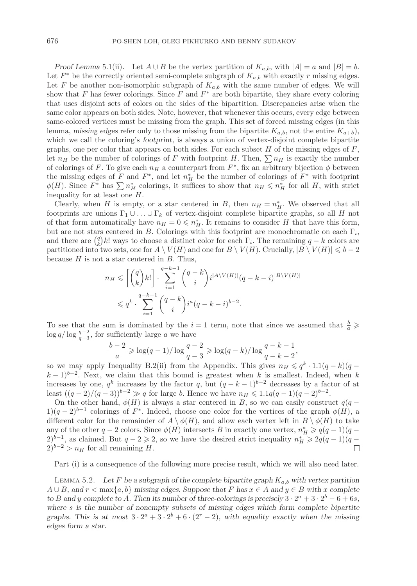*Proof Lemma* 5.1(ii). Let  $A \cup B$  be the vertex partition of  $K_{a,b}$ , with  $|A| = a$  and  $|B| = b$ . Let  $F^*$  be the correctly oriented semi-complete subgraph of  $K_{a,b}$  with exactly r missing edges. Let F be another non-isomorphic subgraph of  $K_{a,b}$  with the same number of edges. We will show that F has fewer colorings. Since F and  $F^*$  are both bipartite, they share every coloring that uses disjoint sets of colors on the sides of the bipartition. Discrepancies arise when the same color appears on both sides. Note, however, that whenever this occurs, every edge between same-colored vertices must be missing from the graph. This set of forced missing edges (in this lemma, *missing edges* refer only to those missing from the bipartite  $K_{a,b}$ , not the entire  $K_{a+b}$ ), which we call the coloring's *footprint*, is always a union of vertex-disjoint complete bipartite graphs, one per color that appears on both sides. For each subset  $H$  of the missing edges of  $F$ , let  $n_H$  be the number of colorings of F with footprint H. Then,  $\sum n_H$  is exactly the number of colorings of F. To give each  $n_H$  a counterpart from  $F^*$ , fix an arbitrary bijection  $\phi$  between the missing edges of F and  $F^*$ , and let  $n_H^*$  be the number of colorings of  $F^*$  with footprint  $\phi(H)$ . Since  $F^*$  has  $\sum n_H^*$  colorings, it suffices to show that  $n_H \leqslant n_H^*$  for all H, with strict inequality for at least one H.

Clearly, when H is empty, or a star centered in B, then  $n_H = n_H^*$ . We observed that all footprints are unions  $\Gamma_1 \cup \ldots \cup \Gamma_k$  of vertex-disjoint complete bipartite graphs, so all H not of that form automatically have  $n_H = 0 \leq n_H^*$ . It remains to consider H that have this form, but are not stars centered in B. Colorings with this footprint are monochromatic on each  $\Gamma_i$ , and there are  $\binom{q}{k}k!$  ways to choose a distinct color for each  $\Gamma_i$ . The remaining  $q - k$  colors are partitioned into two sets, one for  $A \setminus V(H)$  and one for  $B \setminus V(H)$ . Crucially,  $|B \setminus V(H)| \leq b - 2$ because  $H$  is not a star centered in  $B$ . Thus,

$$
n_H \leqslant \left[ \binom{q}{k} k! \right] \cdot \sum_{i=1}^{q-k-1} \binom{q-k}{i} i^{|A \setminus V(H)|} (q-k-i)^{|B \setminus V(H)|}
$$
  

$$
\leqslant q^k \cdot \sum_{i=1}^{q-k-1} \binom{q-k}{i} i^a (q-k-i)^{b-2}.
$$

To see that the sum is dominated by the  $i=1$  term, note that since we assumed that  $\frac{b}{a} \geqslant$  $\log q / \log \frac{q-2}{q-3}$ , for sufficiently large a we have

$$
\frac{b-2}{a} \ge \log(q-1)/\log \frac{q-2}{q-3} \ge \log(q-k)/\log \frac{q-k-1}{q-k-2},
$$

so we may apply Inequality B.2(ii) from the Appendix. This gives  $n_H \leqslant q^k \cdot 1.1(q - k)(q - k)$  $(k-1)^{b-2}$ . Next, we claim that this bound is greatest when k is smallest. Indeed, when k increases by one,  $q^k$  increases by the factor q, but  $(q - k - 1)^{b-2}$  decreases by a factor of at least  $((q-2)/(q-3))^{b-2} \gg q$  for large b. Hence we have  $n_H \leqslant 1.1q(q-1)(q-2)^{b-2}$ .

On the other hand,  $\phi(H)$  is always a star centered in B, so we can easily construct  $q(q 1)(q-2)^{b-1}$  colorings of F<sup>\*</sup>. Indeed, choose one color for the vertices of the graph  $\phi(H)$ , a different color for the remainder of  $A \setminus \phi(H)$ , and allow each vertex left in  $B \setminus \phi(H)$  to take any of the other  $q-2$  colors. Since  $\phi(H)$  intersects B in exactly one vertex,  $n_H^* \geqslant q(q-1)(q-1)$  $(2)^{b-1}$ , as claimed. But  $q-2\geqslant 2$ , so we have the desired strict inequality  $n_H^* \geqslant 2q(q-1)(q-1)$  $(2)^{b-2} > n_H$  for all remaining H.  $\Box$ 

Part (i) is a consequence of the following more precise result, which we will also need later.

LEMMA 5.2. Let F be a subgraph of the complete bipartite graph  $K_{a,b}$  with vertex partition A ∪ B*, and* r < max{a, b} *missing edges. Suppose that* F *has* x ∈ A *and* y ∈ B *with* x *complete to* B and y complete to A. Then its number of three-colorings is precisely  $3 \cdot 2^a + 3 \cdot 2^b - 6 + 6s$ , *where* s *is the number of nonempty subsets of missing edges which form complete bipartite graphs. This is at most*  $3 \cdot 2^a + 3 \cdot 2^b + 6 \cdot (2^r - 2)$ *, with equality exactly when the missing edges form a star.*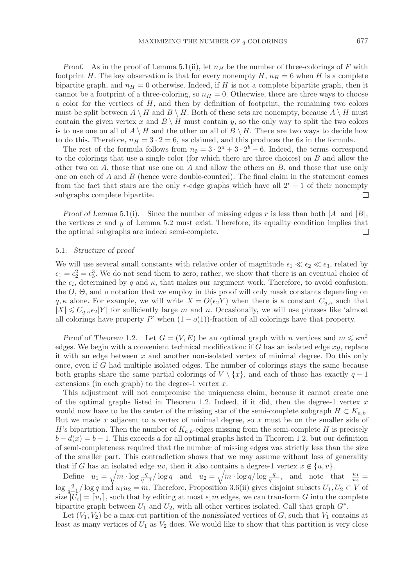*Proof.* As in the proof of Lemma 5.1(ii), let  $n_H$  be the number of three-colorings of F with footprint H. The key observation is that for every nonempty H,  $n_H = 6$  when H is a complete bipartite graph, and  $n_H = 0$  otherwise. Indeed, if H is not a complete bipartite graph, then it cannot be a footprint of a three-coloring, so  $n_H = 0$ . Otherwise, there are three ways to choose a color for the vertices of H, and then by definition of footprint, the remaining two colors must be split between  $A \setminus H$  and  $B \setminus H$ . Both of these sets are nonempty, because  $A \setminus H$  must contain the given vertex x and  $B \setminus H$  must contain y, so the only way to split the two colors is to use one on all of  $A \setminus H$  and the other on all of  $B \setminus H$ . There are two ways to decide how to do this. Therefore,  $n_H = 3 \cdot 2 = 6$ , as claimed, and this produces the 6s in the formula.

The rest of the formula follows from  $n_{\emptyset} = 3 \cdot 2^{a} + 3 \cdot 2^{b} - 6$ . Indeed, the terms correspond to the colorings that use a single color (for which there are three choices) on B and allow the other two on A, those that use one on A and allow the others on B, and those that use only one on each of  $A$  and  $B$  (hence were double-counted). The final claim in the statement comes from the fact that stars are the only r-edge graphs which have all  $2<sup>r</sup> - 1$  of their nonempty subgraphs complete bipartite.  $\Box$ 

*Proof of Lemma* 5.1(i). Since the number of missing edges r is less than both |A| and |B|, the vertices x and y of Lemma 5.2 must exist. Therefore, its equality condition implies that the optimal subgraphs are indeed semi-complete.  $\Box$ 

## 5.1. *Structure of proof*

We will use several small constants with relative order of magnitude  $\epsilon_1 \ll \epsilon_2 \ll \epsilon_3$ , related by  $\epsilon_1 = \epsilon_2^2 = \epsilon_3^3$ . We do not send them to zero; rather, we show that there is an eventual choice of the  $\epsilon_1$  determined by a and  $\epsilon_2$  that makes our argument work. Therefore, to avoid confusion the  $\epsilon_i$ , determined by q and  $\kappa$ , that makes our argument work. Therefore, to avoid confusion, the  $O$ ,  $\Theta$ , and  $o$  notation that we employ in this proof will only mask constants depending on  $q, \kappa$  alone. For example, we will write  $X = O(\epsilon_2 Y)$  when there is a constant  $C_{q,\kappa}$  such that  $|X| \leq C_{q,\kappa} \epsilon_2 |Y|$  for sufficiently large m and n. Occasionally, we will use phrases like 'almost all colorings have property P' when  $(1 - o(1))$ -fraction of all colorings have that property.

*Proof of Theorem* 1.2. Let  $G = (V, E)$  be an optimal graph with n vertices and  $m \leq \kappa n^2$ edges. We begin with a convenient technical modification: if  $G$  has an isolated edge  $xy$ , replace it with an edge between  $x$  and another non-isolated vertex of minimal degree. Do this only once, even if G had multiple isolated edges. The number of colorings stays the same because both graphs share the same partial colorings of  $V \setminus \{x\}$ , and each of those has exactly  $q-1$ extensions (in each graph) to the degree-1 vertex  $x$ .

This adjustment will not compromise the uniqueness claim, because it cannot create one of the optimal graphs listed in Theorem 1.2. Indeed, if it did, then the degree-1 vertex  $x$ would now have to be the center of the missing star of the semi-complete subgraph  $H \subset K_{a,b}$ . But we made x adjacent to a vertex of minimal degree, so  $x$  must be on the smaller side of H's bipartition. Then the number of  $K_{a,b}$ -edges missing from the semi-complete H is precisely  $b - d(x) = b - 1$ . This exceeds a for all optimal graphs listed in Theorem 1.2, but our definition of semi-completeness required that the number of missing edges was strictly less than the size of the smaller part. This contradiction shows that we may assume without loss of generality that if G has an isolated edge uv, then it also contains a degree-1 vertex  $x \notin \{u, v\}$ .

Define  $u_1 = \sqrt{m \cdot \log \frac{q}{q-1} / \log q}$  and  $u_2 = \sqrt{m \cdot \log q / \log \frac{q}{q-1}}$ , and note that  $\frac{u_1}{u_2} =$  $\log \frac{q}{q-1}$  log q and  $u_1u_2 = m$ . Therefore, Proposition 3.6(ii) gives disjoint subsets  $U_1, U_2 \subset V$  of size  $|U_1| = [u_1]$  such that by editing at most  $\epsilon_1 m$  edges we can transform G into the complete size  $|U_i| = [u_i]$ , such that by editing at most  $\epsilon_1 m$  edges, we can transform G into the complete bipartite graph between  $U_1$  and  $U_2$ , with all other vertices isolated. Call that graph  $G^*$ .

Let  $(V_1, V_2)$  be a max-cut partition of the *nonisolated* vertices of  $G$ , such that  $V_1$  contains at least as many vertices of  $U_1$  as  $V_2$  does. We would like to show that this partition is very close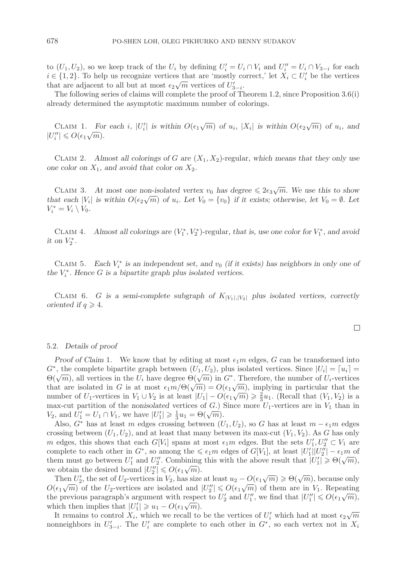to  $(U_1, U_2)$ , so we keep track of the  $U_i$  by defining  $U_i' = U_i \cap V_i$  and  $U_i'' = U_i \cap V_{3-i}$  for each  $i \in \{1, 2\}$ . To help us recognize vertices that are 'mostly correct' let  $X_i \subset U'$  be the vertices  $i \in \{1, 2\}$ . To help us recognize vertices that are 'mostly correct,' let  $X_i \subset U_i'$  be the vertices that are adjacent to all but at most  $\epsilon_2\sqrt{m}$  vertices of  $U'_{3-i}$ .<br>The following series of claims will complete the proof of Tl

The following series of claims will complete the proof of Theorem 1.2, since Proposition 3.6(i) already determined the asymptotic maximum number of colorings.

CLAIM 1. For each i,  $|U'_i|$  is within  $O(\epsilon_1\sqrt{m})$  of  $u_i$ ,  $|X_i|$  is within  $O(\epsilon_2\sqrt{m})$  of  $u_i$ , and  $w_i \geq O(\epsilon_1\sqrt{m})$  $|U_i''| \leqslant O(\epsilon_1 \sqrt{m}).$ 

CLAIM 2. Almost all colorings of G are  $(X_1, X_2)$ -regular, which means that they only use *one color on*  $X_1$ *, and avoid that color on*  $X_2$ *.* 

CLAIM 3. At most one non-isolated vertex  $v_0$  has degree  $\leq 2\epsilon_3\sqrt{m}$ . We use this to show *that each*  $|V_i|$  *is within*  $O(\epsilon_2\sqrt{m})$  *of*  $u_i$ *. Let*  $V_0 = \{v_0\}$  *if it exists; otherwise, let*  $V_0 = \emptyset$ *. Let*<br> $V^* = V \setminus V$  $V_i^* = V_i \setminus V_0.$ 

CLAIM 4. *Almost all colorings are*  $(V_1^*, V_2^*)$ -regular, that is, use one color for  $V_1^*$ , and avoid on  $V^*$ *it* on  $V_2^*$ .

CLAIM 5. *Each*  $V_i^*$  *is an independent set, and*  $v_0$  *(if it exists) has neighbors in only one of*  $V^*$ . Hence  $C$  is a binaritie graph plus isolated vertices. *the*  $V_i^*$ *. Hence G is a bipartite graph plus isolated vertices.* 

CLAIM 6. G is a semi-complete subgraph of  $K_{|V_1|,|V_2|}$  plus isolated vertices, correctly *oriented if*  $q \ge 4$ *.* 

#### 5.2. *Details of proof*

*Proof of Claim* 1. We know that by editing at most  $\epsilon_1 m$  edges, G can be transformed into  $G^*$ , the complete bipartite graph between  $(U_1, U_2)$ , plus isolated vertices. Since  $|U_i| = [u_i] =$  $\Theta(\sqrt{m})$ , all vertices in the  $U_i$  have degree  $\Theta(\sqrt{m})$  in  $G^*$ . Therefore, the number of  $U_i$ -vertices  $\mathcal{O}(\sqrt{m})$ , an vertices in the  $\mathcal{O}_i$  may degree  $\mathcal{O}(\sqrt{m})$  in  $G$ . Therefore, the number of  $\mathcal{O}_i$ -vertices that are isolated in G is at most  $\epsilon_1 m/\Theta(\sqrt{m}) = O(\epsilon_1 \sqrt{m})$ , implying in particular that the number number of  $U_1$ -vertices in  $V_1 \cup V_2$  is at least  $|U_1| - O(\epsilon_1 \sqrt{m}) \ge \frac{2}{3} u_1$ . (Recall that  $(V_1, V_2)$  is a max-cut partition of the nonisolated vertices of G) Since more  $U_1$ -vertices are in  $V_1$  than in max-cut partition of the *nonisolated* vertices of  $G$ .) Since more  $U_1$ -vertices are in  $V_1$  than in max-cut partition of the nonisolated vertices of G.)<br>  $V_2$ , and  $U'_1 = U_1 \cap V_1$ , we have  $|U'_1| \ge \frac{1}{3}u_1 = \Theta(\sqrt{m})$ .<br>
Also  $G^*$  has at least m edges crossing between (I)

Also,  $G^*$  has at least m edges crossing between  $(U_1, U_2)$ , so G has at least  $m - \epsilon_1 m$  edges crossing between  $(U_1, U_2)$ , and at least that many between its max-cut  $(V_1, V_2)$ . As G has only m edges, this shows that each  $G[V_i]$  spans at most  $\epsilon_1 m$  edges. But the sets  $U'_1, U''_2 \subset V_1$  are complete to each other in  $C^*$  so among the  $\leq \epsilon_2 m$  edges of  $G[V_i]$  at least  $|U'| ||U''| = \epsilon_2 m$  of complete to each other in  $G^*$ , so among the  $\leq \epsilon_1 m$  edges of  $G[V_1]$ , at least  $|U_1'||U_2''| - \epsilon_1 m$  of<br>them must go between  $U'$  and  $U''$ . Combining this with the above result that  $|U_1'| > \Theta(\sqrt{m})$ . them must go between  $U'_1$  and  $U''_2$ . Combining this with the above result that  $|U'_1| \geq \Theta(\sqrt{m})$ ,<br>we obtain the desired bound  $|U''| \leq \Theta(\epsilon \sqrt{m})$ . we obtain the desired bound  $|U_2''| \le O(\epsilon_1\sqrt{m})$ .<br>Then  $U'$  the set of  $U_2$  vertices in  $V_2$  has size

Then  $U'_2$ , the set of  $U_2$ -vertices in  $V_2$ , has size at least  $u_2 - O(\epsilon_1\sqrt{m}) \ge \Theta(\sqrt{m})$ , because only  $(\epsilon_1\sqrt{m})$  of the  $U_2$  vertices are isolated and  $|U''| \le O(\epsilon_2/m)$  of them are in  $V_2$ . Beneating Then  $\mathcal{O}_2$ , the set of  $\mathcal{O}_2$ -vertices in  $\mathcal{V}_2$ , has size at least  $u_2 - \mathcal{O}(\epsilon_1\sqrt{m}) \geq \mathcal{O}(\sqrt{m})$ , because only  $\mathcal{O}(\epsilon_1\sqrt{m})$  of the  $U_2$ -vertices are isolated and  $|U_2''| \leq \mathcal{O}(\epsilon_1\sqrt{m})$  of them a  $U(\epsilon_1 \sqrt{m})$  or the  $U_2$ -vertices are isolated and  $|U_2| \le U(\epsilon_1 \sqrt{m})$  or them are in  $V_1$ . Repeating the previous paragraph's argument with respect to  $U_2'$  and  $U_1''$ , we find that  $|U_1''| \le O(\epsilon_1 \sqrt{m})$ , which then implies that  $|U_1'| \geq u_1 - O(\epsilon_1\sqrt{m}).$ <br>It remains to control Y, which we recall to

It remains to control  $X_i$ , which we recall to be the vertices of  $U'_i$  which had at most  $\epsilon_2\sqrt{m}$ <br>projektors in  $U'_i$ . The  $U'_i$  are complete to each other in  $C^*$ , so each vertex not in X nonneighbors in  $U'_{3-i}$ . The  $U'_i$  are complete to each other in  $G^*$ , so each vertex not in  $X_i$ 

 $\Box$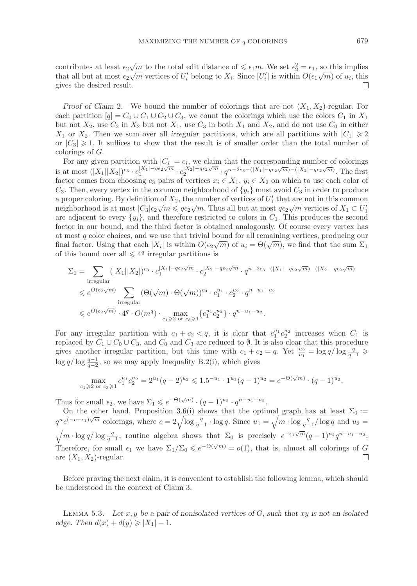contributes at least  $\epsilon_2\sqrt{m}$  to the total edit distance of  $\leq \epsilon_1 m$ . We set  $\epsilon_2^2 = \epsilon_1$ , so this implies that all but at most  $\epsilon_2 \sqrt{m}$  vertices of  $U_i'$  belong to  $X_i$ . Since  $|U_i'|$  is within  $O(\epsilon_1 \sqrt{m})$  of  $u_i$ , this gives the desired result.  $\Box$ 

*Proof of Claim* 2. We bound the number of colorings that are not  $(X_1, X_2)$ -regular. For each partition  $[q] = C_0 \cup C_1 \cup C_2 \cup C_3$ , we count the colorings which use the colors  $C_1$  in  $X_1$ but not  $X_2$ , use  $C_2$  in  $X_2$  but not  $X_1$ , use  $C_3$  in both  $X_1$  and  $X_2$ , and do not use  $C_0$  in either  $X_1$  or  $X_2$ . Then we sum over all *irregular* partitions, which are all partitions with  $|C_1| \geq 2$ <br>can  $|C| > 1$ . It suffices to show that the result is of smaller order than the total number of or  $|C_3| \ge 1$ . It suffices to show that the result is of smaller order than the total number of colorings of C colorings of G.

For any given partition with  $|C_i| = c_i$ , we claim that the corresponding number of colorings is at most  $(|X_1||X_2|)^{c_3} \cdot c_1^{|X_1|-\mathfrak{q}\epsilon_2\sqrt{m}} \cdot c_2^{|X_2|-\mathfrak{q}\epsilon_2\sqrt{m}} \cdot q^{n-2c_3-(|X_1|-\mathfrak{q}\epsilon_2\sqrt{m})-(|X_2|-\mathfrak{q}\epsilon_2\sqrt{m})}$ . The first factor comes from choosing co pairs of vertices  $x \in X_1, y \in X_2$  on which to factor comes from choosing  $c_3$  pairs of vertices  $x_i \in X_1$ ,  $y_i \in X_2$  on which to use each color of  $C_3$ . Then, every vertex in the common neighborhood of  $\{y_i\}$  must avoid  $C_3$  in order to produce a proper coloring. By definition of  $X_2$ , the number of vertices of  $U'_1$  that are not in this common<br>neighborhood is at most  $|C_2|\varepsilon_2/\sqrt{m} \leq 4\varepsilon_2/\sqrt{m}$ . Thus all but at most  $4\varepsilon_2/\sqrt{m}$  vertices of  $X_i \subset U'$ neighborhood is at most  $|C_3|\epsilon_2\sqrt{m} \leq \frac{q\epsilon_2\sqrt{m}}{m}$ . Thus all but at most  $q\epsilon_2\sqrt{m}$  vertices of  $X_1 \subset U_1'$ are adjacent to every  $\{y_i\}$ , and therefore restricted to colors in  $C_1$ . This produces the second factor in our bound, and the third factor is obtained analogously. Of course every vertex has at most  $q$  color choices, and we use that trivial bound for all remaining vertices, producing our final factor. Using that each  $|X_i|$  is within  $O(\epsilon_2\sqrt{m})$  of  $u_i = \Theta(\sqrt{m})$ , we find that the sum  $\Sigma_1$ of this bound over all  $\leq 4^q$  irregular partitions is

$$
\begin{aligned} \Sigma_1 &= \sum_{\text{irregular}} (|X_1||X_2|)^{c_3} \cdot c_1^{|X_1|-q\epsilon_2\sqrt{m}} \cdot c_2^{|X_2|-q\epsilon_2\sqrt{m}} \cdot q^{n-2c_3-(|X_1|-q\epsilon_2\sqrt{m})-(|X_2|-q\epsilon_2\sqrt{m})} \\ &\leqslant e^{O(\epsilon_2\sqrt{m})} \sum_{\text{irregular}} (\Theta(\sqrt{m})\cdot\Theta(\sqrt{m}))^{c_3} \cdot c_1^{u_1} \cdot c_2^{u_2} \cdot q^{n-u_1-u_2} \\ &\leqslant e^{O(\epsilon_2\sqrt{m})} \cdot 4^q \cdot O(m^q) \cdot \max_{c_1 \geqslant 2 \text{ or } c_3 \geqslant 1} \big\{ c_1^{u_1} c_2^{u_2} \big\} \cdot q^{n-u_1-u_2}. \end{aligned}
$$

For any irregular partition with  $c_1 + c_2 < q$ , it is clear that  $c_1^{u_1} c_2^{u_2}$  increases when  $C_1$  is replaced by  $C_1 \cup C_2 \cup C_2$  and  $C_2$  and  $C_2$  are reduced to  $\emptyset$ . It is also clear that this procedure replaced by  $C_1 \cup C_0 \cup C_3$ , and  $C_0$  and  $C_3$  are reduced to  $\emptyset$ . It is also clear that this procedure gives another irregular partition, but this time with  $c_1 + c_2 = q$ . Yet  $\frac{u_2}{u_1} = \log q / \log \frac{q}{q-1} \ge \log q / \log \frac{q-1}{q-1}$ log  $q/\log \frac{q-1}{q-2}$ , so we may apply Inequality B.2(i), which gives

$$
\max_{c_1 \geqslant 2 \text{ or } c_3 \geqslant 1} c_1^{u_1} c_2^{u_2} = 2^{u_1} (q-2)^{u_2} \leqslant 1.5^{-u_1} \cdot 1^{u_1} (q-1)^{u_2} = e^{-\Theta(\sqrt{m})} \cdot (q-1)^{u_2}.
$$

Thus for small  $\epsilon_2$ , we have  $\Sigma_1 \leqslant e^{-\Theta(\sqrt{m})} \cdot (q-1)^{u_2} \cdot q^{n-u_1-u_2}$ .

On the other hand, Proposition 3.6(i) shows that the optimal graph has at least  $\Sigma_0 :=$  $q^n e^{(-c-\epsilon_1)\sqrt{m}}$  colorings, where  $c = 2\sqrt{\log \frac{q}{q-1} \cdot \log q}$ . Since  $u_1 = \sqrt{m \cdot \log \frac{q}{q-1}}$  $q^ne^{(-c-\epsilon_1)\sqrt{m}}$  colorings, where  $c=2\sqrt{\log\frac{q}{q-1}}\cdot\log q$ . Since  $u_1=\sqrt{m\cdot\log\frac{q}{q-1}}/\log q$  and  $u_2=\sqrt{m\cdot\log q/\log\frac{q}{q-1}}$ , routine algebra shows that  $\Sigma_0$  is precisely  $e^{-\epsilon_1\sqrt{m}}(q-1)^{u_2}q^{n-u_1-u_2}$ . Therefore, for small  $\epsilon_1$  we have  $\Sigma_1/\Sigma_0 \leqslant e^{-\Theta(\sqrt{m})} = o(1)$ , that is, almost all colorings of G are  $(X_1, X_2)$ -regular. are  $(X_1, X_2)$ -regular.

Before proving the next claim, it is convenient to establish the following lemma, which should be understood in the context of Claim 3.

Lemma 5.3. *Let* x, y *be a pair of nonisolated vertices of* G*, such that* xy *is not an isolated edge.* Then  $d(x) + d(y) \ge |X_1| - 1$ .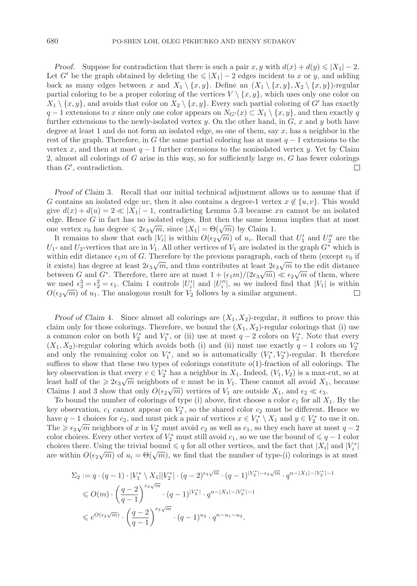*Proof.* Suppose for contradiction that there is such a pair x, y with  $d(x) + d(y) \le |X_1| - 2$ . Let G' be the graph obtained by deleting the  $\leqslant |X_1| - 2$  edges incident to x or y, and adding back as many edges between x and  $X_1 \setminus \{x, y\}$ . Define an  $(X_1 \setminus \{x, y\}, X_2 \setminus \{x, y\})$ -regular partial coloring to be a proper coloring of the vertices  $V \setminus \{x, y\}$ , which uses only one color on  $X_1 \setminus \{x, y\}$ , and avoids that color on  $X_2 \setminus \{x, y\}$ . Every such partial coloring of G' has exactly  $q-1$  extensions to x since only one color appears on  $N_{G'}(x) \subset X_1 \setminus \{x, y\}$ , and then exactly q<br>further extensions to the permit isolated vertex  $\omega$ . On the other hand, in  $C$  x and  $\omega$  both have further extensions to the newly-isolated vertex  $y$ . On the other hand, in  $G$ , x and y both have degree at least 1 and do not form an isolated edge, so one of them, say  $x$ , has a neighbor in the rest of the graph. Therefore, in G the same partial coloring has at most  $q-1$  extensions to the vertex x, and then at most  $q-1$  further extensions to the nonisolated vertex y. Yet by Claim 2, almost all colorings of  $G$  arise in this way, so for sufficiently large  $m, G$  has fewer colorings than  $G'$ , contradiction.  $\Box$ 

*Proof of Claim* 3*.* Recall that our initial technical adjustment allows us to assume that if G contains an isolated edge uv, then it also contains a degree-1 vertex  $x \notin \{u, v\}$ . This would give  $d(x) + d(u) = 2 \ll |X_1| - 1$ , contradicting Lemma 5.3 because xu cannot be an isolated edge. Hence  $G$  in fact has no isolated edges. But then the same lemma implies that at most one vertex  $v_0$  has degree  $\leq 2\epsilon_3\sqrt{m}$ , since  $|X_1| = \Theta(\sqrt{m})$  by Claim 1.

It remains to show that each  $|V_i|$  is within  $O(\epsilon_2\sqrt{m})$  of  $u_i$ . Recall that  $U'_1$  and  $U''_2$  are the<br>and  $U_2$  are the second  $V_i$ . All other vertices of  $V_i$  are isolated in the graph  $C^*$  which is  $U_1$ - and  $U_2$ -vertices that are in  $V_1$ . All other vertices of  $V_1$  are isolated in the graph  $G^*$  which is within edit distance  $\epsilon_1m$  of G. Therefore by the previous paragraph, each of them (except  $v_0$  if it exists) has degree at least  $2\epsilon_3\sqrt{m}$ , and thus contributes at least  $2\epsilon_3\sqrt{m}$  to the edit distance<br>hetween  $C$  and  $C^*$ . Therefore, there are at most  $1 + (\epsilon_m)/(2\epsilon_m) \ll \epsilon_m$  of them, where between G and G<sup>∗</sup>. Therefore, there are at most  $1 + (\epsilon_1 m)/(2\epsilon_3\sqrt{m}) \ll \epsilon_2\sqrt{m}$  of them, where<br>we used  $\epsilon_3^3 - \epsilon_1^2 - \epsilon_2$ . Claim 1 centrals [*U*/] and [*U*/] as we indeed find that [*V*] is within we used  $\epsilon_3^3 = \epsilon_2^2 = \epsilon_1$ . Claim 1 controls  $|U_i'|$  and  $|U_i''|$ , so we indeed find that  $|V_1|$  is within  $O(\epsilon_2/m)$  of  $u$ . The analogous result for  $V_2$  follows by a similar argument We used  $\epsilon_3 - \epsilon_2 - \epsilon_1$ . Claim 1 controls  $|U_i|$  and  $|U_i|$ , so we moved mid  $O(\epsilon_2\sqrt{m})$  of  $u_1$ . The analogous result for  $V_2$  follows by a similar argument.

*Proof of Claim 4.* Since almost all colorings are  $(X_1, X_2)$ -regular, it suffices to prove this claim only for those colorings. Therefore, we bound the  $(X_1, X_2)$ -regular colorings that (i) use a common color on both  $V_2^*$  and  $V_1^*$ , or (ii) use at most  $q-2$  colors on  $V_2^*$ . Note that every  $(X, X_0)$ -regular coloring which avoids both (i) and (ii) must use exactly  $q-1$  colors on  $V^*$  $(X_1, X_2)$ -regular coloring which avoids both (i) and (ii) must use exactly  $q-1$  colors on  $V_2^*$ and only the remaining color on  $V_1^*$ , and so is automatically  $(V_1^*, V_2^*)$ -regular. It therefore suffices to show that these two types of colorings constitute  $o(1)$ -fraction of all colorings. The key observation is that every  $v \in V_2^*$  has a neighbor in  $X_1$ . Indeed,  $(V_1, V_2)$  is a max-cut, so at logar half of the  $\geq 2\epsilon$  /m neighbors of u must be in  $V_1$ . These cannot all avoid  $Y_2$ , because least half of the  $\geq 2\epsilon_3\sqrt{m}$  neighbors of v must be in  $V_1$ . These cannot all avoid  $X_1$ , because<br>Claims 1 and 2 show that only  $O(\epsilon \sqrt{m})$  vertices of V are outside Y, and  $\epsilon \ll \epsilon$ . Claims 1 and 3 show that only  $O(\epsilon_2\sqrt{m})$  vertices of  $V_1$  are outside  $X_1$ , and  $\epsilon_2 \ll \epsilon_3$ .<br>To bound the number of solenings of true (i) above first choose a solen a for all Y

To bound the number of colorings of type (i) above, first choose a color  $c_1$  for all  $X_1$ . By the key observation,  $c_1$  cannot appear on  $V_2^*$ , so the shared color  $c_2$  must be different. Hence we<br>have  $a-1$  choices for  $c_2$  and must pick a pair of vertices  $x \in V^* \setminus X_1$  and  $y \in V^*$  to use it on have  $q - 1$  choices for  $c_2$ , and must pick a pair of vertices  $x \in V_1^* \setminus X_1$  and  $y \in V_2^*$  to use it on.<br>The  $\geq \epsilon_2$  /m pairshbors of x in  $V^*$  must avoid  $c_2$  as well as  $c_4$ , so they gack have at most  $a - 2$ The  $\geq \epsilon_3\sqrt{m}$  neighbors of x in  $V_2^*$  must avoid  $c_2$  as well as  $c_1$ , so they each have at most  $q-2$ <br>color choices. Every other vertex of  $V^*$  must still avoid  $c_2$ , so we use the bound of  $\leq a-1$  colors color choices. Every other vertex of  $V_2^*$  must still avoid  $c_1$ , so we use the bound of  $\leq q - 1$  color choices there is used to the bound  $\leq q$  for all other vertices, and the fact that  $|X_1|$  and  $|V^*|$ choices there. Using the trivial bound  $\leqslant q$  for all other vertices, and the fact that  $|X_i|$  and  $|V_i^*|$ are within  $O(\epsilon_2\sqrt{m})$  of  $u_i = \Theta(\sqrt{m})$ , we find that the number of type-(i) colorings is at most

$$
\begin{aligned} \Sigma_2 &:= q \cdot (q-1) \cdot |V_1^* \setminus X_1| |V_2^*| \cdot (q-2)^{\epsilon_3 \sqrt{m}} \cdot (q-1)^{|V_2^*| - \epsilon_3 \sqrt{m}} \cdot q^{n-|X_1| - |V_2^*| - 1} \\ &\leqslant O(m) \cdot \left( \frac{q-2}{q-1} \right)^{\epsilon_3 \sqrt{m}} \cdot (q-1)^{|V_2^*|} \cdot q^{n-|X_1| - |V_2^*| - 1} \\ &\leqslant e^{O(\epsilon_2 \sqrt{m})} \cdot \left( \frac{q-2}{q-1} \right)^{\epsilon_3 \sqrt{m}} \cdot (q-1)^{u_2} \cdot q^{n-u_1-u_2} . \end{aligned}
$$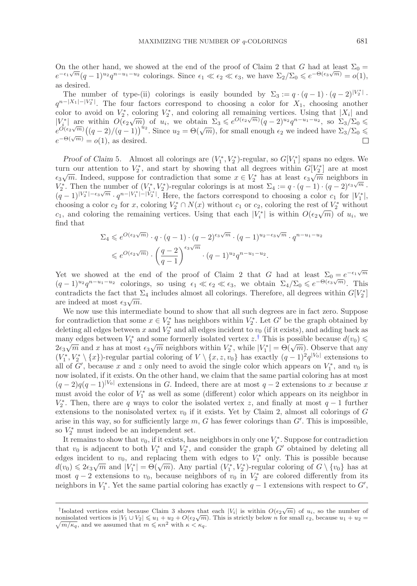On the other hand, we showed at the end of the proof of Claim 2 that G had at least  $\Sigma_0 =$  $e^{-\epsilon_1\sqrt{m}}(q-1)^{u_2}q^{n-u_1-u_2}$  colorings. Since  $\epsilon_1 \ll \epsilon_2 \ll \epsilon_3$ , we have  $\Sigma_2/\Sigma_0 \leq e^{-\Theta(\epsilon_3\sqrt{m})} = o(1)$ , as desired.

The number of type-(ii) colorings is easily bounded by  $\Sigma_3 := q \cdot (q-1) \cdot (q-2)^{|V_2^*|}$ .<br>- $|X_1| - |V_2^*|$ . The four fectors correspond to chaosing a solar for X, chaosing another  $q^{n-|X_1|-|V_2^*|}$ . The four factors correspond to choosing a color for  $X_1$ , choosing another color to avoid on  $V_2^*$ , coloring  $V_2^*$ , and coloring all remaining vertices. Using that  $|X_i|$  and  $|V^*|$  are within  $O(\epsilon_2/m)$  of  $y_i$ , we obtain  $\Sigma_2 \leq e^{O(\epsilon_2\sqrt{m})}(a-2)^{u_2}a^{n-u_1-u_2}$  so  $\Sigma_2/\Sigma_2 \leq$  $|V_i^*|$  are within  $O(\epsilon_2\sqrt{m})$  of  $u_i$ , we obtain  $\Sigma_3 \leq e^{O(\epsilon_2\sqrt{m})}(q-2)^{u_2}q^{n-u_1-u_2}$ , so  $\Sigma_3/\Sigma_0 \leq$ <br> $\epsilon_2(\epsilon_3\sqrt{m})$   $((\epsilon_2-2) / (\epsilon_3-1))^{u_2}$ . Since  $u_i = \Theta(\sqrt{m})$  for small enough  $\epsilon$ , we indeed here  $\Sigma/\Sigma$ .  $e^{O(\epsilon_2\sqrt{m})}((q-2)/(q-1))^{u_2}$ . Since  $u_2 = \Theta(\sqrt{m})$ , for small enough  $\epsilon_2$  we indeed have  $\Sigma_3/\Sigma_0 \le$ <br> $e^{-\Theta(\sqrt{m})}((q-2)/(q-1))^{u_2}$ . Since  $u_2 = \Theta(\sqrt{m})$ , for small enough  $\epsilon_2$  we indeed have  $\Sigma_3/\Sigma_0 \le$  $e^{-\Theta(\sqrt{m})} = o(1)$ , as desired.

*Proof of Claim* 5*.* Almost all colorings are  $(V_1^*, V_2^*)$ -regular, so  $G[V_1^*]$  spans no edges. We turn our attention to  $V_2^*$ , and start by showing that all degrees within  $G[V_2^*]$  are at most<br> $\epsilon_2/m$  Indeed suppose for contradiction that some  $x \in V^*$  has at least  $\epsilon_2/m$  neighbors in  $\epsilon_3\sqrt{m}$ . Indeed, suppose for contradiction that some  $x \in V_2^*$  has at least  $\epsilon_3\sqrt{m}$  neighbors in  $V^*$ . Then the number of  $(V^*|V^*)$ -regular colorings is at most  $\sum_{i}$ :  $\epsilon_3$ ,  $(a-1)$ ,  $(a-2)^{\epsilon_3}\sqrt{m}$ .  $V_2^*$ . Then the number of  $(V_1^*, V_2^*)$ -regular colorings is at most  $\Sigma_4 := q \cdot (q-1) \cdot (q-2)^{\epsilon_3 \sqrt{m}}$ .<br>  $(q-1)|V_2^*|$  - $\epsilon_3 \sqrt{m}$ ,  $q^{n-|V_1^*| - |V_2^*|}$ . Here the factors correspond to choosing a color  $\epsilon_3$  for  $|V^*|$  $(q-1)^{|V_2^*|-\epsilon_3\sqrt{m}} \cdot q^{n-|V_1^*|-|V_2^*|}$ . Here, the factors correspond to choosing a color  $c_1$  for  $|V_1^*|$ ,<br>choosing a color  $c_2$  for x coloring  $V^* \cap N(x)$  without  $c_1$  or  $c_2$  coloring the rest of  $V^*$  without choosing a color  $c_2$  for x, coloring  $V_2^* \cap N(x)$  without  $c_1$  or  $c_2$ , coloring the rest of  $V_2^*$  without  $c_1$  and coloring the remaining vertices. Using that each  $|V^*|$  is within  $O(\epsilon_2/m)$  of  $u$ , we c<sub>1</sub>, and coloring the remaining vertices. Using that each  $|V_i^*|$  is within  $O(\epsilon_2\sqrt{m})$  of  $u_i$ , we find that find that

$$
\Sigma_4 \leqslant e^{O(\epsilon_2\sqrt{m})} \cdot q \cdot (q-1) \cdot (q-2)^{\epsilon_3\sqrt{m}} \cdot (q-1)^{u_2-\epsilon_3\sqrt{m}} \cdot q^{n-u_1-u_2}
$$
  

$$
\leqslant e^{O(\epsilon_2\sqrt{m})} \cdot \left(\frac{q-2}{q-1}\right)^{\epsilon_3\sqrt{m}} \cdot (q-1)^{u_2} q^{n-u_1-u_2}.
$$

Yet we showed at the end of the proof of Claim 2 that G had at least  $\Sigma_0 = e^{-\epsilon_1 \sqrt{m}}$  $(q-1)^{u_2}q^{n-u_1-u_2}$  colorings, so using  $\epsilon_1 \ll \epsilon_2 \ll \epsilon_3$ , we obtain  $\Sigma_4/\Sigma_0 \leqslant e^{-\Theta(\epsilon_3\sqrt{m})}$ . This contradicts the fact that  $\Sigma_4$  includes almost all colorings. Therefore, all degrees within  $G[V_2^*]$ are indeed at most  $\epsilon_3\sqrt{m}$ .<br>We now use this interm

We now use this intermediate bound to show that all such degrees are in fact zero. Suppose for contradiction that some  $x \in V_2^*$  has neighbors within  $V_2^*$ . Let G' be the graph obtained by deleting all odges between x and  $V^*$  and all odges incident to  $v_2$  (if it exists) and adding back as deleting all edges between x and  $V_2^*$  and all edges incident to  $v_0$  (if it exists), and adding back as many edges between  $V^*$  and some formarly isolated vertex  $\zeta^{\dagger}$ . This is possible because  $d(v_0)$ many edges between  $V_1^*$  and some formerly isolated vertex  $z^{\dagger}$ . This is possible because  $d(v_0) \leq$ <br> $2\epsilon_0/m$  and x has at most  $\epsilon_0/m$  poighbors within  $V^*$  while  $|V^*| = \Theta(\sqrt{m})$ . Observe that any  $2\epsilon_3\sqrt{m}$  and x has at most  $\epsilon_3\sqrt{m}$  neighbors within  $V_2^*$ , while  $|V_1^*| = \Theta(\sqrt{m})$ . Observe that any  $(V^*|V^*|)$  require partial coloring of  $V \setminus x$ ,  $\epsilon_3$  has exactly  $(a-1)^2a^{|V_0|}$  extensions to  $(V_1^*, V_2^* \setminus \{x\})$ -regular partial coloring of  $V \setminus \{x, z, v_0\}$  has exactly  $(q-1)^2 q^{|V_0|}$  extensions to all of  $C'$  because x and z only need to avoid the single color which appears on  $V^*$  and us is all of G', because x and z only need to avoid the single color which appears on  $V_1^*$ , and  $v_0$  is<br>now isolated if it exists. On the other hand, we claim that the same partial coloring has at most now isolated, if it exists. On the other hand, we claim that the same partial coloring has at most  $(q-2)q(q-1)^{|V_0|}$  extensions in G. Indeed, there are at most  $q-2$  extensions to x because x must avoid the color of  $V_1^*$  as well as some (different) color which appears on its neighbor in  $V^*$ . Then, there are a ways to color the isolated vertex  $\zeta$  and finally at most  $\zeta = 1$  further  $V_2^*$ . Then, there are q ways to color the isolated vertex z, and finally at most  $q-1$  further extensions to the popisolated vertex  $v_k$  if it exists. Not by Claim 2, almost all colorings of G extensions to the nonisolated vertex  $v_0$  if it exists. Yet by Claim 2, almost all colorings of G arise in this way, so for sufficiently large  $m$ ,  $G$  has fewer colorings than  $G'$ . This is impossible, so  $V_2^*$  must indeed be an independent set.<br>It remains to show that us if it exists has

It remains to show that  $v_0$ , if it exists, has neighbors in only one  $V_i^*$ . Suppose for contradiction<br>of a signal section of  $V^*$  and  $V^*$  and consider the graph  $C'$  obtained by deleting all that  $v_0$  is adjacent to both  $V_1^*$  and  $V_2^*$ , and consider the graph  $G'$  obtained by deleting all<br>odges incident to  $v_2$ , and replacing them with edges to  $V^*$  only. This is possible because edges incident to  $v_0$ , and replacing them with edges to  $V_1^*$  only. This is possible because  $d(v_0) \leq 2\epsilon_0$  (m and  $|V^*| = \Theta(\sqrt{m})$ ) Any partial  $(V^*|V^*)$  rogular coloring of  $C \setminus \{v_0\}$  has at edges incident to  $v_0$ , and replacing them with edges to  $v_1$  omy. This is possible because<br>  $d(v_0) \leq 2\epsilon_3 \sqrt{m}$  and  $|V_1^*| = \Theta(\sqrt{m})$ . Any partial  $(V_1^*, V_2^*)$ -regular coloring of  $G \setminus \{v_0\}$  has at<br>
most  $a-2$  ext most  $q-2$  extensions to  $v_0$ , because neighbors of  $v_0$  in  $V_2^*$  are colored differently from its<br>poighbors in  $V^*$ . Not the same partial coloring has exactly  $q-1$  extensions with respect to  $C'$ . neighbors in  $V_1^*$ . Yet the same partial coloring has exactly  $q-1$  extensions with respect to  $G'$ ,

<span id="page-26-0"></span><sup>&</sup>lt;sup>†</sup>Isolated vertices exist because Claim 3 shows that each  $|V_i|$  is within  $O(\epsilon_2 \sqrt{m})$  of  $u_i$ , so the number of nonisolated vertices is  $|V_1 \cup V_2| \leq u_1 + u_2 + O(\epsilon_2 \sqrt{m})$ . This is strictly below *n* for small  $\epsilon_2$ , because  $u_1 + u_2 = \sqrt{m/\kappa_q}$ , and we assumed that  $m \leq \kappa n^2$  with  $\kappa < \kappa_q$ .  $\sqrt{m/\kappa_q}$ , and we assumed that  $m \leqslant \kappa n^2$  with  $\kappa < \kappa_q$ .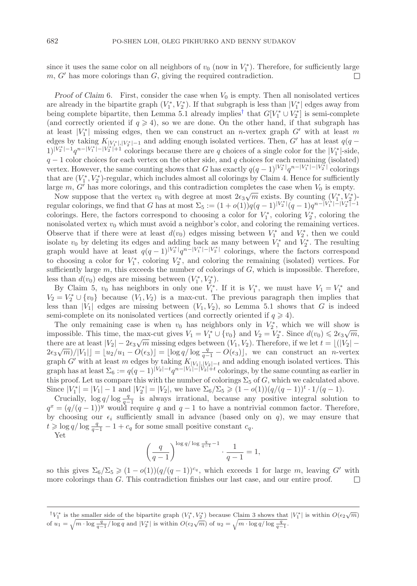since it uses the same color on all neighbors of  $v_0$  (now in  $V_1^*$ ). Therefore, for sufficiently large  $m G'$  has more colorings than  $G$  giving the required contradiction  $m, G'$  has more colorings than  $G$ , giving the required contradiction.

*Proof of Claim* 6. First, consider the case when  $V_0$  is empty. Then all nonisolated vertices are already in the bipartite graph  $(V_1^*, V_2^*)$ . If that subgraph is less than  $|V_1^*|$  edges away from<br>being complete bipartite, then Lemma 5.1 already implies that  $Cl(V^*+|V^*|)$  is semi-complete being complete bipartite, then Lemma 5.1 already implies<sup>[†](#page-27-0)</sup> that  $G[V_1^* \cup V_2^*]$  is semi-complete<br>(and correctly oriented if  $a > 4$ ), so we are done. On the other hand, if that subgraph has (and correctly oriented if  $q \geq 4$ ), so we are done. On the other hand, if that subgraph has at least  $|V_1^*|$  missing edges, then we can construct an *n*-vertex graph G' with at least m<br>edges by taking  $K_{\text{CUSUM}}$ , and adding enough isolated vertices. Then G' has at least  $a(a$ edges by taking  $K_{|V_1^*|,|V_2^*|-1}$  and adding enough isolated vertices. Then, G' has at least  $q(q-1)|V_1^*|-1,n-|V_1^*|+1$  colorings because there are a chaises of a single solar for the  $|V_1^*|$  cide  $1\frac{|V_2^*| - 1}{q^n - |V_1^*| - |V_2^*| + 1}$  colorings because there are q choices of a single color for the  $|V_1^*|$ -side,  $q - 1$  color choices for each vertex on the other side, and q choices for each remaining (isolated)  $q - 1$  color choices for each vertex on the other side, and q choices for each remaining (isolated) vertex. However, the same counting shows that G has exactly  $q(q-1)^{|V_2^*|}q^{n-|V_1^*|-|V_2^*|}$  colorings that are  $(V_1^*, V_2^*)$ -regular, which includes almost all colorings by Claim 4. Hence for sufficiently large  $m, G'$  has more colorings, and this contradiction completes the case when  $V_0$  is empty.

Now suppose that the vertex  $v_0$  with degree at most  $2\epsilon_3\sqrt{m}$  exists. By counting  $(V_1^*, V_2^*)$ -<br>where colorings we find that G has at most  $\Sigma_r := (1 + o(1))a(a-1)V_2^*|_{a-1}$ ,  $o_n = |V_1^*| - |V_2^*| - 1$ regular colorings, we find that G has at most  $\Sigma_5 := (1 + o(1))q(q-1)^{|V_2^*|}(q-1)q^{n-|V_1^*| - |V_2^*| - 1}$ colorings. Here, the factors correspond to choosing a color for  $V_1^*$ , coloring  $V_2^*$ , coloring the regularization with the regularization with the regularization with the regularization with the regularization with t nonisolated vertex  $v_0$  which must avoid a neighbor's color, and coloring the remaining vertices. Observe that if there were at least  $d(v_0)$  edges missing between  $V_1^*$  and  $V_2^*$ , then we could isolate  $v_0$  by deleting its edges and adding back as many between  $V^*$  and  $V^*$ . The resulting isolate  $v_0$  by deleting its edges and adding back as many between  $V_1^*$  and  $V_2^*$ . The resulting<br>graph would have at least  $g(a-1)|V_2^*|_{\alpha}a-|V_1^*|-|V_2^*|$  colorings, where the factors correspond graph would have at least  $q(q-1)^{|V_2^*|}q^{n-|V_1^*| - |V_2^*|}$  colorings, where the factors correspond to choosing a color for  $V_1^*$ , coloring  $V_2^*$ , and coloring the remaining (isolated) vertices. For sufficiently large  $m$  this exceeds the number of colorings of  $G$  which is impossible. Therefore sufficiently large  $m$ , this exceeds the number of colorings of  $G$ , which is impossible. Therefore, less than  $d(v_0)$  edges are missing between  $(V_1^*, V_2^*)$ .<br>By Claim 5,  $v_0$  has neighbors in only one  $V^*$ .

By Claim 5,  $v_0$  has neighbors in only one  $V_i^*$ . If it is  $V_1^*$ , we must have  $V_1 = V_1^*$  and  $- V^* + \{v_1\}$  hocause  $(V, V_1)$  is a max cut. The provious parameter than implies that  $V_2 = V_2^* \cup \{v_0\}$  because  $(V_1, V_2)$  is a max-cut. The previous paragraph then implies that  $C$  is indeed less than  $|V_1|$  edges are missing between  $(V_1, V_2)$ , so Lemma 5.1 shows that G is indeed semi-complete on its nonisolated vertices (and correctly oriented if  $q \geq 4$ ).

The only remaining case is when  $v_0$  has neighbors only in  $V_2^*$ , which we will show is nossible. This time the max-cut gives  $V_1 - V^* + \{f_2\}$  and  $V_2 - V^*$ . Since  $d(v_2) \leq 2\epsilon_2 \sqrt{m}$ impossible. This time, the max-cut gives  $V_1 = V_1^* \cup \{v_0\}$  and  $V_2 = V_2^*$ . Since  $d(v_0) \leq 2\epsilon_3\sqrt{m}$ ,<br>there are at least  $|V_2| = 2\epsilon_2\sqrt{m}$  missing edges between  $(V_2, V_2)$ . Therefore, if we let  $t = |(V_2)$ there are at least  $|V_2| - 2\epsilon_3 \sqrt{m}$  missing edges between  $(V_1, V_2)$ . Therefore, if we let  $t = \lfloor (|V_2| - 2\epsilon_3 \sqrt{m})/|V_1| - |v_2|/m$ ,  $O(\epsilon_1) - |\log \epsilon|/\log \frac{q}{\epsilon_2} - O(\epsilon_1)|$ , we get assume construction in vertex chere are at least  $|v_2| = 2\epsilon_3 \sqrt{m}$  infinition ( $|v_1, v_2|$ ). Therefore, if we fet  $t = \lfloor 1 | v_2| = 2\epsilon_3 \sqrt{m}$ )/ $|V_1|$  =  $\lfloor u_2/u_1 - O(\epsilon_3) \rfloor$  =  $\lfloor \log q / \log \frac{q}{q-1} - O(\epsilon_3) \rfloor$ , we can construct an *n*-vertex oranb  $G'$ graph G' with at least m edges by taking  $K_{|V_1|,|V_2|-t}$  and adding enough isolated vertices. This graph has at least  $\Sigma_6 := q(q-1)^{|V_2|-t} q^{n-|V_1|-|V_2|+t}$  colorings, by the same counting as earlier in<br>this proof. Let us compare this with the number of solening:  $\Sigma_{\alpha}$  of  $C$  which we solvulated shows this proof. Let us compare this with the number of colorings  $\Sigma_5$  of G, which we calculated above. Since  $|V_1^*| = |V_1| - 1$  and  $|V_2^*| = |V_2|$ , we have  $\Sigma_6/\Sigma_5 \geq (1 - o(1))(q/(q-1))^{t} \cdot 1/(q-1)$ .<br>Crucially  $\log q/\log \frac{q}{r}$  is always irrational because any positive integral solution

Crucially,  $\log q / \log \frac{q}{q-1}$  is always irrational, because any positive integral solution to  $\frac{q}{q-1}$  is always irrational, because any positive integral solution to  $q^x = (q/(q-1))^y$  would require q and  $q-1$  to have a nontrivial common factor. Therefore, by choosing our  $\epsilon_i$  sufficiently small in advance (based only on q), we may ensure that  $t > \log q / \log \frac{q}{q-1} - 1 + c_q$  for some small positive constant  $c_q$ .

Yet

$$
\left(\frac{q}{q-1}\right)^{\log q/\log\frac{q}{q-1}-1}\cdot\frac{1}{q-1}=1,
$$

so this gives  $\Sigma_6/\Sigma_5 \geq (1 - o(1))(q/(q-1))^{c_q}$ , which exceeds 1 for large m, leaving G' with more colorings than G. This contradiction finishes our last case, and our entire proof.  $\Box$ 

<span id="page-27-0"></span><sup>&</sup>lt;sup>†</sup> $V_1^*$  is the smaller side of the bipartite graph  $(V_1^*, V_2^*)$  because Claim 3 shows that  $|V_1^*|$  is within  $O(\epsilon_2\sqrt{m})$ of  $u_1 = \sqrt{m \cdot \log \frac{q}{q-1}} / \log q$  and  $|V_2^*|$  is within  $O(\epsilon_2 \sqrt{m})$  of  $u_2 = \sqrt{m \cdot \log q / \log \frac{q}{q-1}}$ .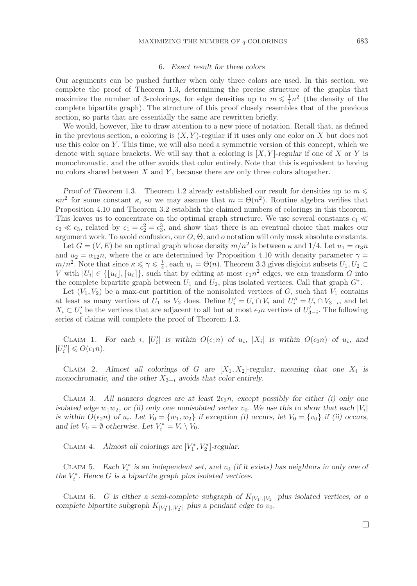#### 6. *Exact result for three colors*

Our arguments can be pushed further when only three colors are used. In this section, we complete the proof of Theorem 1.3, determining the precise structure of the graphs that maximize the number of 3-colorings, for edge densities up to  $m \leq \frac{1}{4}n^2$  (the density of the complete binartite graph). The structure of this proof closely resembles that of the previous complete bipartite graph). The structure of this proof closely resembles that of the previous section, so parts that are essentially the same are rewritten briefly.

We would, however, like to draw attention to a new piece of notation. Recall that, as defined in the previous section, a coloring is  $(X, Y)$ -regular if it uses only one color on X but does not use this color on  $Y$ . This time, we will also need a symmetric version of this concept, which we denote with square brackets. We will say that a coloring is  $[X, Y]$ -*regular* if one of X or Y is monochromatic, and the other avoids that color entirely. Note that this is equivalent to having no colors shared between  $X$  and  $Y$ , because there are only three colors altogether.

*Proof of Theorem* 1.3. Theorem 1.2 already established our result for densities up to  $m \leq$  $\kappa n^2$  for some constant  $\kappa$ , so we may assume that  $m = \Theta(n^2)$ . Routine algebra verifies that Proposition 4.10 and Theorem 3.2 establish the claimed numbers of colorings in this theorem. This leaves us to concentrate on the optimal graph structure. We use several constants  $\epsilon_1 \ll$  $\epsilon_2 \ll \epsilon_3$ , related by  $\epsilon_1 = \epsilon_2^2 = \epsilon_3^3$ , and show that there is an eventual choice that makes our<br>proximent work. To avoid confusion our  $O$ ,  $\Theta$  and o notation will only mask absolute constants argument work. To avoid confusion, our  $O$ ,  $\Theta$ , and  $o$  notation will only mask absolute constants.

Let  $G = (V, E)$  be an optimal graph whose density  $m/n^2$  is between  $\kappa$  and 1/4. Let  $u_1 = \alpha_3 n$ and  $u_2 = \alpha_{12}n$ , where the  $\alpha$  are determined by Proposition 4.10 with density parameter  $\gamma =$  $m/n^2$ . Note that since  $\kappa \leq \gamma \leq \frac{1}{4}$ , each  $u_i = \Theta(n)$ . Theorem 3.3 gives disjoint subsets  $U_1, U_2 \subset V$  with  $|U_i| \in \{ |u_i| \}$  such that by editing at most  $\epsilon_1 n^2$  edges, we can transform G into V with  $|U_i| \in \{|u_i|, [u_i]\}$ , such that by editing at most  $\epsilon_1 n^2$  edges, we can transform G into<br>the complete binaritie graph between  $U$  and  $U$  also isolated vertices. Call that graph  $C^*$ the complete bipartite graph between  $U_1$  and  $U_2$ , plus isolated vertices. Call that graph  $G^*$ .

Let  $(V_1, V_2)$  be a max-cut partition of the nonisolated vertices of G, such that  $V_1$  contains at least as many vertices of  $U_1$  as  $V_2$  does. Define  $U_i' = U_i \cap V_i$  and  $U_i'' = U_i \cap V_{3-i}$ , and let  $V_i \subset U_i'$  be the vertices that are odiacent to all but at most  $\epsilon$  n vertices of  $U_i'$ . The following  $X_i \subset U'_i$  be the vertices that are adjacent to all but at most  $\epsilon_2 n$  vertices of  $U'_{3-i}$ . The following<br>series of claims will complete the proof of Theorem 1.3 series of claims will complete the proof of Theorem 1.3.

CLAIM 1. For each *i*,  $|U_i'|$  is within  $O(\epsilon_1 n)$  of  $u_i$ ,  $|X_i|$  is within  $O(\epsilon_2 n)$  of  $u_i$ , and  $|U_i| \geq O(\epsilon_1 n)$  $|U''_i| \leqslant O(\epsilon_1 n).$ 

CLAIM 2. Almost all colorings of G are  $[X_1, X_2]$ -regular, meaning that one  $X_i$  is *monochromatic, and the other* <sup>X</sup>3−<sup>i</sup> *avoids that color entirely.*

CLAIM 3. All nonzero degrees are at least  $2\epsilon_3 n$ , except possibly for either (i) only one *isolated edge*  $w_1w_2$ , or (*ii*) only one nonisolated vertex  $v_0$ . We use this to show that each  $|V_i|$ *is within*  $O(\epsilon_2 n)$  *of*  $u_i$ *. Let*  $V_0 = \{w_1, w_2\}$  *if exception (i) occurs, let*  $V_0 = \{v_0\}$  *if (ii) occurs, and let*  $V_0 = \emptyset$  *otherwise. Let*  $V_i^* = V_i \setminus V_0$ *.* 

CLAIM 4. *Almost all colorings are*  $[V_1^*, V_2^*]$ -regular.

CLAIM 5. *Each*  $V_i^*$  *is an independent set, and*  $v_0$  *(if it exists) has neighbors in only one of*  $V_i^*$ . Hence  $C$  is a binaritie work plus isolated vertices. *the*  $V_i^*$ *. Hence G is a bipartite graph plus isolated vertices.* 

CLAIM 6. G is either a semi-complete subgraph of  $K_{|V_1|,|V_2|}$  plus isolated vertices, or a *complete bipartite subgraph*  $K_{|V_1^*|, |V_2^*|}$  *plus a pendant edge to*  $v_0$ *.*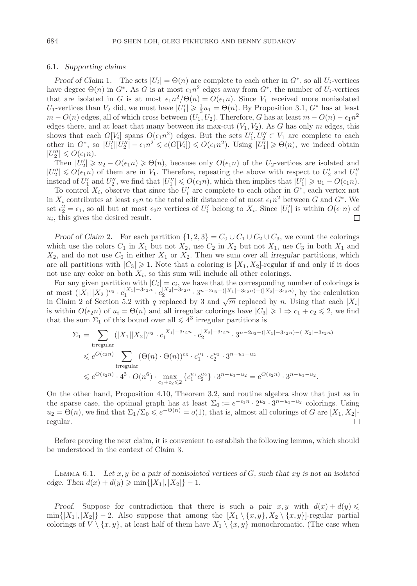#### 6.1. *Supporting claims*

*Proof of Claim* 1. The sets  $|U_i| = \Theta(n)$  are complete to each other in  $G^*$ , so all  $U_i$ -vertices have degree  $\Theta(n)$  in  $G^*$ . As G is at most  $\epsilon_1 n^2$  edges away from  $G^*$ , the number of  $U_i$ -vertices that are isolated in G is at most  $\epsilon_1 n^2/\Theta(n) = O(\epsilon_1 n)$ . Since  $V_1$  received more nonisolated U<sub>1</sub>-vertices than  $V_2$  did, we must have  $|U_1'| \ge \frac{1}{3}u_1 = \Theta(n)$ . By Proposition 3.1,  $G^*$  has at least  $m = O(n)$  edges all of which cross between  $(U_1, U_2)$ . Therefore G has at least  $m = O(n) - \epsilon_1 n^2$  $m - O(n)$  edges, all of which cross between  $(U_1, U_2)$ . Therefore, G has at least  $m - O(n) - \epsilon_1 n^2$ edges there, and at least that many between its max-cut  $(V_1, V_2)$ . As G has only m edges, this shows that each  $G[V_i]$  spans  $O(\epsilon_1 n^2)$  edges. But the sets  $U'_1, U''_2$ <br>other in  $C^*$  so  $|U'| |U'''| = \epsilon_2 n^2 \le e(C[V_i]) \le O(\epsilon_2 n^2)$ . Using  $|U'|$ shows that each  $G[V_i]$  spans  $O(\epsilon_1 n^2)$  edges. But the sets  $U'_1, U''_2 \subset V_1$  are complete to each other in  $G^*$ , so  $|U'_1||U''_2| - \epsilon_1 n^2 \leq e(G[V_i]) \leq O(\epsilon_1 n^2)$ . Using  $|U'_1| \geq \Theta(n)$ , we indeed obtain  $|U''_1| \leq O(\epsilon_1 n)$ .  $|U_2''| \leqslant O(\epsilon_1 n).$ <br>Then  $|U'| >$ 

Then  $|U_2'| \geq u_2 - O(\epsilon_1 n) \geq \Theta(n)$ , because only  $O(\epsilon_1 n)$  of the  $U_2$ -vertices are isolated and  $U' \leq O(\epsilon_2 n)$  of them are in  $V$ . Therefore, repeating the above with respect to  $U'$  and  $U''$  $|U''_2| \le O(\epsilon_1 n)$  of them are in  $V_1$ . Therefore, repeating the above with respect to  $U'_2$  and  $U''_1$ <br>instead of  $U'$  and  $U''$  we find that  $|U''| \le O(\epsilon_1 n)$  which then implies that  $|U'| \ge u - O(\epsilon_1 n)$ instead of  $U'_1$  and  $U''_2$ , we find that  $|U''_1| \le O(\epsilon_1 n)$ , which then implies that  $|U'_1| \ge u_1 - O(\epsilon_1 n)$ .<br>To control X, observe that since the  $U'_1$  are complete to each other in  $G^*$  each vertex not

To control  $X_i$ , observe that since the  $U'_i$  are complete to each other in  $G^*$ , each vertex not in  $X_i$  contributes at least  $\epsilon_2 n$  to the total edit distance of at most  $\epsilon_1 n^2$  between G and  $G^*$ . We set  $\epsilon_2^2 = \epsilon_1$ , so all but at most  $\epsilon_2 n$  vertices of  $U_i'$  belong to  $X_i$ . Since  $|U_i'|$  is within  $O(\epsilon_1 n)$  of  $U_i'$  this gives the desired result  $u_i$ , this gives the desired result.

*Proof of Claim* 2. For each partition  $\{1, 2, 3\} = C_0 \cup C_1 \cup C_2 \cup C_3$ , we count the colorings which use the colors  $C_1$  in  $X_1$  but not  $X_2$ , use  $C_2$  in  $X_2$  but not  $X_1$ , use  $C_3$  in both  $X_1$  and  $X_2$ , and do not use  $C_0$  in either  $X_1$  or  $X_2$ . Then we sum over all *irregular* partitions, which are all partitions with  $|C_3| \ge 1$ . Note that a coloring is  $[X_1, X_2]$ -regular if and only if it does not use any color on both  $X_i$ , so this sum will include all other colorings.

For any given partition with  $|C_i| = c_i$ , we have that the corresponding number of colorings is at most  $(|X_1||X_2|)^{c_3} \cdot c_1^{|X_1|-3\epsilon_2 n} \cdot c_2^{|X_2|-3\epsilon_2 n} \cdot 3^{n-2c_3-(|X_1|-3\epsilon_2 n) - (|X_2|-3\epsilon_2 n)}$ , by the calculation<br>in Claim 2 of Section 5.2 with a replaced by 3 and  $\sqrt{m}$  replaced by n. Using that each |X| in Claim 2 of Section 5.2 with q replaced by 3 and  $\sqrt{m}$  replaced by n. Using that each  $|X_i|$ is within  $O(\epsilon_2 n)$  of  $u_i = \Theta(n)$  and all irregular colorings have  $|C_3| \geq 1 \Rightarrow c_1 + c_2 \leq 2$ , we find that the sum  $\Sigma_1$  of this bound over all  $\leq 4^3$  irregular partitions is

$$
\Sigma_1 = \sum_{\text{irregular}} (|X_1||X_2|)^{c_3} \cdot c_1^{|X_1| - 3\epsilon_2 n} \cdot c_2^{|X_2| - 3\epsilon_2 n} \cdot 3^{n - 2c_3 - (|X_1| - 3\epsilon_2 n) - (|X_2| - 3\epsilon_2 n)}
$$
  
\$\leqslant e^{O(\epsilon\_2 n)} \sum\_{\text{irregular}} (\Theta(n) \cdot \Theta(n))^{c\_3} \cdot c\_1^{u\_1} \cdot c\_2^{u\_2} \cdot 3^{n - u\_1 - u\_2}\$  
\$\leqslant e^{O(\epsilon\_2 n)} \cdot 4^3 \cdot O(n^6) \cdot \max\_{c\_1 + c\_2 \leqslant 2} \{c\_1^{u\_1} c\_2^{u\_2}\} \cdot 3^{n - u\_1 - u\_2} = e^{O(\epsilon\_2 n)} \cdot 3^{n - u\_1 - u\_2}.

On the other hand, Proposition 4.10, Theorem 3.2, and routine algebra show that just as in the sparse case, the optimal graph has at least  $\Sigma_0 := e^{-\epsilon_1 n} \cdot 2^{u_2} \cdot 3^{n-u_1-u_2}$  colorings. Using  $u_2 = \Theta(n)$ , we find that  $\Sigma_1/\Sigma_0 \leqslant e^{-\Theta(n)} = o(1)$ , that is, almost all colorings of G are  $[X_1, X_2]$ -<br>regular. regular.

Before proving the next claim, it is convenient to establish the following lemma, which should be understood in the context of Claim 3.

Lemma 6.1. *Let* x, y *be a pair of nonisolated vertices of* G*, such that* xy *is not an isolated edge.* Then  $d(x) + d(y) \ge \min\{|X_1|, |X_2|\} - 1$ .

*Proof.* Suppose for contradiction that there is such a pair  $x, y$  with  $d(x) + d(y) \leq$  $\min\{|X_1|, |X_2|\}$  – 2. Also suppose that among the  $[X_1 \setminus \{x, y\}, X_2 \setminus \{x, y\}]$ -regular partial colorings of  $V \setminus \{x, y\}$ , at least half of them have  $X_1 \setminus \{x, y\}$  monochromatic. (The case when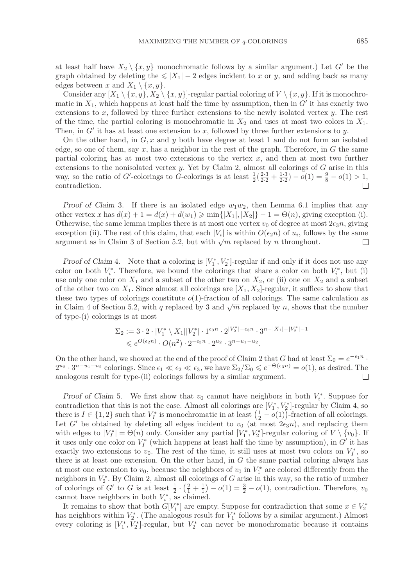at least half have  $X_2 \setminus \{x, y\}$  monochromatic follows by a similar argument.) Let G' be the graph obtained by deleting the  $\leq |X_1| - 2$  edges incident to x or y, and adding back as many edges between x and  $X_1 \setminus \{x, y\}.$ 

Consider any  $[X_1 \setminus \{x, y\}, X_2 \setminus \{x, y\}]$ -regular partial coloring of  $V \setminus \{x, y\}$ . If it is monochromatic in  $X_1$ , which happens at least half the time by assumption, then in G' it has exactly two extensions to x, followed by three further extensions to the newly isolated vertex  $y$ . The rest of the time, the partial coloring is monochromatic in  $X_2$  and uses at most two colors in  $X_1$ . Then, in  $G'$  it has at least one extension to x, followed by three further extensions to y.

On the other hand, in  $G, x$  and y both have degree at least 1 and do not form an isolated edge, so one of them, say  $x$ , has a neighbor in the rest of the graph. Therefore, in  $G$  the same partial coloring has at most two extensions to the vertex  $x$ , and then at most two further extensions to the nonisolated vertex y. Yet by Claim 2, almost all colorings of  $G$  arise in this way, so the ratio of G'-colorings to G-colorings is at least  $\frac{1}{2}(\frac{2\cdot3}{2\cdot2}+\frac{1\cdot3}{2\cdot2})-o(1)=\frac{9}{8}-o(1)>1$ , contradiction contradiction.

*Proof of Claim* 3. If there is an isolated edge  $w_1w_2$ , then Lemma 6.1 implies that any other vertex x has  $d(x) + 1 = d(x) + d(w_1) \ge \min\{|X_1|, |X_2|\} - 1 = \Theta(n)$ , giving exception (i). Otherwise, the same lemma implies there is at most one vertex  $v_0$  of degree at most  $2\epsilon_3 n$ , giving exception (ii). The rest of this claim, that each  $|V_i|$  is within  $O(\epsilon_2 n)$  of  $u_i$ , follows by the same argument as in Claim 3 of Section 5.2, but with  $\sqrt{m}$  replaced by n throughout. argument as in Claim 3 of Section 5.2, but with  $\sqrt{m}$  replaced by n throughout.

*Proof of Claim* 4. Note that a coloring is  $[V_1^*, V_2^*]$ -regular if and only if it does not use any lor on both  $V^*$ . Therefore, we bound the colorings that share a color on both  $V^*$  but (i) color on both  $V_i^*$ . Therefore, we bound the colorings that share a color on both  $V_i^*$ , but (i) use only one color on  $X_1$  and a subset of the other two on  $X_2$ , or (ii) one on  $X_2$  and a subset of the other two on  $X_1$ . Since almost all colorings are  $[X_1, X_2]$ -regular, it suffices to show that these two types of colorings constitute  $o(1)$ -fraction of all colorings. The same calculation as in Claim 4 of Section 5.2, with q replaced by 3 and  $\sqrt{m}$  replaced by n, shows that the number of type-(i) colorings is at most

$$
\Sigma_2 := 3 \cdot 2 \cdot |V_1^* \setminus X_1||V_2^*| \cdot 1^{\epsilon_3 n} \cdot 2^{|V_2^*| - \epsilon_3 n} \cdot 3^{n - |X_1| - |V_2^*| - 1}
$$
  
\$\leqslant e^{O(\epsilon\_2 n)} \cdot O(n^2) \cdot 2^{-\epsilon\_3 n} \cdot 2^{u\_2} \cdot 3^{n - u\_1 - u\_2}.

On the other hand, we showed at the end of the proof of Claim 2 that G had at least  $\Sigma_0 = e^{-\epsilon_1 n}$ .  $2^{u_2} \cdot 3^{n-u_1-u_2}$  colorings. Since  $\epsilon_1 \ll \epsilon_2 \ll \epsilon_3$ , we have  $\Sigma_2/\Sigma_0 \leq e^{-\Theta(\epsilon_3 n)} = o(1)$ , as desired. The analogous result for type-(ii) colorings follows by a similar argument. □ analogous result for type-(ii) colorings follows by a similar argument.

*Proof of Claim* 5*.* We first show that  $v_0$  cannot have neighbors in both  $V_i^*$ . Suppose for the distribution that this is not the gase. Almost all solenings are  $[V^*]$   $V^*$  regular by Claim 4, so contradiction that this is not the case. Almost all colorings are  $[V_1^*, V_2^*]$ -regular by Claim 4, so<br>there is  $I \in \{1, 2\}$  such that  $V^*$  is monochromatic in at least  $(\frac{1}{2} - o(1))$  fraction of all colorings there is  $I \in \{1,2\}$  such that  $V_I^*$  is monochromatic in at least  $(\frac{1}{2} - o(1))$ -fraction of all colorings.<br>Let  $G'$  be obtained by deleting all edges incident to  $v_0$  (at most  $2\epsilon_2 v_0$ ) and replacing them Let G' be obtained by deleting all edges incident to  $v_0$  (at most  $2\epsilon_3 n$ ), and replacing them with edges to  $|V_I^*| = \Theta(n)$  only. Consider any partial  $[V_I^*, V_2^*]$ -regular coloring of  $V \setminus \{v_0\}$ . If it uses only one color on  $V^*$  (which happens at least half the time by assumption) in  $G'$  it has it uses only one color on  $V_I^*$  (which happens at least half the time by assumption), in G' it has exactly two extensions to  $v_0$ . The rest of the time, it still uses at most two colors on  $V_I^*$ , so<br>there is at least one outprosing. On the other hand, in G the same partial selection always has there is at least one extension. On the other hand, in G the same partial coloring always has at most one extension to  $v_0$ , because the neighbors of  $v_0$  in  $V_1^*$  are colored differently from the neighbors in  $V^*$ . By Claim 2, almost all colorings of G arise in this way, so the ratio of number neighbors in  $V_2^*$ . By Claim 2, almost all colorings of G arise in this way, so the ratio of number<br>of colorings of  $C'$  to G is at losst  $\frac{1}{2}$ ,  $(\frac{2}{5}+1)$  =  $o(1)$  =  $\frac{3}{5}$  =  $o(1)$  contradiction. Therefore, t of colorings of G' to G is at least  $\frac{1}{2} \cdot (\frac{2}{1} + \frac{1}{1}) - o(1) = \frac{3}{2} - o(1)$ , contradiction. Therefore,  $v_0$ cannot have neighbors in both  $V_i^*$ , as claimed.

It remains to show that both  $G[V_i^*]$  are empty. Suppose for contradiction that some  $x \in V_2^*$ has neighbors within  $V_2^*$ . (The analogous result for  $V_1^*$  follows by a similar argument.) Almost overv coloring is  $[V^*]$  regular, but  $V^*$  can negate be monochromatic because it contains every coloring is  $[V_1^*, V_2^*]$ -regular, but  $V_2^*$  can never be monochromatic because it contains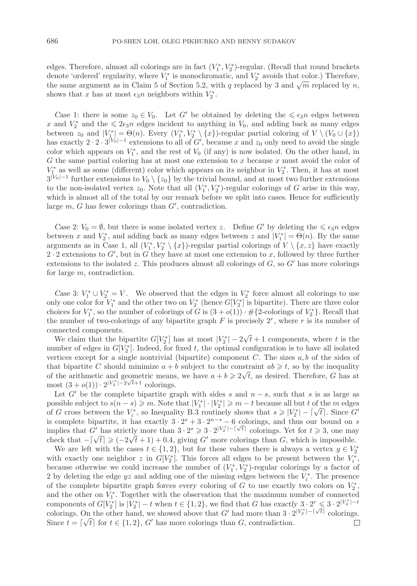edges. Therefore, almost all colorings are in fact  $(V_1^*, V_2^*)$ -regular. (Recall that round brackets<br>denote 'ordered' regularity where  $V^*$  is monochromatic, and  $V^*$  avoids that color.) Therefore denote 'ordered' regularity, where  $V_1^*$  is monochromatic, and  $V_2^*$  avoids that color.) Therefore, the same argument as in Claim 5 of Section 5.2, with a replaced by 3 and  $\sqrt{m}$  replaced by n the same argument as in Claim 5 of Section 5.2, with q replaced by 3 and  $\sqrt{m}$  replaced by n, shows that x has at most  $\epsilon_3 n$  neighbors within  $V_2^*$ .

*Case* 1: there is some  $z_0 \in V_0$ . Let G' be obtained by deleting the  $\leq \epsilon_3 n$  edges between x and  $V_2^*$  and the  $\leq 2\epsilon_3 n$  edges incident to anything in  $V_0$ , and adding back as many edges<br>between  $z_2$  and  $V^* = \Theta(n)$ . Every  $(V^* V^*) (x^*)$  requier partial coloring of  $V \setminus (V_0 + V_1)$ between  $z_0$  and  $|V_1^*| = \Theta(n)$ . Every  $(V_1^*, V_2^* \setminus \{x\})$ -regular partial coloring of  $V \setminus (V_0 \cup \{x\})$ <br>has exactly 2, 2, 3<sup>[V<sub>0</sub>]-1</sup> extensions to all of  $G'$  because x and  $z_0$  only need to avoid the single has exactly  $2 \cdot 2 \cdot 3^{|V_0|-1}$  extensions to all of  $G'$ , because x and  $z_0$  only need to avoid the single color which appears on  $V_1^*$ , and the rest of  $V_0$  (if any) is now isolated. On the other hand, in  $G$  the same partial coloring has at most one extension to x because x must avoid the color of G the same partial coloring has at most one extension to  $x$  because  $x$  must avoid the color of  $V_1^*$  as well as some (different) color which appears on its neighbor in  $V_2^*$ . Then, it has at most<br> $2^{|V_0|-1}$  further extensions to  $V_0 \setminus I_{z_0}$  by the trivial bound, and at most two further extensions  $3^{|V_0|-1}$  further extensions to  $V_0 \setminus \{z_0\}$  by the trivial bound, and at most two further extensions to the non-isolated vertex  $z_0$ . Note that all  $(V_1^*, V_2^*)$ -regular colorings of G arise in this way,<br>which is almost all of the total by our remark before we split into cases. Hence for sufficiently which is almost all of the total by our remark before we split into cases. Hence for sufficiently large  $m$ ,  $G$  has fewer colorings than  $G'$ , contradiction.

*Case* 2:  $V_0 = \emptyset$ , but there is some isolated vertex z. Define G' by deleting the  $\leq \epsilon_3 n$  edges between x and  $V_2^*$ , and adding back as many edges between z and  $|V_1^*| = \Theta(n)$ . By the same<br>proximents as in Case 1, all  $(V^*|V^*)$  (x) regular partial colorings of  $V \setminus x$  x) have exactly arguments as in Case 1, all  $(V_1^*, V_2^* \setminus \{x\})$ -regular partial colorings of  $V \setminus \{x, z\}$  have exactly  $2 \cdot 2$  extensions to G', but in G they have at most one extension to x, followed by three further extensions to the isolated z. This produces almost all colorings of  $G$ , so  $G'$  has more colorings for large m, contradiction.

*Case* 3:  $V_1^* \cup V_2^* = V$ . We observed that the edges in  $V_2^*$  force almost all colorings to use  $\cup$  one color for  $V^*$  and the other two on  $V^*$  (hence  $ClV^*$ ) is binartite). There are three color only one color for  $V_1^*$  and the other two on  $V_2^*$  (hence  $G[V_2^*]$  is bipartite). There are three color choices for  $V^*$  so the number of colorings of  $G$  is  $(3 + o(1))$ ,  $\#D$ -colorings of  $V^*$ ). Recall that choices for  $V_1^*$ , so the number of colorings of G is  $(3+o(1)) \cdot \# \{2\text{-colorings of } V_2^*\}$ . Recall that the number of two-colorings of any bipartite graph  $F$  is precisely  $2^r$ , where r is its number of connected components.

mected components.<br>We claim that the bipartite  $G[V_2^*]$  has at most  $|V_2^*| - 2\sqrt{t} + 1$  components, where t is the<br>mbor of odges in  $G[V^*]$ . Indeed, for fixed t, the optimal configuration is to have all isolated number of edges in  $G[V_2^*]$ . Indeed, for fixed t, the optimal configuration is to have all isolated<br>vertices except for a single pontrivial (bipartite) component  $C$ . The sizes a b of the sides of vertices except for a single nontrivial (bipartite) component  $C$ . The sizes  $a, b$  of the sides of that bipartite C should minimize  $a + b$  subject to the constraint  $ab \geq t$ , so by the inequality that bipartitie C should minimize  $a + b$  subject to the constraint  $ab \geqslant t$ , so by the inequality of the arithmetic and geometric means, we have  $a + b \geqslant 2\sqrt{t}$ , as desired. Therefore, G has at most  $(3+o(1)) \cdot 2^{|V_2^*|-2\sqrt{t}+1}$  colorings.

Let G' be the complete bipartite graph with sides s and  $n - s$ , such that s is as large as possible subject to  $s(n-s) \geq m$ . Note that  $|V_1^*| \cdot |V_2^*| \geq m-t$  because all but t of the m edges of  $C$  cross between the  $V^*$  so Incounting B 3 poutingly shows that  $s > |V^*| - [A]$  Since  $C'$ possible subject to  $s(n-s) \geq m$ . Note that  $|V_1| \cdot |V_2| \geq m-t$  because all but t of the m edges<br>of G cross between the  $V_i^*$ , so Inequality B.3 routinely shows that  $s \geq |V_2^*| - \lceil \sqrt{t} \rceil$ . Since G'<br>is complete hineriti is complete bipartite, it has exactly  $3 \cdot 2^{s} + 3 \cdot 2^{n-s} - 6$  colorings, and thus our bound on s is complete bipartite, it has exactly  $3 \cdot 2^k \neq 3 \cdot 2^{k-1} = 0$  colorings, and thus our bound on s<br>implies that G' has strictly more than  $3 \cdot 2^s \geq 3 \cdot 2^{|V_2^*| - \lceil \sqrt{t} \rceil}$  colorings. Yet for  $t \geq 3$ , one may mightes that  $G$  has strictly more than  $3 \cdot 2 \ge 3 \cdot 2^{-2}$ . Colorings than  $G$ , which is impossible.<br>
check that  $-\lceil \sqrt{t} \rceil \ge (-2\sqrt{t}+1) + 0.4$ , giving  $G'$  more colorings than  $G$ , which is impossible.

We are left with the cases  $t \in \{1,2\}$ , but for these values there is always a vertex  $y \in V_2^*$ with exactly one neighbor z in  $G[V_2^*]$ . This forces all edges to be present between the  $V_i^*$ , hocause otherwise we could increase the number of  $(V^* \ V^*)$  regular colorings by a factor of because otherwise we could increase the number of  $(V_1^*, V_2^*)$ -regular colorings by a factor of<br>2 by deleting the edge  $\mu$  and adding one of the missing edges between the  $V^*$ . The presence 2 by deleting the edge  $yz$  and adding one of the missing edges between the  $V_i^*$ . The presence of the complete bipartite graph forces *every* coloring of G to use exactly two colors on  $V_2^*$ , and the other on  $V_1^*$ . Together with the observation that the maximum number of connected<br>components of  $C[V^*]$  is  $|V^*| - t$  when  $t \in [1, 2]$ , we find that G has exactly  $3 \cdot 2^r \leq 3 \cdot 2^{|V^*_*|} - t$ components of  $G[V_2^*]$  is  $|V_2^*| - t$  when  $t \in \{1, 2\}$ , we find that G has *exactly*  $3 \cdot 2^r \leq 3 \cdot 2^{|V_2^*| - t}$ colorings. On the other hand, we showed above that G' had more than  $3 \cdot 2^{|V_2^*| - \lceil \sqrt{t} \rceil}$  colorings. Colorings. On the other hand, we showed above that G had more than  $S \cdot 2$ .<br>Since  $t = \lceil \sqrt{t} \rceil$  for  $t \in \{1, 2\}$ , G' has more colorings than G, contradiction.  $\Box$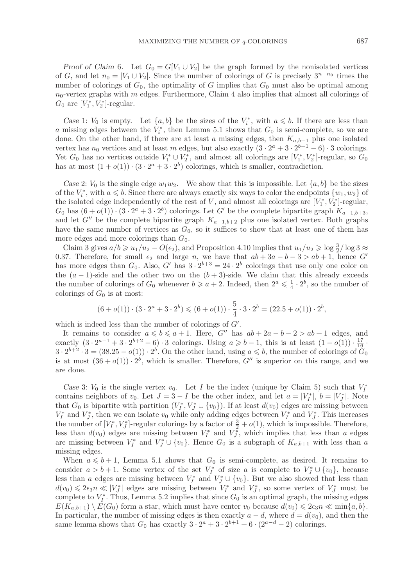*Proof of Claim* 6*.* Let  $G_0 = G[V_1 \cup V_2]$  be the graph formed by the nonisolated vertices of G, and let  $n_0 = |V_1 \cup V_2|$ . Since the number of colorings of G is precisely  $3^{n-n_0}$  times the number of colorings of  $G_0$ , the optimality of G implies that  $G_0$  must also be optimal among  $n_0$ -vertex graphs with m edges. Furthermore, Claim 4 also implies that almost all colorings of  $G_0$  are  $[V_1^*, V_2^*]$ -regular.

*Case* 1:  $V_0$  is empty. Let  $\{a, b\}$  be the sizes of the  $V_i^*$ , with  $a \leq b$ . If there are less than a missing edges between the  $V_i^*$ , then Lemma 5.1 shows that  $G_0$  is semi-complete, so we are<br>done. On the other hand, if there are at least a missing edges, then  $K$ , so plus one isolated done. On the other hand, if there are at least a missing edges, then  $K_{a,b-1}$  plus one isolated vertex has  $n_0$  vertices and at least m edges, but also exactly  $(3 \cdot 2^a + 3 \cdot 2^{b-1} - 6) \cdot 3$  colorings. Yet  $G_0$  has no vertices outside  $V_1^* \cup V_2^*$ , and almost all colorings are  $[V_1^*, V_2^*]$ -regular, so  $G_0$ <br>has at most  $(1 + o(1))$ ,  $(3, 2^a + 3, 2^b)$  colorings which is smaller contradiction has at most  $(1 + o(1)) \cdot (3 \cdot 2^a + 3 \cdot 2^b)$  colorings, which is smaller, contradiction.

Case 2:  $V_0$  is the single edge  $w_1w_2$ . We show that this is impossible. Let  $\{a, b\}$  be the sizes of the  $V_i^*$ , with  $a \leq b$ . Since there are always exactly six ways to color the endpoints  $\{w_1, w_2\}$  of the isolated odge independently of the next of  $V$  and almost all solarings are  $[V^*]$  very large the isolated edge independently of the rest of V, and almost all colorings are  $[V_1^*, V_2^*]$ -regular,<br> $C_2$  has  $(6 + o(1))$ ,  $(3, 2^a + 3, 2^b)$  colorings. Let  $C'$  be the complete binaritie graph  $K$ , since  $G_0$  has  $(6+o(1)) \cdot (3 \cdot 2^a + 3 \cdot 2^b)$  colorings. Let G' be the complete bipartite graph  $K_{a-1,b+3}$ , and let G" be the complete bipartite graph  $K_{a-1,b+2}$  plus one isolated vertex. Both graphs have the same number of vertices as  $G_0$ , so it suffices to show that at least one of them has more edges and more colorings than  $G_0$ .

Claim 3 gives  $a/b \geq u_1/u_2 - O(\epsilon_2)$ , and Proposition 4.10 implies that  $u_1/u_2 \geqslant \log \frac{3}{2}/\log 3 \approx$ <br>37 Therefore, for small  $\epsilon_2$  and large n, we have that  $ab + 3a - b - 3 > ab + 1$  hence  $G'$ 0.37. Therefore, for small  $\epsilon_2$  and large n, we have that  $ab + 3a - b - 3 > ab + 1$ , hence G' has more edges than  $G_0$ . Also,  $G'$  has  $3 \cdot 2^{b+3} = 24 \cdot 2^b$  colorings that use only one color on the  $(a - 1)$ -side and the other two on the  $(b + 3)$ -side. We claim that this already exceeds the number of colorings of  $G_0$  whenever  $b \ge a + 2$ . Indeed, then  $2^a \le \frac{1}{4} \cdot 2^b$ , so the number of colorings of  $G_0$  is at most: colorings of  $G_0$  is at most:

$$
(6+o(1)) \cdot (3 \cdot 2^a + 3 \cdot 2^b) \leq (6+o(1)) \cdot \frac{5}{4} \cdot 3 \cdot 2^b = (22.5+o(1)) \cdot 2^b,
$$

which is indeed less than the number of colorings of  $G'$ .

It remains to consider  $a \leq b \leq a+1$ . Here, G'' has  $ab + 2a - b - 2 > ab + 1$  edges, and exactly  $(3 \cdot 2^{a-1} + 3 \cdot 2^{b+2} - 6) \cdot 3$  colorings. Using  $a \ge b-1$ , this is at least  $(1 - o(1)) \cdot \frac{17}{16} \cdot 3 \cdot 2^{b+2} \cdot 3 = (38.25 - o(1)) \cdot 2^b$  On the other hand using  $a \le b$  the number of colorings of  $G_2$  $3 \cdot 2^{b+2} \cdot 3 = (38.25 - o(1)) \cdot 2^b$ . On the other hand, using  $a \leq b$ , the number of colorings of  $G_0$ is at most  $(36+o(1))\cdot 2^b$ , which is smaller. Therefore,  $G''$  is superior on this range, and we are done.

*Case* 3:  $V_0$  is the single vertex  $v_0$ . Let *I* be the index (unique by Claim 5) such that  $V_I^*$ contains neighbors of  $v_0$ . Let  $J = 3 - I$  be the other index, and let  $a = |V_I^*|$ ,  $b = |V_J^*|$ . Note that  $G_0$  is bipartite with partition  $(V_I^*, V_J^* \cup \{v_0\})$ . If at least  $d(v_0)$  edges are missing between  $V^*$  and  $V^*$ , then  $y_0$  are non-second in partition of the state between  $V^*$  and  $V^*$ . This increases  $V_I^*$  and  $V_J^*$ , then we can isolate  $v_0$  while only adding edges between  $V_I^*$  and  $V_J^*$ . This increases the number of  $[V_l^*, V_l^*]$ -regular colorings by a factor of  $\frac{3}{2} + o(1)$ , which is impossible. Therefore,<br>less than  $d(v_0)$  edges are missing between  $V_s^*$  and  $V_s^*$  which implies that less than a edges less than  $d(v_0)$  edges are missing between  $V_I^*$  and  $V_J^*$ , which implies that less than a edges are missing between  $V_I^*$  and  $V_J^* \cup \{v_0\}$ . Hence  $G_0$  is a subgraph of  $K_{a,b+1}$  with less than a missing odges missing edges.

When  $a \le b + 1$ , Lemma 5.1 shows that  $G_0$  is semi-complete, as desired. It remains to consider  $a > b + 1$ . Some vertex of the set  $V_I^*$  of size a is complete to  $V_J^* \cup \{v_0\}$ , because less than a edges are missing between  $V_I^*$  and  $V_J^* \cup \{v_0\}$ . But we also showed that less than  $d(u) \leq 2$  i.e.  $\mathbb{Z}^{n+1}$  adges are missing between  $V^*$  and  $V^*$ , as some yetses of  $V^*$  must be  $d(v_0) \leq 2\epsilon_3 n \leq |V_f^*|$  edges are missing between  $V_f^*$  and  $V_f^*$ , so some vertex of  $V_f^*$  must be complete to  $V_f^*$ . Thus, Lamma 5.2 implies that since  $C$  is an artimal work the missing advantage complete to  $V_l^*$ . Thus, Lemma 5.2 implies that since  $G_0$  is an optimal graph, the missing edges  $E(K_{a,b+1}) \setminus E(G_0)$  form a star, which must have center  $v_0$  because  $d(v_0) \leqslant 2\epsilon_3 n \ll \min\{a,b\}.$ In particular, the number of missing edges is then exactly  $a - d$ , where  $d = d(v_0)$ , and then the same lemma shows that  $G_0$  has exactly  $3 \cdot 2^a + 3 \cdot 2^{b+1} + 6 \cdot (2^{a-d} - 2)$  colorings.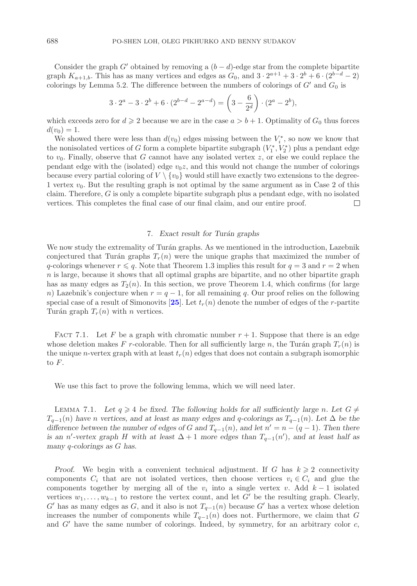Consider the graph G' obtained by removing a  $(b - d)$ -edge star from the complete bipartite graph  $K_{a+1,b}$ . This has as many vertices and edges as  $G_0$ , and  $3 \cdot 2^{a+1} + 3 \cdot 2^{b} + 6 \cdot (2^{b-d} - 2)$ colorings by Lemma 5.2. The difference between the numbers of colorings of  $G'$  and  $G_0$  is

$$
3 \cdot 2^{a} - 3 \cdot 2^{b} + 6 \cdot (2^{b-d} - 2^{a-d}) = \left(3 - \frac{6}{2^{d}}\right) \cdot (2^{a} - 2^{b}),
$$

which exceeds zero for  $d \ge 2$  because we are in the case  $a > b + 1$ . Optimality of  $G_0$  thus forces  $d(v_0) = 1.$ 

We showed there were less than  $d(v_0)$  edges missing between the  $V_i^*$ , so now we know that the nonisolated vertices of G form a complete bipartite subgraph  $(V_1^*, V_2^*)$  plus a pendant edge<br>to us. Finally, observe that G cannot have any isolated vertex  $z$ , or else we could replace the to  $v_0$ . Finally, observe that G cannot have any isolated vertex z, or else we could replace the pendant edge with the (isolated) edge  $v_0z$ , and this would not change the number of colorings because every partial coloring of  $V \setminus \{v_0\}$  would still have exactly two extensions to the degree-1 vertex  $v_0$ . But the resulting graph is not optimal by the same argument as in Case 2 of this claim. Therefore,  $G$  is only a complete bipartite subgraph plus a pendant edge, with no isolated vertices. This completes the final case of our final claim, and our entire proof.  $\Box$ 

#### 7. *Exact result for Tur´an graphs*

We now study the extremality of Turán graphs. As we mentioned in the introduction, Lazebnik conjectured that Turán graphs  $T_r(n)$  were the unique graphs that maximized the number of q-colorings whenever  $r \leqslant q$ . Note that Theorem 1.3 implies this result for  $q = 3$  and  $r = 2$  when  $n$  is large, because it shows that all optimal graphs are bipartite, and no other bipartite graph has as many edges as  $T_2(n)$ . In this section, we prove Theorem 1.4, which confirms (for large n) Lazebnik's conjecture when  $r = q - 1$ , for all remaining q. Our proof relies on the following special case of a result of Simonovits [[25](#page-41-9)]. Let  $t_r(n)$  denote the number of edges of the r-partite Turán graph  $T_r(n)$  with n vertices.

FACT 7.1. Let F be a graph with chromatic number  $r + 1$ . Suppose that there is an edge whose deletion makes F r-colorable. Then for all sufficiently large n, the Turán graph  $T_r(n)$  is the unique n-vertex graph with at least  $t_r(n)$  edges that does not contain a subgraph isomorphic to F.

We use this fact to prove the following lemma, which we will need later.

LEMMA 7.1. Let  $q \geq 4$  be fixed. The following holds for all sufficiently large n. Let  $G \neq$  $T_{q-1}(n)$  have n vertices, and at least as many edges and q-colorings as  $T_{q-1}(n)$ . Let  $\Delta$  be the *difference between the number of edges of* G and  $T_{q-1}(n)$ *, and let*  $n' = n - (q - 1)$ *. Then there is an* n'-vertex graph H with at least  $\Delta + 1$  *more edges than*  $T_{q-1}(n')$ , and at least half as *many* q*-colorings as* G *has.*

*Proof.* We begin with a convenient technical adjustment. If G has  $k \geq 2$  connectivity components  $C_i$  that are not isolated vertices, then choose vertices  $v_i \in C_i$  and glue the components together by merging all of the  $v_i$  into a single vertex v. Add  $k-1$  isolated vertices  $w_1, \ldots, w_{k-1}$  to restore the vertex count, and let G' be the resulting graph. Clearly, G' has as many edges as G, and it also is not  $T_{q-1}(n)$  because G' has a vertex whose deletion increases the number of components while  $T_{q-1}(n)$  does not. Furthermore, we claim that G and  $G'$  have the same number of colorings. Indeed, by symmetry, for an arbitrary color  $c$ ,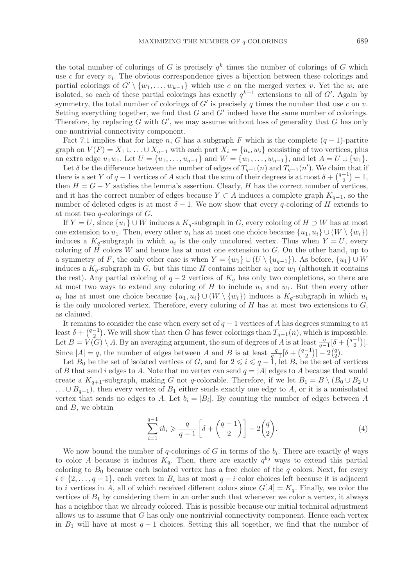the total number of colorings of G is precisely  $q^k$  times the number of colorings of G which use c for every  $v_i$ . The obvious correspondence gives a bijection between these colorings and partial colorings of  $G' \setminus \{w_1,\ldots,w_{k-1}\}\$  which use c on the merged vertex v. Yet the  $w_i$  are isolated, so each of these partial colorings has exactly  $q^{k-1}$  extensions to all of G'. Again by symmetry, the total number of colorings of  $G'$  is precisely q times the number that use c on v. Setting everything together, we find that  $G$  and  $G'$  indeed have the same number of colorings. Therefore, by replacing  $G$  with  $G'$ , we may assume without loss of generality that  $G$  has only one nontrivial connectivity component.

Fact 7.1 implies that for large n, G has a subgraph F which is the complete  $(q-1)$ -partite graph on  $V(F) = X_1 \cup \ldots \cup X_{q-1}$  with each part  $X_i = \{u_i, w_i\}$  consisting of two vertices, plus an extra edge  $u_1w_1$ . Let  $U = \{u_1, \ldots, u_{q-1}\}\$  and  $W = \{w_1, \ldots, w_{q-1}\}\$ , and let  $A = U \cup \{w_1\}$ .

Let  $\delta$  be the difference between the number of edges of  $T_{q-1}(n)$  and  $T_{q-1}(n')$ . We claim that if there is a set Y of  $q-1$  vertices of A such that the sum of their degrees is at most  $\delta + \binom{q-1}{2} - 1$ , then  $H = G - Y$  satisfies the lemma's assertion. Clearly, H has the correct number of vertices, and it has the correct number of edges because  $Y \subset A$  induces a complete graph  $K_{q-1}$ , so the number of deleted edges is at most  $\delta - 1$ . We now show that every q-coloring of H extends to at most two  $q$ -colorings of  $G$ .

If  $Y = U$ , since  $\{u_1\} \cup W$  induces a  $K_q$ -subgraph in G, every coloring of  $H \supset W$  has at most one extension to  $u_1$ . Then, every other  $u_i$  has at most one choice because  $\{u_1, u_i\} \cup (W \setminus \{w_i\})$ induces a  $K_q$ -subgraph in which  $u_i$  is the only uncolored vertex. Thus when  $Y = U$ , every coloring of  $H$  colors  $W$  and hence has at most one extension to  $G$ . On the other hand, up to a symmetry of F, the only other case is when  $Y = \{w_1\} \cup (U \setminus \{u_{q-1}\})$ . As before,  $\{u_1\} \cup W$ induces a  $K_q$ -subgraph in G, but this time H contains neither  $u_1$  nor  $w_1$  (although it contains the rest). Any partial coloring of  $q - 2$  vertices of  $K_q$  has only two completions, so there are at most two ways to extend any coloring of  $H$  to include  $u_1$  and  $w_1$ . But then every other  $u_i$  has at most one choice because  $\{u_1, u_i\} \cup (W \setminus \{w_i\})$  induces a  $K_q$ -subgraph in which  $u_i$ is the only uncolored vertex. Therefore, every coloring of  $H$  has at most two extensions to  $G$ , as claimed.

It remains to consider the case when every set of  $q-1$  vertices of A has degrees summing to at least  $\delta + {q-1 \choose 2}$ . We will show that then G has fewer colorings than  $T_{q-1}(n)$ , which is impossible. Let  $B = V(G) \setminus A$ . By an averaging argument, the sum of degrees of A is at least  $\frac{q}{q-1}[\delta + {q-1 \choose 2}]$ .<br>Since  $|A| = q$ , the number of edges between A and B is at least  $\frac{q}{q-1}[\delta + {q-1 \choose 2}]$ . Since  $|A| = q$ , the number of edges between A and B is at least  $\frac{q}{q-1}[\delta + {\binom{q-1}{2}}] - 2{\binom{q}{2}}$ .<br>Let  $B_0$  be the set of isolated vertices of G and for  $2 \le i \le q-1$  let  $B_1$  be the set of vert  $\big) - 2 \big( \frac{q}{2} \big)$ .

 $\epsilon$ Let  $B_0$  be the set of isolated vertices of G, and for  $2 \leq i \leq q-1$ , let  $B_i$  be the set of vertices of B that send i edges to A. Note that no vertex can send  $q = |A|$  edges to A because that would create a  $K_{q+1}$ -subgraph, making G not q-colorable. Therefore, if we let  $B_1 = B \setminus (B_0 \cup B_2 \cup$  $\dots \cup B_{q-1}$ , then every vertex of  $B_1$  either sends exactly one edge to A, or it is a nonisolated vertex that sends no edges to A. Let  $b_i = |B_i|$ . By counting the number of edges between A and  $B$ , we obtain

<span id="page-34-0"></span>
$$
\sum_{i=1}^{q-1} ib_i \geqslant \frac{q}{q-1} \left[ \delta + \binom{q-1}{2} \right] - 2\binom{q}{2}.\tag{4}
$$

We now bound the number of q-colorings of G in terms of the  $b_i$ . There are exactly q! ways to color A because it induces  $K_q$ . Then, there are exactly  $q^{b_0}$  ways to extend this partial coloring to  $B_0$  because each isolated vertex has a free choice of the q colors. Next, for every  $i \in \{2,\ldots,q-1\}$ , each vertex in  $B_i$  has at most  $q-i$  color choices left because it is adjacent to *i* vertices in A, all of which received different colors since  $G[A] = K_q$ . Finally, we color the vertices of  $B_1$  by considering them in an order such that whenever we color a vertex, it always has a neighbor that we already colored. This is possible because our initial technical adjustment allows us to assume that  $G$  has only one nontrivial connectivity component. Hence each vertex in  $B_1$  will have at most  $q-1$  choices. Setting this all together, we find that the number of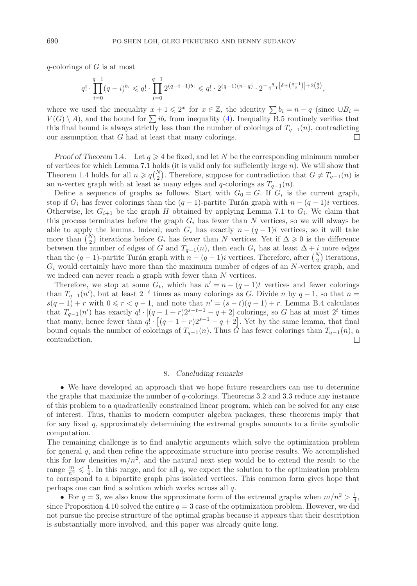$q$ -colorings of G is at most

$$
q! \cdot \prod_{i=0}^{q-1} (q-i)^{b_i} \leqslant q! \cdot \prod_{i=0}^{q-1} 2^{(q-i-1)b_i} \leqslant q! \cdot 2^{(q-1)(n-q)} \cdot 2^{-\frac{q}{q-1} \left[\delta + \binom{q-1}{2}\right] + 2\binom{q}{2}},
$$

where we used the inequality  $x + 1 \leq 2^x$  for  $x \in \mathbb{Z}$ , the identity  $\sum b_i = n - q$  (since  $\cup B_i =$  $V(G) \setminus A$ , and the bound for  $\sum_i ib_i$  from inequality [\(4\)](#page-34-0). Inequality B.5 routinely verifies that this final bound is always strictly less than the number of colorings of  $T_{q-1}(n)$ , contradicting our assumption that G had at least that many colorings. our assumption that  $G$  had at least that many colorings.

*Proof of Theorem* 1.4. Let  $q \ge 4$  be fixed, and let N be the corresponding minimum number of vertices for which Lemma 7.1 holds (it is valid only for sufficiently large  $n$ ). We will show that Theorem 1.4 holds for all  $n \geqslant q_{\binom{N}{2}}^{N}$ . Therefore, suppose for contradiction that  $G \neq T_{q-1}(n)$  is an n-vertex graph with at least as many edges and q-colorings as  $T_{q-1}(n)$ .<br>Define a sequence of graphs as follows, Start with  $C = C$ , If  $C$  is

Define a sequence of graphs as follows. Start with  $G_0 = G$ . If  $G_i$  is the current graph, stop if  $G_i$  has fewer colorings than the  $(q-1)$ -partite Turán graph with  $n - (q-1)i$  vertices. Otherwise, let  $G_{i+1}$  be the graph H obtained by applying Lemma 7.1 to  $G_i$ . We claim that this process terminates before the graph  $G_i$  has fewer than N vertices, so we will always be able to apply the lemma. Indeed, each  $G_i$  has exactly  $n - (q - 1)i$  vertices, so it will take more than  $\binom{N}{2}$  iterations before  $G_i$  has fewer than N vertices. Yet if  $\Delta \geqslant 0$  is the difference between the number of edges of G and  $T_{q-1}(n)$ , then each  $G_i$  has at least  $\Delta + i$  more edges<br>than the  $(a-1)$  partite Turén graph with  $a=(a-1)i$  vartiess. Therefore, efter  $(N)$  iterations than the  $(q-1)$ -partite Turán graph with  $n-(q-1)i$  vertices. Therefore, after  $\binom{N}{2}$  iterations,  $G_i$  would certainly have more than the maximum number of edges of an  $N$ -vertex graph, and we indeed can never reach a graph with fewer than  $N$  vertices.

Therefore, we stop at some  $G_t$ , which has  $n' = n - (q - 1)t$  vertices and fewer colorings than  $T_{q-1}(n')$ , but at least  $2^{-t}$  times as many colorings as G. Divide n by  $q-1$ , so that  $n =$  $s(q-1) + r$  with  $0 \leq r < q-1$ , and note that  $n' = (s-t)(q-1) + r$ . Lemma B.4 calculates that  $T_{q-1}(n')$  has exactly  $q! \cdot [(q-1+r)2^{s-t-1}-q+2]$  colorings, so G has at most  $2^t$  times<br>that many hange form than  $q! \cdot [(q-1+r)2^{s-1}-q+2]$  colorings, so G has at most  $2^t$  times that many, hence fewer than  $q! \cdot [(q-1+r)2^{s-1}-q+2]$ . Yet by the same lemma, that final bound equals the number of colorings of  $T_{q-1}(n)$ . Thus  $\tilde{G}$  has fewer colorings than  $T_{q-1}(n)$ , a contradiction. contradiction.

## 8. *Concluding remarks*

• We have developed an approach that we hope future researchers can use to determine the graphs that maximize the number of q-colorings. Theorems 3.2 and 3.3 reduce any instance of this problem to a quadratically constrained linear program, which can be solved for any case of interest. Thus, thanks to modern computer algebra packages, these theorems imply that for any fixed q, approximately determining the extremal graphs amounts to a finite symbolic computation.

The remaining challenge is to find analytic arguments which solve the optimization problem for general  $q$ , and then refine the approximate structure into precise results. We accomplished this for low densities  $m/n^2$ , and the natural next step would be to extend the result to the range  $\frac{m}{n^2} \leq \frac{1}{4}$ . In this range, and for all q, we expect the solution to the optimization problem<br>to correspond to a binartite graph plus isolated vertices. This common form gives hope that to correspond to a bipartite graph plus isolated vertices. This common form gives hope that perhaps one can find a solution which works across all q.

• For  $q = 3$ , we also know the approximate form of the extremal graphs when  $m/n^2 > \frac{1}{4}$ , since Proposition 4.10 solved the entire  $q = 3$  case of the optimization problem. However, we did not pursue the precise structure of the optimal graphs because it appears that their description is substantially more involved, and this paper was already quite long.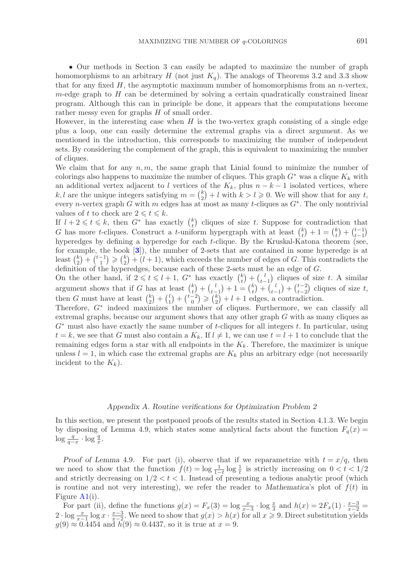• Our methods in Section 3 can easily be adapted to maximize the number of graph homomorphisms to an arbitrary H (not just  $K_q$ ). The analogs of Theorems 3.2 and 3.3 show that for any fixed  $H$ , the asymptotic maximum number of homomorphisms from an *n*-vertex,  $m$ -edge graph to  $H$  can be determined by solving a certain quadratically constrained linear program. Although this can in principle be done, it appears that the computations become rather messy even for graphs H of small order.

However, in the interesting case when  $H$  is the two-vertex graph consisting of a single edge plus a loop, one can easily determine the extremal graphs via a direct argument. As we mentioned in the introduction, this corresponds to maximizing the number of independent sets. By considering the complement of the graph, this is equivalent to maximizing the number of cliques.

We claim that for any  $n, m$ , the same graph that Linial found to minimize the number of colorings also happens to maximize the number of cliques. This graph  $G^*$  was a clique  $K_k$  with an additional vertex adjacent to l vertices of the  $K_k$ , plus  $n - k - 1$  isolated vertices, where k, l are the unique integers satisfying  $m = {k \choose 2} + l$  with  $k > l \geq 0$ . We will show that for any t, every n-vertex graph G with m edges has at most as many t-cliques as  $G^*$ . The only nontrivial values of t to check are  $2 \leq t \leq k$ .

If  $l + 2 \leq t \leq k$ , then  $G^*$  has exactly  $\binom{k}{t}$  cliques of size t. Suppose for contradiction that G has more t-cliques. Construct a t-uniform hypergraph with at least  ${k \choose t} + 1 = {k \choose t} + {t-1 \choose t-1}$ to has more *t*−cnques. Construct a *t*−umform hypergraph with at least  $\binom{t}{t} + 1 = \binom{t}{t} + \binom{t-1}{t-1}$  hyperedges by defining a hyperedge for each *t*−clique. By the Kruskal-Katona theorem (see, for example, the book [**[3](#page-40-11)**]), the number of 2-sets that are contained in some hyperedge is at least  ${k \choose 2} + {t-1 \choose 1} \geq {k \choose 2} + (l+1)$ , which exceeds the number of edges of G. This contradicts the definition of the hyperedges, because each of these 2-sets must be an edge of G.

On the other hand, if  $2 \leq t \leq l+1$ ,  $G^*$  has exactly  ${k \choose t} + {l \choose t-1}$  cliques of size t. A similar argument shows that if G has at least  ${k \choose t} + {l \choose t-1} + 1 = {k \choose t} + {l \choose t-1} + {t-2 \choose t-2}$  cliques of size t, then G must have at least  ${k \choose 2} + {l \choose 1} + {t-2 \choose 0} \geq {k \choose 2} + l + 1$  edges, a contradiction.

Therefore, G<sup>∗</sup> indeed maximizes the number of cliques. Furthermore, we can classify all extremal graphs, because our argument shows that any other graph G with as many cliques as  $G^*$  must also have exactly the same number of t-cliques for all integers t. In particular, using  $t = k$ , we see that G must also contain a  $K_k$ . If  $l \neq 1$ , we can use  $t = l + 1$  to conclude that the remaining edges form a star with all endpoints in the  $K_k$ . Therefore, the maximizer is unique unless  $l = 1$ , in which case the extremal graphs are  $K_k$  plus an arbitrary edge (not necessarily incident to the  $K_k$ ).

## *Appendix A. Routine verifications for Optimization Problem 2*

In this section, we present the postponed proofs of the results stated in Section 4.1.3. We begin by disposing of Lemma 4.9, which states some analytical facts about the function  $F_q(x) =$  $\log \frac{q}{q-x} \cdot \log \frac{q}{x}$ .

*Proof of Lemma* 4.9. For part (i), observe that if we reparametrize with  $t = x/q$ , then we need to show that the function  $f(t) = \log \frac{1}{1-t} \log \frac{1}{t}$  is strictly increasing on  $0 < t < 1/2$ <br>and strictly decreasing on  $1/2 < t < 1$  Instead of presenting a tedious analytic proof (which and strictly decreasing on  $1/2 < t < 1$ . Instead of presenting a tedious analytic proof (which is routine and not very interesting), we refer the reader to *Mathematica*'s plot of  $f(t)$  in Figure [A1\(](#page-37-0)i).

For part (ii), define the functions  $g(x) = F_x(3) = \log \frac{x}{x-3} \cdot \log \frac{x}{3}$  and  $h(x) = 2F_x(1) \cdot \frac{x-3}{x-2} = \log x$ .  $\frac{x}{a} - 3$  We need to show that  $g(x) > h(x)$  for all  $x > 0$ . Direct substitution violes 2 · log  $\frac{x}{x-1}$  log  $x \cdot \frac{x-3}{x-2}$ . We need to show that  $g(x) > h(x)$  for all  $x \ge 9$ . Direct substitution yields  $g(9) \approx 0.4454$  and  $h(9) \approx 0.4437$  so it is true at  $x = 9$ .  $g(9) \approx 0.4454$  and  $h(9) \approx 0.4437$ , so it is true at  $x = 9$ .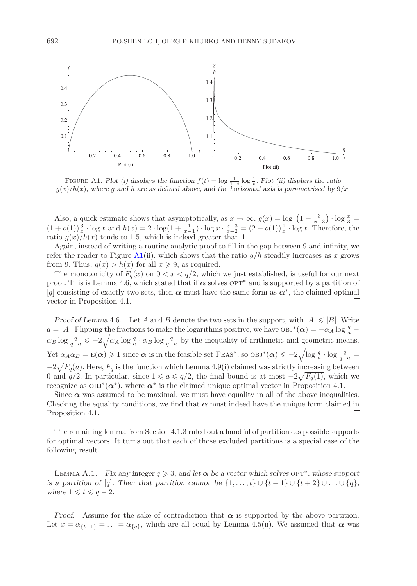

<span id="page-37-0"></span>FIGURE A1. *Plot (i) displays the function*  $f(t) = \log \frac{1}{1-t} \log \frac{1}{t}$ . *Plot (ii) displays the ratio*<br>*c)*  $h(r)$  where a and h are as defined above and the horizontal axis is parametrized by 9  $g(x)/h(x)$ *, where g and h are as defined above, and the horizontal axis is parametrized by*  $9/x$ *.* 

Also, a quick estimate shows that asymptotically, as  $x \to \infty$ ,  $g(x) = \log (1 + \frac{3}{x-3}) \cdot \log \frac{x}{3} = (1 + o(1))\frac{3}{x} \cdot \log x$  and  $h(x) = 2 \cdot \log(1 + \frac{1}{x-1}) \cdot \log x \cdot \frac{x-3}{x-2} = (2 + o(1))\frac{1}{x} \cdot \log x$ . Therefore, the ratio  $g(x)/h(x)$  tends to 1 ratio  $g(x)/h(x)$  tends to 1.5, which is indeed greater than 1.

Again, instead of writing a routine analytic proof to fill in the gap between 9 and infinity, we refer the reader to Figure [A1\(](#page-37-0)ii), which shows that the ratio  $g/h$  steadily increases as x grows from 9. Thus,  $g(x) > h(x)$  for all  $x \ge 9$ , as required.

The monotonicity of  $F_q(x)$  on  $0 < x < q/2$ , which we just established, is useful for our next proof. This is Lemma 4.6, which stated that if  $\alpha$  solves  $\text{OPT}^*$  and is supported by a partition of [q] consisting of exactly two sets, then  $\alpha$  must have the same form as  $\alpha^*$ , the claimed optimal vector in Proposition 4.1.  $\Box$ 

*Proof of Lemma* 4.6. Let A and B denote the two sets in the support, with  $|A| \leq |B|$ . Write  $a = |A|$ . Flipping the fractions to make the logarithms positive, we have  $\cos^{-*}(\alpha) = -\alpha_A \log \frac{q}{a}$  $\alpha_B \log \frac{q}{q-a} \leqslant -2\sqrt{\alpha_A \log \frac{q}{a} \cdot \alpha_B \log \frac{q}{q-a}}$  by the inequality of arithmetic and geometric means. Yet  $\alpha_A \alpha_B = \mathbb{E}(\alpha) \geqslant 1$  since  $\alpha$  is in the feasible set  $\text{FEAs}^*$ , so  $\text{OBJ}^*(\alpha) \leqslant -2\sqrt{\log \frac{q}{a} \cdot \log \frac{q}{q-a}} =$  $-2\sqrt{F_q(a)}$ . Here,  $F_q$  is the function which Lemma 4.9(i) claimed was strictly increasing between 0 and  $q/2$ . In particular, since  $1 \leq a \leq q/2$ , the final bound is at most  $-2\sqrt{F_q(1)}$ , which we recognize as  $OBJ^*(\alpha^*)$ , where  $\alpha^*$  is the claimed unique optimal vector in Proposition 4.1.

Since  $\alpha$  was assumed to be maximal, we must have equality in all of the above inequalities. Checking the equality conditions, we find that  $\alpha$  must indeed have the unique form claimed in Proposition 4.1.  $\Box$ 

The remaining lemma from Section 4.1.3 ruled out a handful of partitions as possible supports for optimal vectors. It turns out that each of those excluded partitions is a special case of the following result.

LEMMA A.1. *Fix any integer*  $q \ge 3$ *, and let*  $\alpha$  *be a vector which solves*  $OPT^*$ *, whose support is a partition of* [q]*.* Then that partition cannot be  $\{1, \ldots, t\} \cup \{t + 1\} \cup \{t + 2\} \cup \ldots \cup \{q\}$ , *where*  $1 \leqslant t \leqslant q-2$ *.* 

*Proof.* Assume for the sake of contradiction that  $\alpha$  is supported by the above partition. Let  $x = \alpha_{\{t+1\}} = \ldots = \alpha_{\{q\}}$ , which are all equal by Lemma 4.5(ii). We assumed that  $\alpha$  was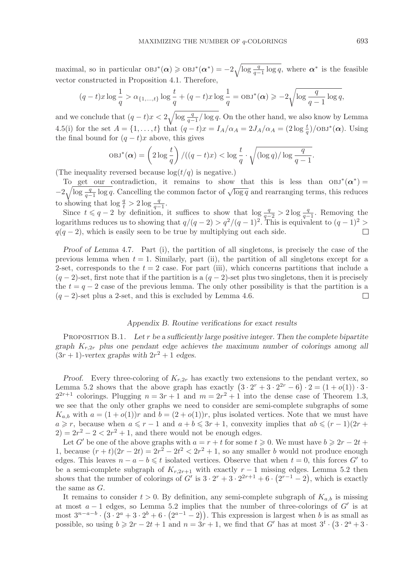maximal, so in particular  $OBJ^*(\alpha) \geqslant OBJ^*(\alpha^*) = -2\sqrt{\log \frac{q}{q-1} \log q}$ , where  $\alpha^*$  is the feasible vector constructed in Proposition 4.1. Therefore vector constructed in Proposition 4.1. Therefore,

$$
(q-t)x\log\frac{1}{q} > \alpha_{\{1,\ldots,t\}}\log\frac{t}{q} + (q-t)x\log\frac{1}{q} = \mathrm{OBJ}^*(\alpha) \geq -2\sqrt{\log\frac{q}{q-1}\log q},
$$

and we conclude that  $(q-t)x < 2\sqrt{\log \frac{q}{q-1}/\log q}$ . On the other hand, we also know by Lemma 4.5(i) for the set  $A = \{1, ..., t\}$  that  $(q - t)x = I_A/\alpha_A = 2J_A/\alpha_A = (2 \log \frac{t}{q})/\sqrt{OBJ^*(\alpha)}$ . Using the final bound for  $(q-t)x$  above, this gives

$$
\mathrm{OBJ}^*(\alpha) = \left(2\log\frac{t}{q}\right) / ((q-t)x) < \log\frac{t}{q} \cdot \sqrt{(\log q)/\log\frac{q}{q-1}}.
$$

(The inequality reversed because  $log(t/q)$  is negative.)

To get our contradiction, it remains to show that this is less than  $OBJ^*(\alpha^*)$  $-2\sqrt{\log \frac{q}{q-1} \log q}$ . Cancelling the common factor of  $\sqrt{\log q}$  and rearranging terms, this reduces to showing that  $\log \frac{q}{t} > 2 \log \frac{q}{q-1}$ .<br>Since  $t \leq a-2$  by definition

Since  $t \leq q - 2$  by definition, it suffices to show that  $\log \frac{q}{q-2} > 2 \log \frac{q}{q-1}$ . Removing the logarithms reduces us to showing that  $q/(q-2) > q^2/(q-1)^2$ . This is equivalent to  $(q-1)^2 >$  $q(q - 2)$ , which is easily seen to be true by multiplying out each side.  $\Box$ 

*Proof of Lemma* 4.7*.* Part (i), the partition of all singletons, is precisely the case of the previous lemma when  $t = 1$ . Similarly, part (ii), the partition of all singletons except for a 2-set, corresponds to the  $t = 2$  case. For part (iii), which concerns partitions that include a  $(q-2)$ -set, first note that if the partition is a  $(q-2)$ -set plus two singletons, then it is precisely the  $t = q - 2$  case of the previous lemma. The only other possibility is that the partition is a  $(q-2)$ -set plus a 2-set, and this is excluded by Lemma 4.6.  $\Box$ 

#### *Appendix B. Routine verifications for exact results*

Proposition B.1. *Let* r *be a sufficiently large positive integer. Then the complete bipartite graph*  $K_{r,2r}$  *plus one pendant edge achieves the maximum number of colorings among all*  $(3r + 1)$ -vertex graphs with  $2r^2 + 1$  edges.

*Proof.* Every three-coloring of  $K_{r,2r}$  has exactly two extensions to the pendant vertex, so Lemma 5.2 shows that the above graph has exactly  $(3 \cdot 2^r + 3 \cdot 2^{2r} - 6) \cdot 2 = (1 + o(1)) \cdot 3 \cdot$  $2^{2r+1}$  colorings. Plugging  $n = 3r + 1$  and  $m = 2r^2 + 1$  into the dense case of Theorem 1.3, we see that the only other graphs we need to consider are semi-complete subgraphs of some  $K_{a,b}$  with  $a = (1+o(1))r$  and  $b = (2+o(1))r$ , plus isolated vertices. Note that we must have  $a \geq r$ , because when  $a \leq r - 1$  and  $a + b \leq 3r + 1$ , convexity implies that  $ab \leq (r - 1)(2r + 1)$  $2) = 2r^2 - 2 < 2r^2 + 1$ , and there would not be enough edges.

Let G' be one of the above graphs with  $a = r + t$  for some  $t \geq 0$ . We must have  $b \geq 2r - 2t +$ 1, because  $(r+t)(2r-2t) = 2r^2 - 2t^2 < 2r^2 + 1$ , so any smaller b would not produce enough edges. This leaves  $n - a - b \leq t$  isolated vertices. Observe that when  $t = 0$ , this forces G' to be a semi-complete subgraph of  $K_{r,2r+1}$  with exactly  $r-1$  missing edges. Lemma 5.2 then shows that the number of colorings of G' is  $3 \cdot 2^r + 3 \cdot 2^{2r+1} + 6 \cdot (2^{r-1} - 2)$ , which is exactly the same as G.

It remains to consider  $t > 0$ . By definition, any semi-complete subgraph of  $K_{a,b}$  is missing at most  $a - 1$  edges, so Lemma 5.2 implies that the number of three-colorings of  $G'$  is at most  $3^{n-a-b} \cdot (3 \cdot 2^a + 3 \cdot 2^b + 6 \cdot (2^{a-1}-2))$ . This expression is largest when b is as small as possible, so using  $b \geqslant 2r - 2t + 1$  and  $n = 3r + 1$ , we find that G' has at most  $3^t \cdot (3 \cdot 2^a + 3 \cdot$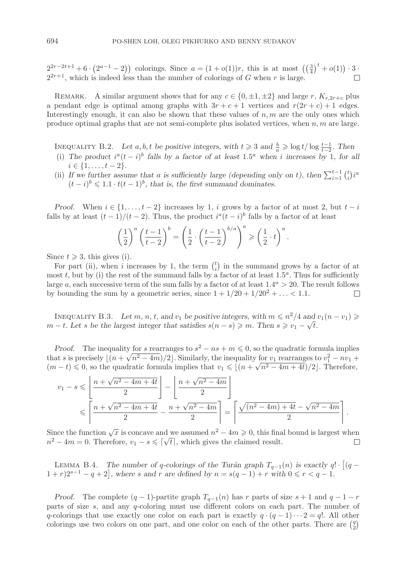$2^{2r-2t+1}+6\cdot (2^{a-1}-2)$  colorings. Since  $a=(1+o(1))r$ , this is at most  $((\frac{3}{4})^t+o(1))\cdot 3$ .  $2^{2r+1}$ , which is indeed less than the number of colorings of G when r is large.

REMARK. A similar argument shows that for any  $c \in \{0, \pm 1, \pm 2\}$  and large r,  $K_{r,2r+c}$  plus a pendant edge is optimal among graphs with  $3r + c + 1$  vertices and  $r(2r + c) + 1$  edges. Interestingly enough, it can also be shown that these values of  $n, m$  are the only ones which produce optimal graphs that are not semi-complete plus isolated vertices, when  $n, m$  are large.

- INEQUALITY B.2. Let  $a, b, t$  be positive integers, with  $t \geq 3$  and  $\frac{b}{a} \geq \log t / \log \frac{t-1}{t-2}$ . Then<br>
(i) The product  $i^a(t i)^b$  falls by a factor of at least 1.5<sup>*a*</sup> when i increases by 1 for a (i) The product  $i^a(t - i)^b$  falls by a factor of at least 1.5<sup>a</sup> when i increases by 1, for all  $i \in \{1, \ldots, t-2\}.$
- (ii) If we further assume that a is sufficiently large (depending only on t), then  $\sum_{i=1}^{t-1} {t \choose i} i^a$ <br> $(t-i)^b < 1 \t1$ ,  $t(t-1)^b$  that is the first summand dominates  $(t - i)^b \leqslant 1.1 \cdot t(t - 1)^b$ , that is, the first summand dominates.

*Proof.* When  $i \in \{1, \ldots, t-2\}$  increases by 1, i grows by a factor of at most 2, but  $t - i$ falls by at least  $(t-1)/(t-2)$ . Thus, the product  $i^a(t-i)^b$  falls by a factor of at least

$$
\left(\frac{1}{2}\right)^a \left(\frac{t-1}{t-2}\right)^b = \left(\frac{1}{2} \cdot \left(\frac{t-1}{t-2}\right)^{b/a}\right)^a \geqslant \left(\frac{1}{2} \cdot t\right)^a.
$$

Since  $t \geqslant 3$ , this gives (i).

For part (ii), when i increases by 1, the term  $\binom{t}{i}$  in the summand grows by a factor of at most t, but by (i) the rest of the summand falls by a factor of at least  $1.5<sup>a</sup>$ . Thus for sufficiently large a, each successive term of the sum falls by a factor of at least  $1.4^a > 20$ . The result follows by bounding the sum by a geometric series, since  $1 + 1/20 + 1/20^2 + \ldots < 1.1$ .  $\Box$ 

INEQUALITY B.3. Let  $m, n, t$ , and  $v_1$  be positive integers, with  $m \leq n^2/4$  and  $v_1(n - v_1) \geq$ <br>  $\downarrow$  Let a be the largest integer that satisfies  $e(n - s) \geq m$ . Then  $s \geq n - t/\sqrt{4}$ m − *t.* Let s be the largest integer that satisfies  $s(n - s) \ge m$ *. Then*  $s \ge v_1 - \sqrt{t}$ *.*  $m - t$ *. Let s be the largest integer that satisfies*  $s(n - s) \ge m$ *. Then*  $s \ge v_1 - \sqrt{t}$ *.* 

*Proof.* The inequality for s rearranges to  $s^2 - ns + m \leq 0$ , so the quadratic formula implies Froot. The inequality for s rearranges to  $s - ns + m \le 0$ , so the quadratic formula implies<br>that s is precisely  $\lfloor (n + \sqrt{n^2 - 4m})/2 \rfloor$ . Similarly, the inequality for  $v_1$  rearranges to  $v_1^2 - nv_1 +$ <br> $\lfloor (m - t) \le 0 \rfloor$  so the  $(m-t) \leq 0$ , so the quadratic formula implies that  $v_1 \leq (n + \sqrt{n^2 - 4m + 4t})/2$ . Therefore,

$$
v_1 - s \leqslant \left\lfloor \frac{n + \sqrt{n^2 - 4m + 4t}}{2} \right\rfloor - \left\lfloor \frac{n + \sqrt{n^2 - 4m}}{2} \right\rfloor
$$
  
 
$$
\leqslant \left\lceil \frac{n + \sqrt{n^2 - 4m + 4t}}{2} - \frac{n + \sqrt{n^2 - 4m}}{2} \right\rceil = \left\lceil \frac{\sqrt{(n^2 - 4m) + 4t} - \sqrt{n^2 - 4m}}{2} \right\rceil.
$$

Since the function  $\sqrt{x}$  is concave and we assumed  $n^2 - 4m \geqslant 0$ , this final bound is largest when since the function  $\sqrt{x}$  is concave and we assumed  $n = 4m \ge 0$ , this final  $n^2 - 4m = 0$ . Therefore,  $v_1 - s \le \lfloor \sqrt{t} \rfloor$ , which gives the claimed result.  $\Box$ 

LEMMA B.4. *The number of q-colorings of the Turán graph*  $T_{q-1}(n)$  *is exactly*  $q! \cdot [(q - n)2s-1]$  $(1+r)2^{s-1} - q + 2$ , where s and r are defined by  $n = s(q-1) + r$  with  $0 \le r < q-1$ .

*Proof.* The complete  $(q - 1)$ -partite graph  $T_{q-1}(n)$  has r parts of size  $s + 1$  and  $q - 1 - r$ parts of size s, and any q-coloring must use different colors on each part. The number of q-colorings that use exactly one color on each part is exactly  $q \cdot (q-1) \cdots 2 = q!$ . All other colorings use two colors on one part, and one color on each of the other parts. There are  $\binom{q}{2}$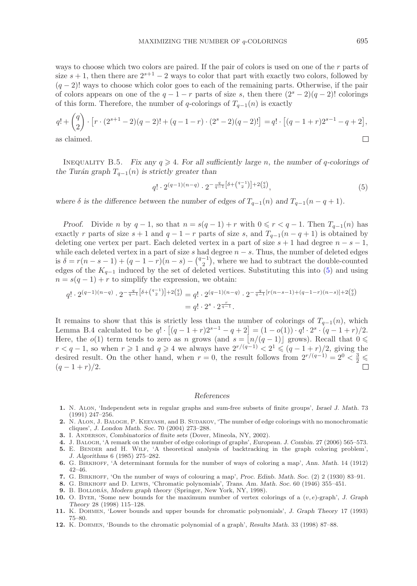ways to choose which two colors are paired. If the pair of colors is used on one of the r parts of size  $s + 1$ , then there are  $2^{s+1} - 2$  ways to color that part with exactly two colors, followed by  $(q-2)!$  ways to choose which color goes to each of the remaining parts. Otherwise, if the pair of colors appears on one of the  $q - 1 - r$  parts of size s, then there  $(2<sup>s</sup> - 2)(q - 2)!$  colorings of this form. Therefore, the number of q-colorings of  $T_{q-1}(n)$  is exactly

$$
q! + {q \choose 2} \cdot [r \cdot (2^{s+1} - 2)(q-2)! + (q-1-r) \cdot (2^s - 2)(q-2)!] = q! \cdot [(q-1+r)2^{s-1} - q + 2],
$$
  
as claimed.

as claimed.

INEQUALITY B.5. *Fix any*  $q \ge 4$ *. For all sufficiently large n, the number of q-colorings of the Turán graph*  $T_{q-1}(n)$  *is strictly greater than* 

<span id="page-40-12"></span>
$$
q! \cdot 2^{(q-1)(n-q)} \cdot 2^{-\frac{q}{q-1}[\delta + \binom{q-1}{2}]+2\binom{q}{2}},\tag{5}
$$

*where*  $\delta$  *is the difference between the number of edges of*  $T_{q-1}(n)$  *and*  $T_{q-1}(n-q+1)$ *.* 

*Proof.* Divide n by  $q-1$ , so that  $n = s(q-1) + r$  with  $0 \leq r < q-1$ . Then  $T_{q-1}(n)$  has exactly r parts of size  $s + 1$  and  $q - 1 - r$  parts of size s, and  $T_{q-1}(n - q + 1)$  is obtained by deleting one vertex per part. Each deleted vertex in a part of size  $s + 1$  had degree  $n - s - 1$ , while each deleted vertex in a part of size s had degree  $n - s$ . Thus, the number of deleted edges is  $\delta = r(n-s-1) + (q-1-r)(n-s) - {q-1 \choose 2}$ , where we had to subtract the double-counted edges of the  $K_{q-1}$  induced by the set of deleted vertices. Substituting this into [\(5\)](#page-40-12) and using  $x = e(x-1) + x$  to simplify the synnessian, we obtain  $n = s(q-1) + r$  to simplify the expression, we obtain:

$$
q! \cdot 2^{(q-1)(n-q)} \cdot 2^{-\frac{q}{q-1}\left[\delta + \binom{q-1}{2}\right] + 2\binom{q}{2}} = q! \cdot 2^{(q-1)(n-q)} \cdot 2^{-\frac{q}{q-1}\left[r(n-s-1)+(q-1-r)(n-s)\right] + 2\binom{q}{2}}
$$

$$
= q! \cdot 2^s \cdot 2^{\frac{r}{q-1}}.
$$

It remains to show that this is strictly less than the number of colorings of  $T_{q-1}(n)$ , which Lemma B.4 calculated to be  $q! \cdot [(q-1+r)2^{s-1} - q + 2] = (1-o(1)) \cdot q! \cdot 2^s \cdot (q-1+r)/2$ . Here, the  $o(1)$  term tends to zero as n grows (and  $s = \lfloor n/(q-1) \rfloor$  grows). Recall that  $0 \le$  $r < q-1$ , so when  $r \geq 1$  and  $q \geq 4$  we always have  $2^{r/(q-1)} < 2^1 \leqslant (q-1+r)/2$ , giving the desired result. On the other hand, when  $r = 0$ , the result follows from  $2^{r/(q-1)} = 2^0 < \frac{3}{2} \leq (q-1+r)/2$  $(q-1+r)/2$ .

## *References*

- <span id="page-40-7"></span>**1.** N. Alon, 'Independent sets in regular graphs and sum-free subsets of finite groups', *Israel J. Math.* 73 (1991) 247–256.
- <span id="page-40-8"></span>**2.** N. Alon, J. Balogh, P. Keevash, and B. Sudakov, 'The number of edge colorings with no monochromatic cliques', *J. London Math. Soc.* 70 (2004) 273–288.
- <span id="page-40-11"></span><span id="page-40-9"></span>**3.** I. Anderson, *Combinatorics of finite sets* (Dover, Mineola, NY, 2002).
- <span id="page-40-3"></span>**4.** J. Balogh, 'A remark on the number of edge colorings of graphs', *European. J. Combin.* 27 (2006) 565–573.
- **5.** E. BENDER and H. WILF, 'A theoretical analysis of backtracking in the graph coloring problem', *J. Algorithms* 6 (1985) 275–282.
- <span id="page-40-0"></span>**6.** G. Birkhoff, 'A determinant formula for the number of ways of coloring a map', *Ann. Math.* 14 (1912) 42–46.
- <span id="page-40-2"></span><span id="page-40-1"></span>**7.** G. Birkhoff, 'On the number of ways of colouring a map', *Proc. Edinb. Math. Soc.* (2) 2 (1930) 83–91.
- <span id="page-40-10"></span>**8.** G. Birkhoff and D. Lewis, 'Chromatic polynomials', *Trans. Am. Math. Soc.* 60 (1946) 355–451.
- 9. B. BOLLOBÁS, *Modern graph theory* (Springer, New York, NY, 1998).
- <span id="page-40-4"></span>**10.** O. Byer, 'Some new bounds for the maximum number of vertex colorings of a (v, e)-graph', *J. Graph Theory* 28 (1998) 115–128.
- <span id="page-40-5"></span>**11.** K. Dohmen, 'Lower bounds and upper bounds for chromatic polynomials', *J. Graph Theory* 17 (1993) 75–80.
- <span id="page-40-6"></span>**12.** K. Dohmen, 'Bounds to the chromatic polynomial of a graph', *Results Math.* 33 (1998) 87–88.